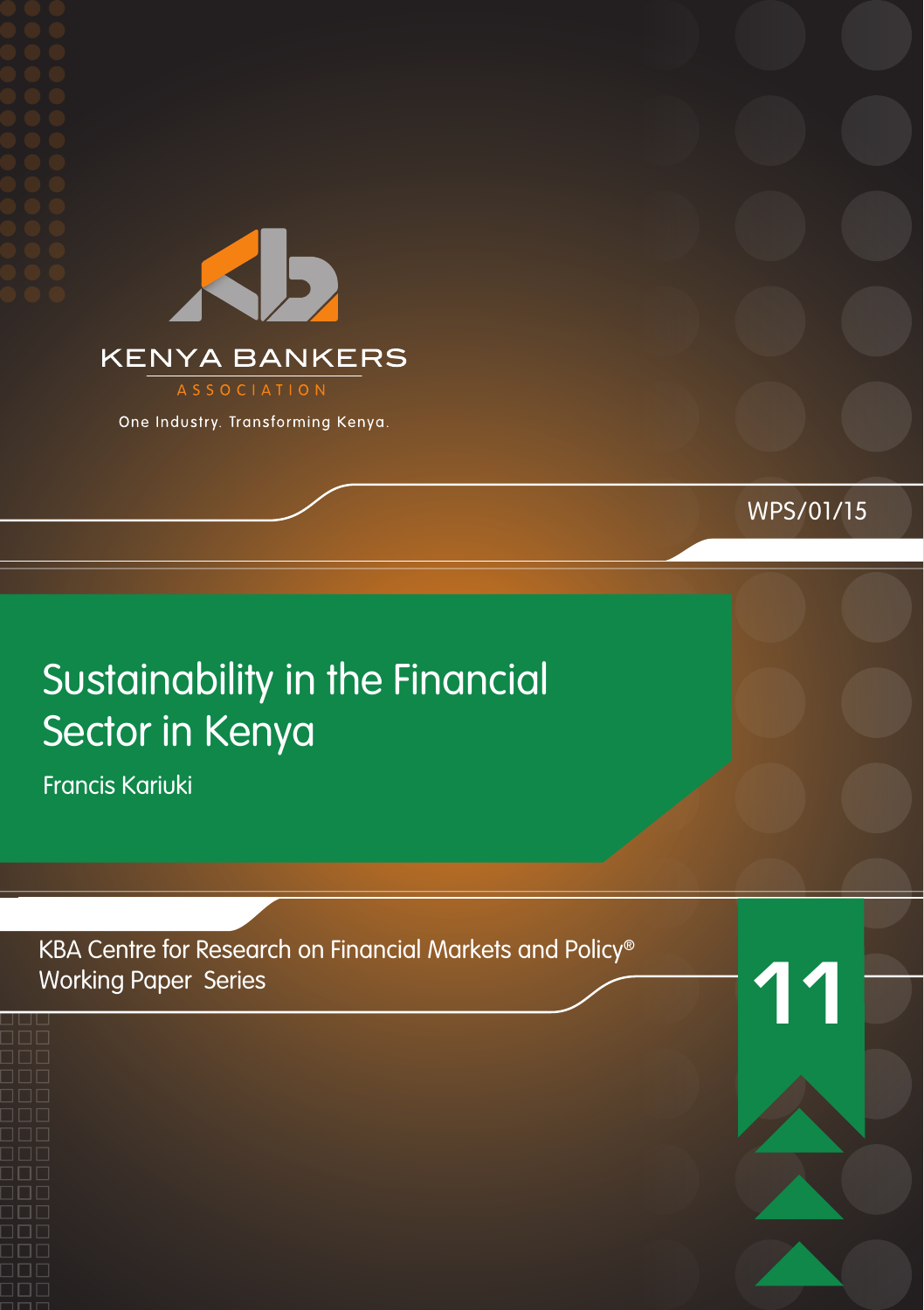

One Industry. Transforming Kenya.

## WPS/01/15

## Sustainability in the Financial Sector in Kenya

Francis Kariuki

KBA Centre for Research on Financial Markets and Policy® Working Paper Series

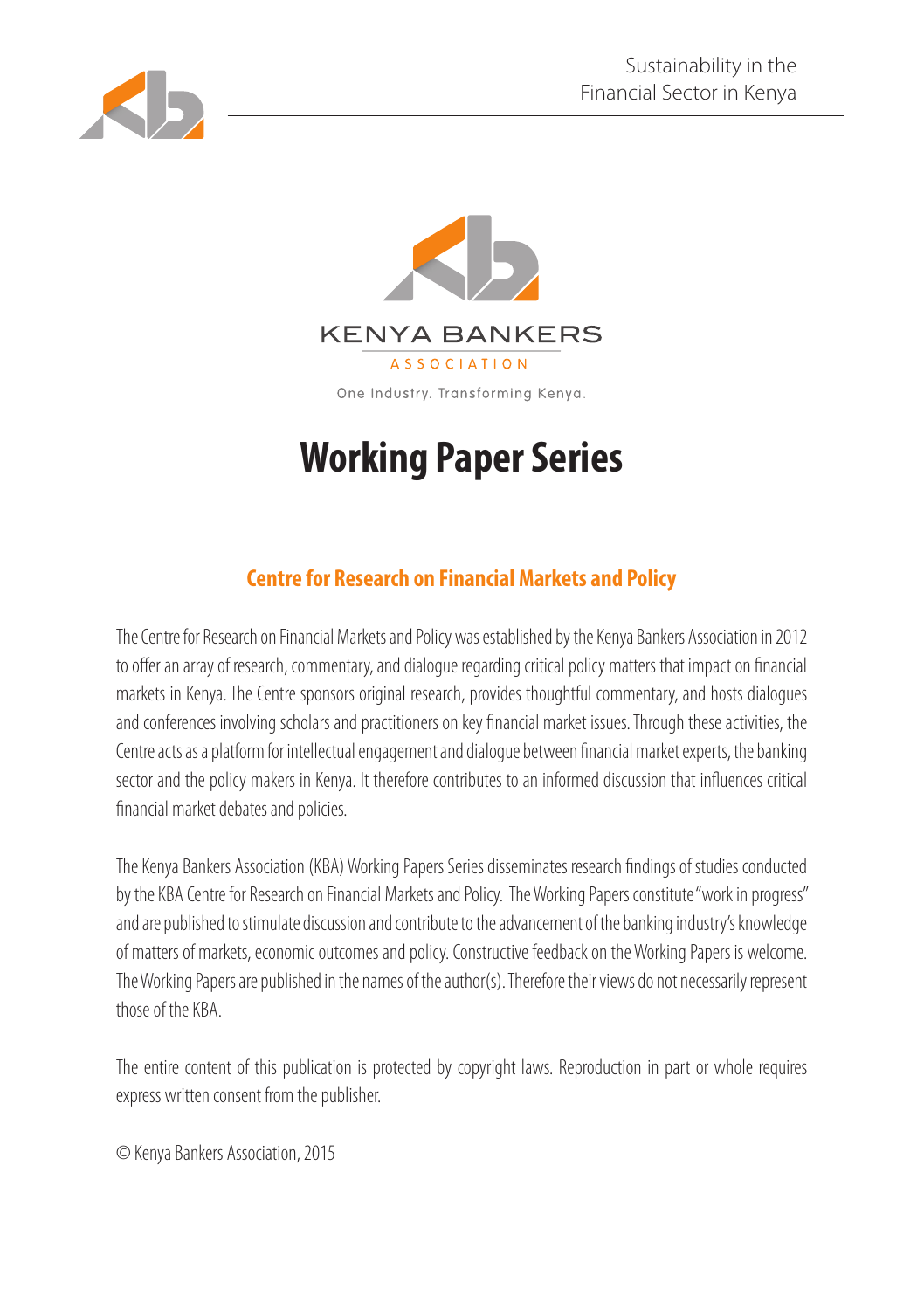



## **Working Paper Series**

## **Centre for Research on Financial Markets and Policy**

The Centre for Research on Financial Markets and Policy was established by the Kenya Bankers Association in 2012 to offer an array of research, commentary, and dialogue regarding critical policy matters that impact on financial markets in Kenya. The Centre sponsors original research, provides thoughtful commentary, and hosts dialogues and conferences involving scholars and practitioners on key financial market issues. Through these activities, the Centre acts as a platform for intellectual engagement and dialogue between financial market experts, the banking sector and the policy makers in Kenya. It therefore contributes to an informed discussion that influences critical financial market debates and policies.

The Kenya Bankers Association (KBA) Working Papers Series disseminates research findings of studies conducted by the KBA Centre for Research on Financial Markets and Policy. The Working Papers constitute "work in progress" and are published to stimulate discussion and contribute to the advancement of the banking industry's knowledge of matters of markets, economic outcomes and policy. Constructive feedback on the Working Papers is welcome. The Working Papers are published in the names of the author(s). Therefore their views do not necessarily represent those of the KBA.

The entire content of this publication is protected by copyright laws. Reproduction in part or whole requires express written consent from the publisher.

© Kenya Bankers Association, 2015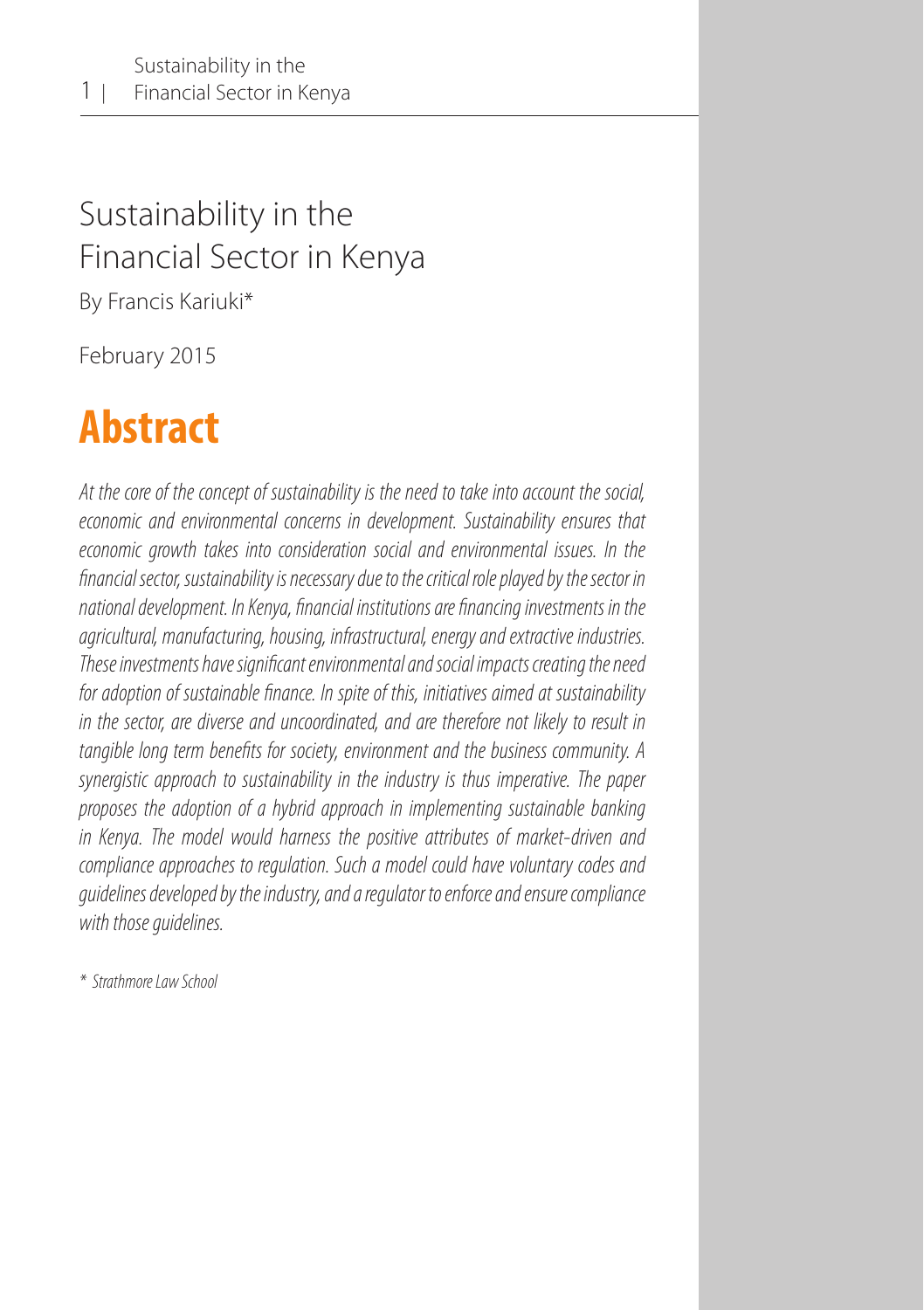## Sustainability in the Financial Sector in Kenya

By Francis Kariuki\*

February 2015

## **Abstract**

*At the core of the concept of sustainability is the need to take into account the social, economic and environmental concerns in development. Sustainability ensures that economic growth takes into consideration social and environmental issues. In the financial sector, sustainability is necessary due to the critical role played by the sector in national development. In Kenya, financial institutions are financing investments in the agricultural, manufacturing, housing, infrastructural, energy and extractive industries. These investments have significant environmental and social impacts creating the need for adoption of sustainable finance. In spite of this, initiatives aimed at sustainability in the sector, are diverse and uncoordinated, and are therefore not likely to result in tangible long term benefits for society, environment and the business community. A synergistic approach to sustainability in the industry is thus imperative. The paper proposes the adoption of a hybrid approach in implementing sustainable banking in Kenya. The model would harness the positive attributes of market-driven and compliance approaches to regulation. Such a model could have voluntary codes and guidelines developed by the industry, and a regulator to enforce and ensure compliance with those guidelines.* 

*\* Strathmore Law School*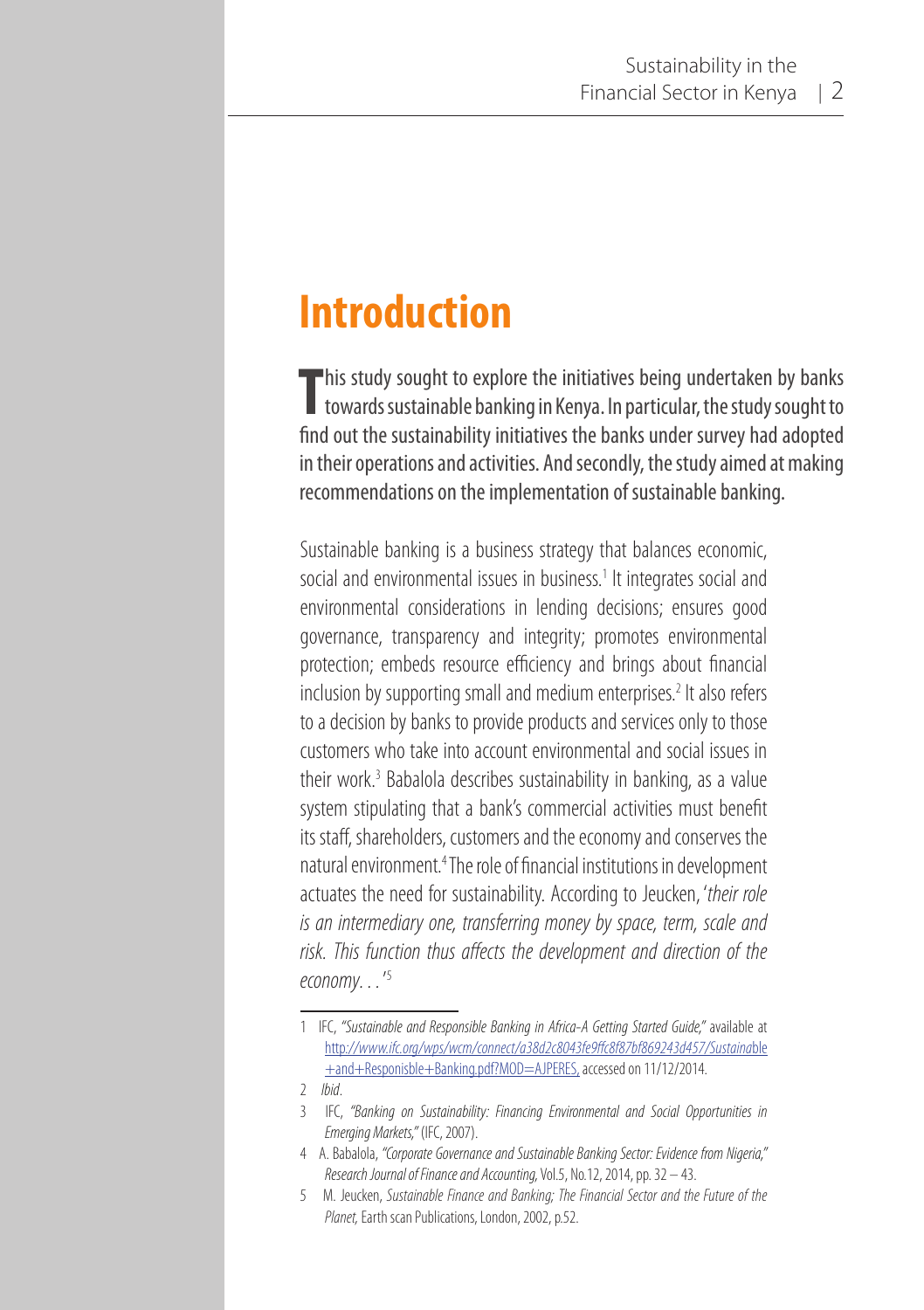## **Introduction**

This study sought to explore the initiatives being undertaken by banks<br>towards sustainable banking in Kenya. In particular, the study sought to towards sustainable banking in Kenya. In particular, the study sought to find out the sustainability initiatives the banks under survey had adopted in their operations and activities. And secondly, the study aimed at making recommendations on the implementation of sustainable banking.

Sustainable banking is a business strategy that balances economic, social and environmental issues in business.<sup>1</sup> It integrates social and environmental considerations in lending decisions; ensures good governance, transparency and integrity; promotes environmental protection; embeds resource efficiency and brings about financial inclusion by supporting small and medium enterprises.<sup>2</sup> It also refers to a decision by banks to provide products and services only to those customers who take into account environmental and social issues in their work.<sup>3</sup> Babalola describes sustainability in banking, as a value system stipulating that a bank's commercial activities must benefit its staff, shareholders, customers and the economy and conserves the natural environment.<sup>4</sup> The role of financial institutions in development actuates the need for sustainability. According to Jeucken, '*their role is an intermediary one, transferring money by space, term, scale and risk. This function thus affects the development and direction of the economy…*' 5

<sup>1</sup> IFC, *"Sustainable and Responsible Banking in Africa-A Getting Started Guide,"* available at http*://www.ifc.org/wps/wcm/connect/a38d2c8043fe9ffc8f87bf869243d457/Sustaina*ble +and+Responisble+Banking.pdf?MOD=AJPERES, accessed on 11/12/2014.

<sup>2</sup> *Ibid*.

<sup>3</sup> IFC, *"Banking on Sustainability: Financing Environmental and Social Opportunities in Emerging Markets,"* (IFC, 2007).

<sup>4</sup> A. Babalola, *"Corporate Governance and Sustainable Banking Sector: Evidence from Nigeria," Research Journal of Finance and Accounting,* Vol.5, No.12, 2014, pp. 32 – 43.

<sup>5</sup> M. Jeucken, *Sustainable Finance and Banking; The Financial Sector and the Future of the Planet,* Earth scan Publications, London, 2002, p.52.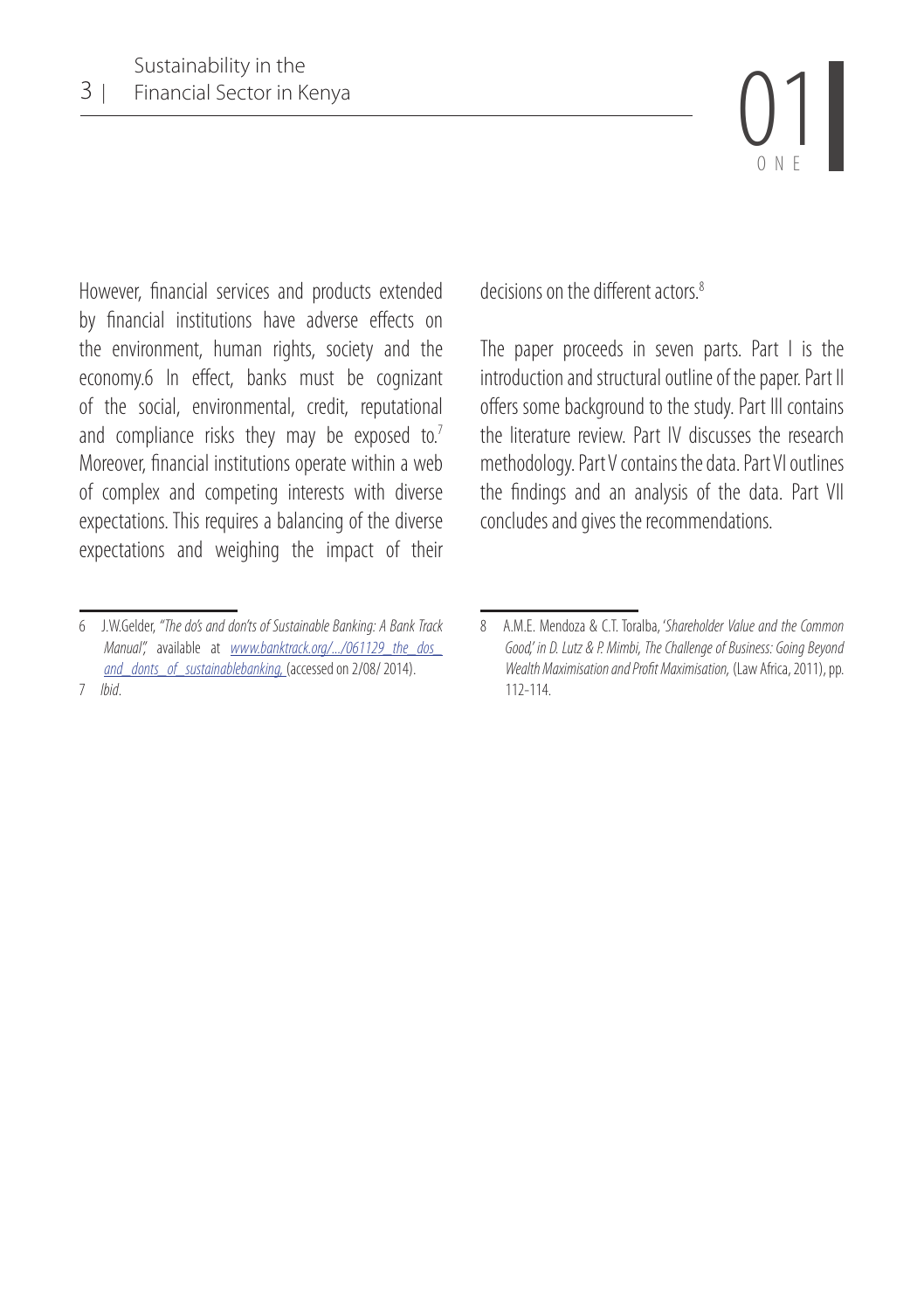

However, financial services and products extended by financial institutions have adverse effects on the environment, human rights, society and the economy.6 In effect, banks must be cognizant of the social, environmental, credit, reputational and compliance risks they may be exposed to.<sup>7</sup> Moreover, financial institutions operate within a web of complex and competing interests with diverse expectations. This requires a balancing of the diverse expectations and weighing the impact of their decisions on the different actors<sup>8</sup>

The paper proceeds in seven parts. Part I is the introduction and structural outline of the paper. Part II offers some background to the study. Part III contains the literature review. Part IV discusses the research methodology. Part V contains the data. Part VI outlines the findings and an analysis of the data. Part VII concludes and gives the recommendations.

<sup>6</sup> J.W.Gelder, *"The do's and don'ts of Sustainable Banking: A Bank Track Manual",* available at *www.banktrack.org/.../061129\_the\_dos\_ and\_donts\_of\_sustainablebanking,* (accessed on 2/08/ 2014). 7 *Ibid*.

<sup>8</sup> A.M.E. Mendoza & C.T. Toralba, '*Shareholder Value and the Common Good,' in D. Lutz & P. Mimbi, The Challenge of Business: Going Beyond Wealth Maximisation and Profit Maximisation,* (Law Africa, 2011), pp. 112-114.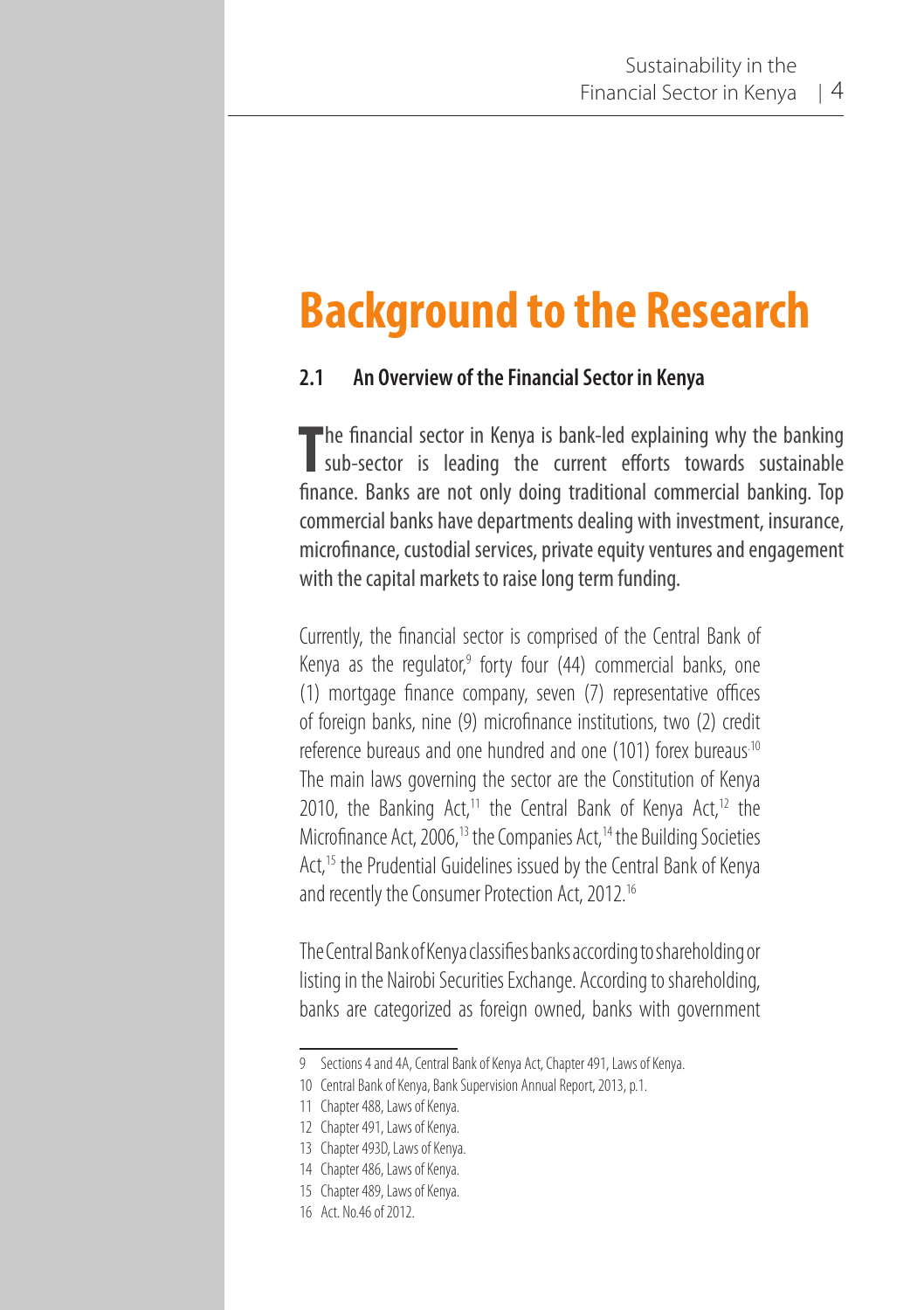# **Background to the Research**

#### **2.1 An Overview of the Financial Sector in Kenya**

The financial sector in Kenya is bank-led explaining why the banking<br>sub-sector is leading the current efforts towards sustainable **he financial sector in Kenya is bank-led explaining why the banking** finance. Banks are not only doing traditional commercial banking. Top commercial banks have departments dealing with investment, insurance, microfinance, custodial services, private equity ventures and engagement with the capital markets to raise long term funding.

Currently, the financial sector is comprised of the Central Bank of Kenya as the regulator,<sup>9</sup> forty four (44) commercial banks, one (1) mortgage finance company, seven (7) representative offices of foreign banks, nine (9) microfinance institutions, two (2) credit reference bureaus and one hundred and one (101) forex bureaus.10 The main laws governing the sector are the Constitution of Kenya 2010, the Banking Act,<sup>11</sup> the Central Bank of Kenya Act,<sup>12</sup> the Microfinance Act, 2006,<sup>13</sup> the Companies Act,<sup>14</sup> the Building Societies Act,<sup>15</sup> the Prudential Guidelines issued by the Central Bank of Kenya and recently the Consumer Protection Act, 2012.16

The Central Bank of Kenya classifies banks according to shareholding or listing in the Nairobi Securities Exchange. According to shareholding, banks are categorized as foreign owned, banks with government

<sup>9</sup> Sections 4 and 4A, Central Bank of Kenya Act, Chapter 491, Laws of Kenya.

<sup>10</sup> Central Bank of Kenya, Bank Supervision Annual Report, 2013, p.1.

<sup>11</sup> Chapter 488, Laws of Kenya.

<sup>12</sup> Chapter 491, Laws of Kenya.

<sup>13</sup> Chapter 493D, Laws of Kenya.

<sup>14</sup> Chapter 486, Laws of Kenya.

<sup>15</sup> Chapter 489, Laws of Kenya.

<sup>16</sup> Act. No.46 of 2012.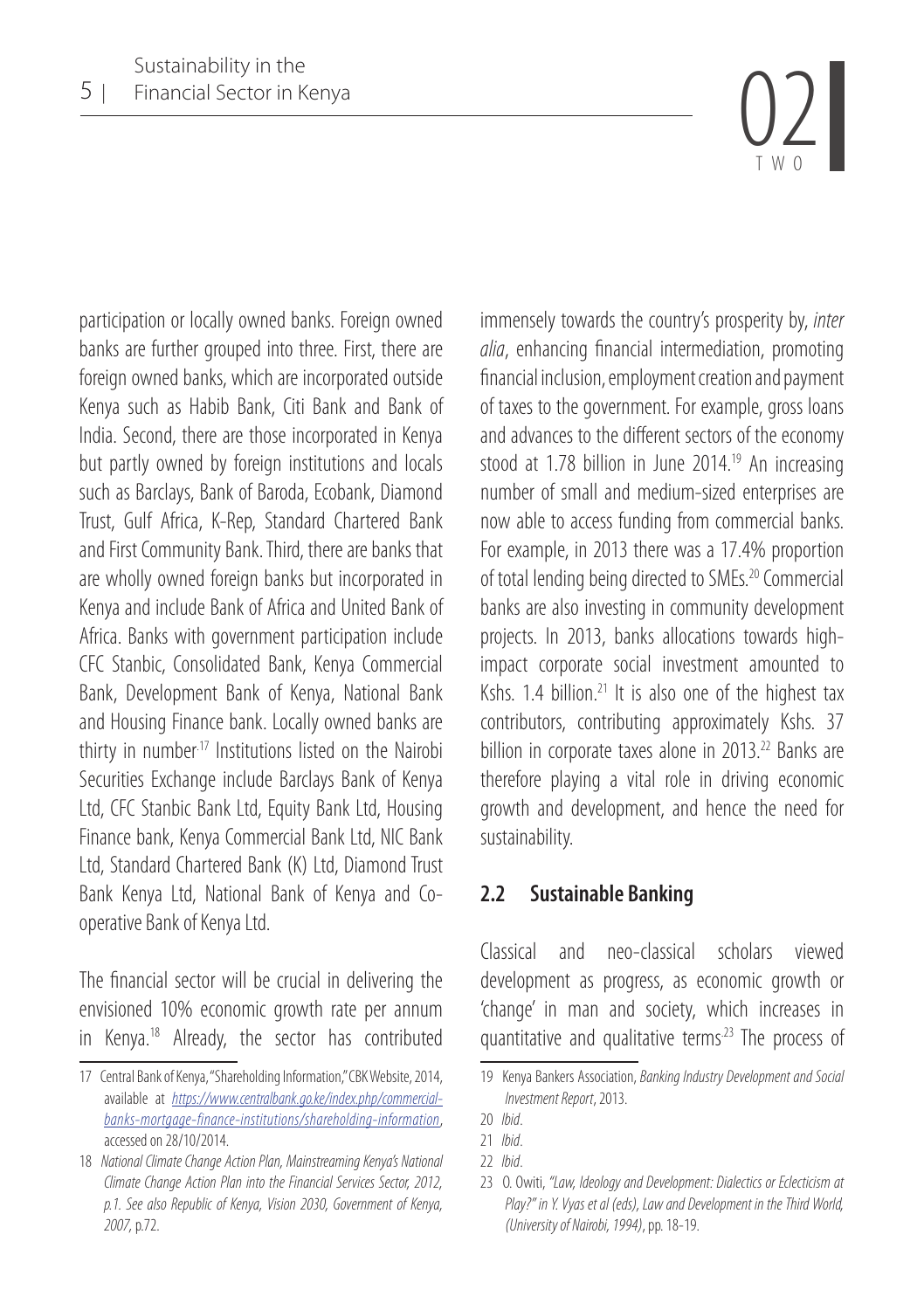TWO

participation or locally owned banks. Foreign owned banks are further grouped into three. First, there are foreign owned banks, which are incorporated outside Kenya such as Habib Bank, Citi Bank and Bank of India. Second, there are those incorporated in Kenya but partly owned by foreign institutions and locals such as Barclays, Bank of Baroda, Ecobank, Diamond Trust, Gulf Africa, K-Rep, Standard Chartered Bank and First Community Bank. Third, there are banks that are wholly owned foreign banks but incorporated in Kenya and include Bank of Africa and United Bank of Africa. Banks with government participation include CFC Stanbic, Consolidated Bank, Kenya Commercial Bank, Development Bank of Kenya, National Bank and Housing Finance bank. Locally owned banks are thirty in number<sup>17</sup> Institutions listed on the Nairobi Securities Exchange include Barclays Bank of Kenya Ltd, CFC Stanbic Bank Ltd, Equity Bank Ltd, Housing Finance bank, Kenya Commercial Bank Ltd, NIC Bank Ltd, Standard Chartered Bank (K) Ltd, Diamond Trust Bank Kenya Ltd, National Bank of Kenya and Cooperative Bank of Kenya Ltd.

The financial sector will be crucial in delivering the envisioned 10% economic growth rate per annum in Kenya.18 Already, the sector has contributed

immensely towards the country's prosperity by, *inter alia*, enhancing financial intermediation, promoting financial inclusion, employment creation and payment of taxes to the government. For example, gross loans and advances to the different sectors of the economy stood at 1.78 billion in June 2014.<sup>19</sup> An increasing number of small and medium-sized enterprises are now able to access funding from commercial banks. For example, in 2013 there was a 17.4% proportion of total lending being directed to SMEs.20 Commercial banks are also investing in community development projects. In 2013, banks allocations towards highimpact corporate social investment amounted to Kshs. 1.4 billion. $21$  It is also one of the highest tax contributors, contributing approximately Kshs. 37 billion in corporate taxes alone in 2013.<sup>22</sup> Banks are therefore playing a vital role in driving economic growth and development, and hence the need for sustainability.

#### **2.2 Sustainable Banking**

Classical and neo-classical scholars viewed development as progress, as economic growth or 'change' in man and society, which increases in quantitative and qualitative terms.23 The process of

<sup>17</sup> Central Bank of Kenya, "Shareholding Information," CBK Website, 2014, available at *https://www.centralbank.go.ke/index.php/commercialbanks-mortgage-finance-institutions/shareholding-information*, accessed on 28/10/2014.

<sup>18</sup> *National Climate Change Action Plan, Mainstreaming Kenya's National Climate Change Action Plan into the Financial Services Sector, 2012, p.1. See also Republic of Kenya, Vision 2030, Government of Kenya, 2007,* p.72.

<sup>19</sup> Kenya Bankers Association, *Banking Industry Development and Social Investment Report*, 2013.

<sup>20</sup> *Ibid*.

<sup>21</sup> *Ibid*.

<sup>22</sup> *Ibid*.

<sup>23</sup> O. Owiti, *"Law, Ideology and Development: Dialectics or Eclecticism at Play?" in Y. Vyas et al (eds), Law and Development in the Third World, (University of Nairobi, 1994)*, pp. 18-19.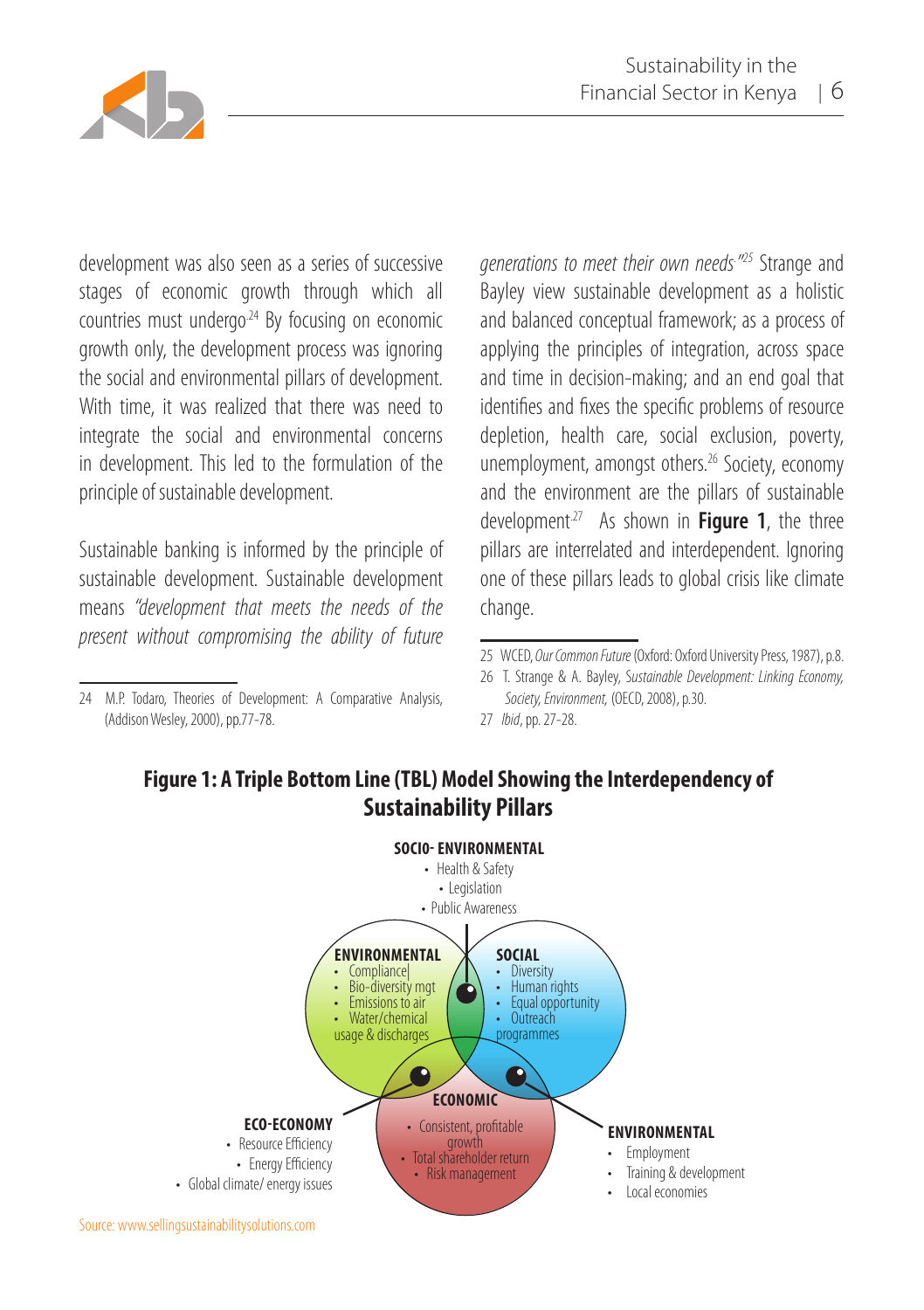

development was also seen as a series of successive stages of economic growth through which all countries must undergo.24 By focusing on economic growth only, the development process was ignoring the social and environmental pillars of development. With time, it was realized that there was need to integrate the social and environmental concerns in development. This led to the formulation of the principle of sustainable development.

Sustainable banking is informed by the principle of sustainable development. Sustainable development means *"development that meets the needs of the present without compromising the ability of future* 

*generations to meet their own needs. " <sup>25</sup>* Strange and Bayley view sustainable development as a holistic and balanced conceptual framework; as a process of applying the principles of integration, across space and time in decision-making; and an end goal that identifies and fixes the specific problems of resource depletion, health care, social exclusion, poverty, unemployment, amongst others.<sup>26</sup> Society, economy and the environment are the pillars of sustainable development.27 As shown in **Figure 1**, the three pillars are interrelated and interdependent. Ignoring one of these pillars leads to global crisis like climate change.

## **Figure 1: A Triple Bottom Line (TBL) Model Showing the Interdependency of Sustainability Pillars**



<sup>24</sup> M.P. Todaro, Theories of Development: A Comparative Analysis, (Addison Wesley, 2000), pp.77-78.

<sup>25</sup> WCED, *Our Common Future* (Oxford: Oxford University Press, 1987), p.8.

<sup>26</sup> T. Strange & A. Bayley, S*ustainable Development: Linking Economy, Society, Environment,* (OECD, 2008), p.30.

<sup>27</sup> *Ibid*, pp. 27-28.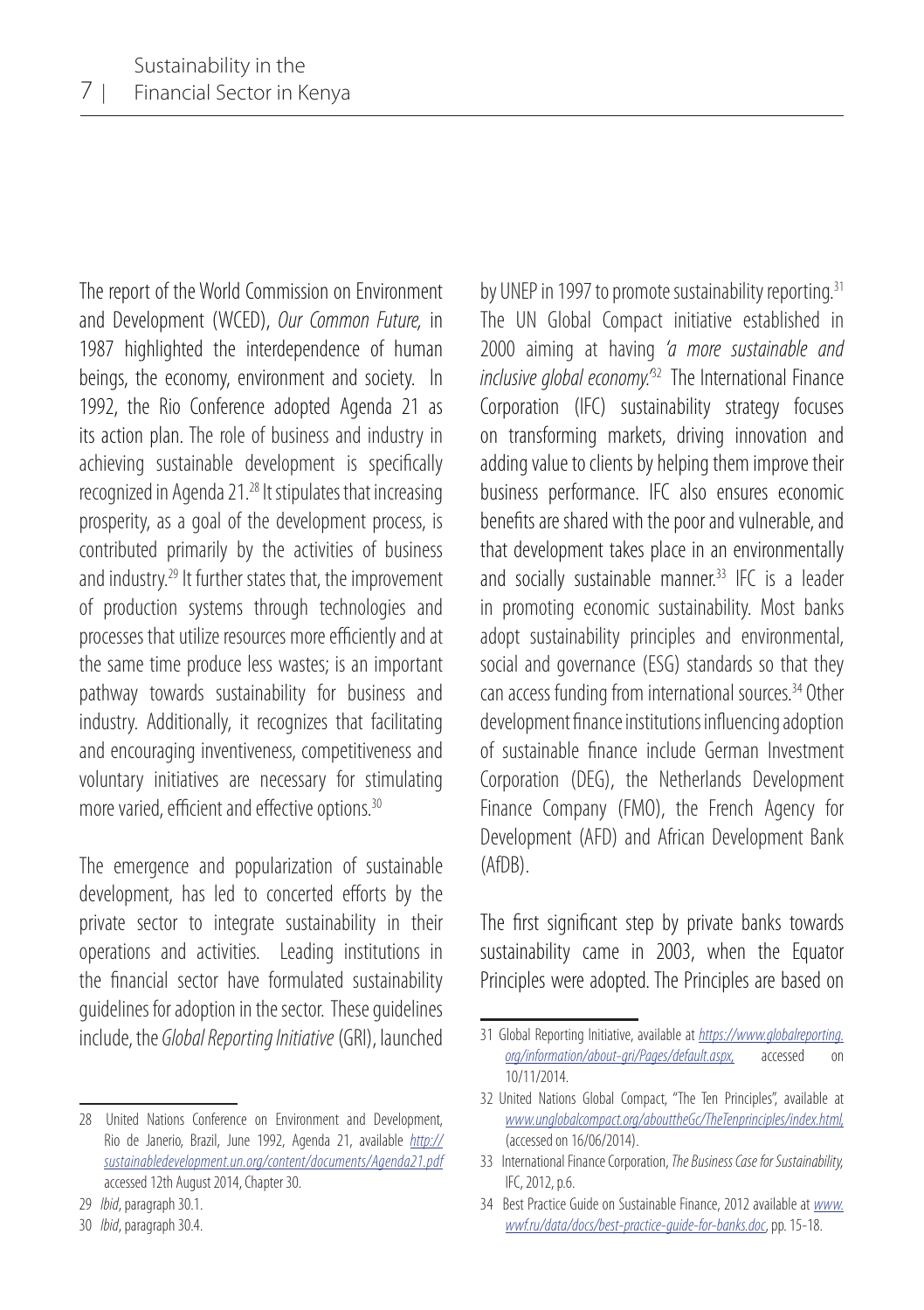The report of the World Commission on Environment and Development (WCED), *Our Common Future,* in 1987 highlighted the interdependence of human beings, the economy, environment and society. In 1992, the Rio Conference adopted Agenda 21 as its action plan. The role of business and industry in achieving sustainable development is specifically recognized in Agenda 21.28 It stipulates that increasing prosperity, as a goal of the development process, is contributed primarily by the activities of business and industry.29 It further states that, the improvement of production systems through technologies and processes that utilize resources more efficiently and at the same time produce less wastes; is an important pathway towards sustainability for business and industry. Additionally, it recognizes that facilitating and encouraging inventiveness, competitiveness and voluntary initiatives are necessary for stimulating more varied, efficient and effective options.<sup>30</sup>

The emergence and popularization of sustainable development, has led to concerted efforts by the private sector to integrate sustainability in their operations and activities. Leading institutions in the financial sector have formulated sustainability guidelines for adoption in the sector. These guidelines include, the *Global Reporting Initiative* (GRI), launched by UNEP in 1997 to promote sustainability reporting.<sup>31</sup> The UN Global Compact initiative established in 2000 aiming at having *'a more sustainable and inclusive global economy.'*32 The International Finance Corporation (IFC) sustainability strategy focuses on transforming markets, driving innovation and adding value to clients by helping them improve their business performance. IFC also ensures economic benefits are shared with the poor and vulnerable, and that development takes place in an environmentally and socially sustainable manner.<sup>33</sup> IFC is a leader in promoting economic sustainability. Most banks adopt sustainability principles and environmental, social and governance (ESG) standards so that they can access funding from international sources. <sup>34</sup> Other development finance institutions influencing adoption of sustainable finance include German Investment Corporation (DEG), the Netherlands Development Finance Company (FMO), the French Agency for Development (AFD) and African Development Bank (AfDB).

The first significant step by private banks towards sustainability came in 2003, when the Equator Principles were adopted. The Principles are based on

<sup>28</sup> United Nations Conference on Environment and Development, Rio de Janerio, Brazil, June 1992, Agenda 21, available *http:// sustainabledevelopment.un.org/content/documents/Agenda21.pdf* accessed 12th August 2014, Chapter 30.

<sup>29</sup> *Ibid*, paragraph 30.1.

<sup>30</sup> *Ibid*, paragraph 30.4.

<sup>31</sup> Global Reporting Initiative, available at *https://www.globalreporting. org/information/about-gri/Pages/default.aspx,* accessed on 10/11/2014.

<sup>32</sup> United Nations Global Compact, "The Ten Principles", available at *www.unglobalcompact.org/abouttheGc/TheTenprinciples/index.html,* (accessed on 16/06/2014).

<sup>33</sup> International Finance Corporation, *The Business Case for Sustainability,*  IFC, 2012, p.6.

<sup>34</sup> Best Practice Guide on Sustainable Finance, 2012 available at *www. wwf.ru/data/docs/best-practice-guide-for-banks.doc*, pp. 15-18.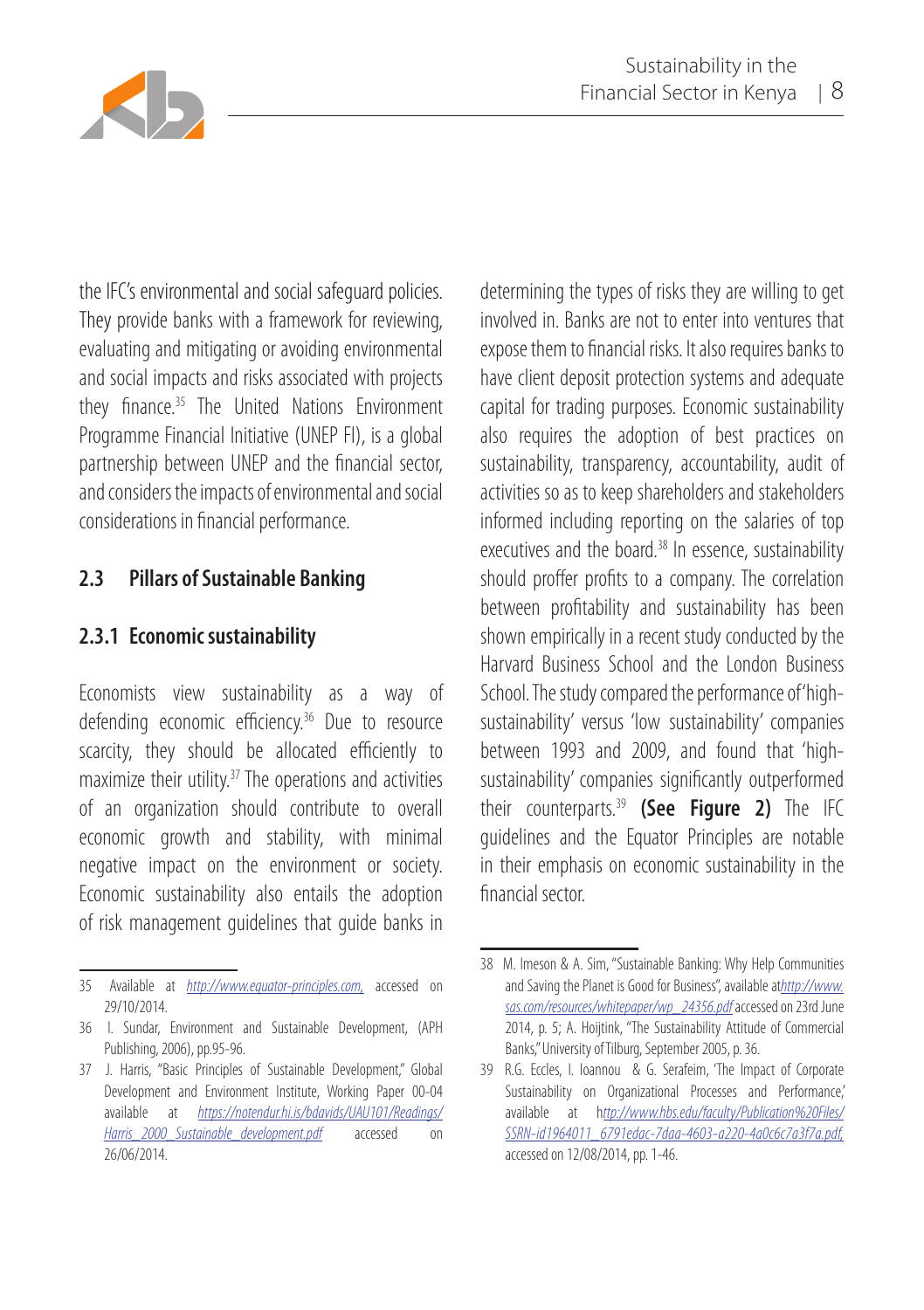

the IFC's environmental and social safeguard policies. They provide banks with a framework for reviewing, evaluating and mitigating or avoiding environmental and social impacts and risks associated with projects they finance.<sup>35</sup> The United Nations Environment Programme Financial Initiative (UNEP FI), is a global partnership between UNEP and the financial sector, and considers the impacts of environmental and social considerations in financial performance.

## **2.3 Pillars of Sustainable Banking**

#### **2.3.1 Economic sustainability**

Economists view sustainability as a way of defending economic efficiency.36 Due to resource scarcity, they should be allocated efficiently to maximize their utility.37 The operations and activities of an organization should contribute to overall economic growth and stability, with minimal negative impact on the environment or society. Economic sustainability also entails the adoption of risk management guidelines that guide banks in

determining the types of risks they are willing to get involved in. Banks are not to enter into ventures that expose them to financial risks. It also requires banks to have client deposit protection systems and adequate capital for trading purposes. Economic sustainability also requires the adoption of best practices on sustainability, transparency, accountability, audit of activities so as to keep shareholders and stakeholders informed including reporting on the salaries of top executives and the board.<sup>38</sup> In essence, sustainability should proffer profits to a company. The correlation between profitability and sustainability has been shown empirically in a recent study conducted by the Harvard Business School and the London Business School. The study compared the performance of 'highsustainability' versus 'low sustainability' companies between 1993 and 2009, and found that 'highsustainability' companies significantly outperformed their counterparts.39 **(See Figure 2)** The IFC guidelines and the Equator Principles are notable in their emphasis on economic sustainability in the financial sector.

<sup>35</sup> Available at *http://www.equator-principles.com,* accessed on 29/10/2014.

<sup>36</sup> I. Sundar, Environment and Sustainable Development, (APH Publishing, 2006), pp.95-96.

<sup>37</sup> J. Harris, "Basic Principles of Sustainable Development," Global Development and Environment Institute, Working Paper 00-04 available at *https://notendur.hi.is/bdavids/UAU101/Readings/ Harris\_2000\_Sustainable\_development.pdf* accessed on 26/06/2014.

<sup>38</sup> M. Imeson & A. Sim, "Sustainable Banking: Why Help Communities and Saving the Planet is Good for Business", available at*http://www. sas.com/resources/whitepaper/wp\_24356.pdf* accessed on 23rd June 2014, p. 5; A. Hoijtink, "The Sustainability Attitude of Commercial Banks," University of Tilburg, September 2005, p. 36.

<sup>39</sup> R.G. Eccles, I. Ioannou & G. Serafeim, 'The Impact of Corporate Sustainability on Organizational Processes and Performance,' available at h*ttp://www.hbs.edu/faculty/Publication%20Files/ SSRN-id1964011\_6791edac-7daa-4603-a220-4a0c6c7a3f7a.pdf,* accessed on 12/08/2014, pp. 1-46.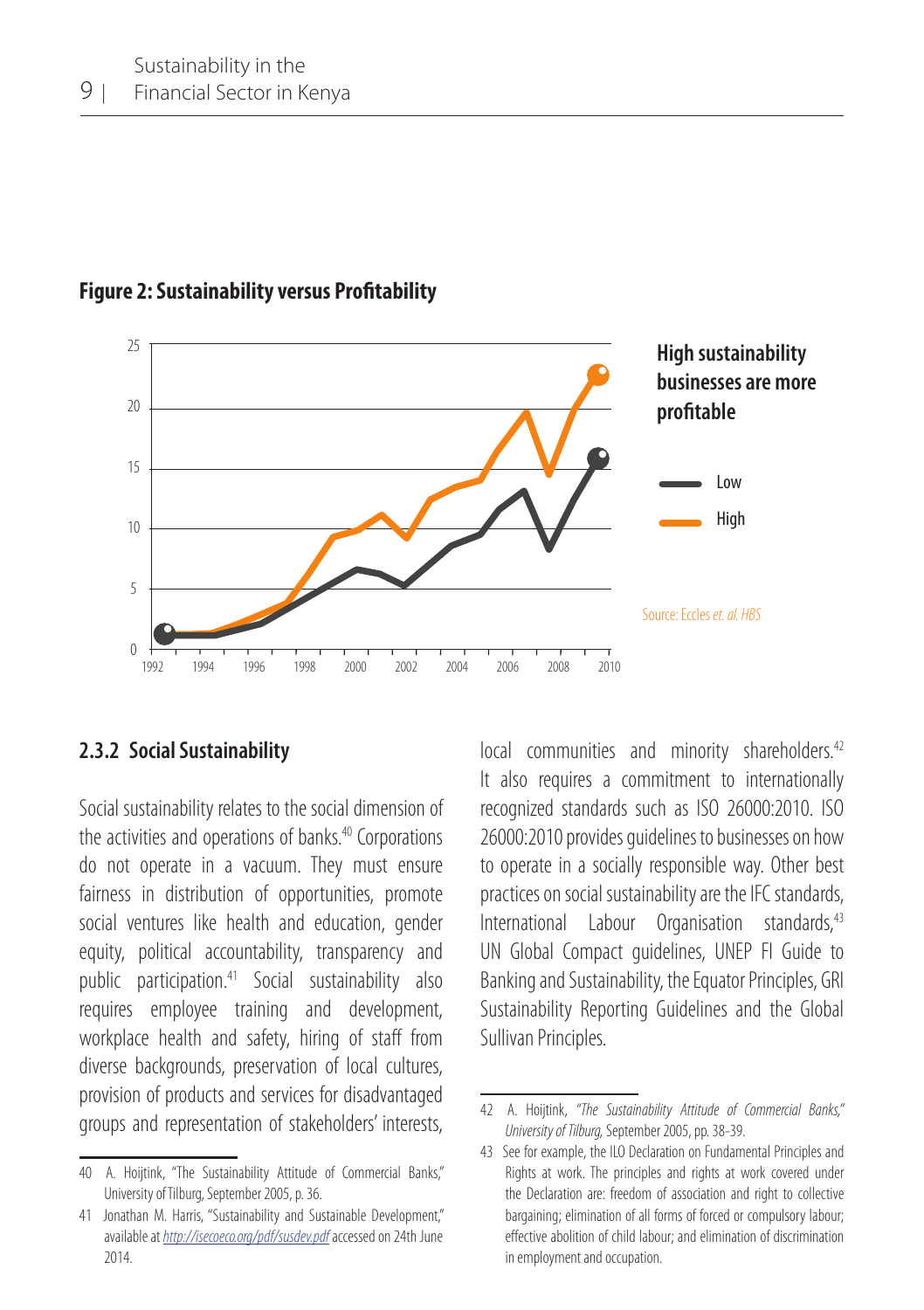

**Figure 2: Sustainability versus Profitability**

#### **2.3.2 Social Sustainability**

Social sustainability relates to the social dimension of the activities and operations of banks.<sup>40</sup> Corporations do not operate in a vacuum. They must ensure fairness in distribution of opportunities, promote social ventures like health and education, gender equity, political accountability, transparency and public participation.41 Social sustainability also requires employee training and development, workplace health and safety, hiring of staff from diverse backgrounds, preservation of local cultures, provision of products and services for disadvantaged groups and representation of stakeholders' interests, local communities and minority shareholders.<sup>42</sup> It also requires a commitment to internationally recognized standards such as ISO 26000:2010. ISO 26000:2010 provides guidelines to businesses on how to operate in a socially responsible way. Other best practices on social sustainability are the IFC standards, International Labour Organisation standards,<sup>43</sup> UN Global Compact guidelines, UNEP FI Guide to Banking and Sustainability, the Equator Principles, GRI Sustainability Reporting Guidelines and the Global Sullivan Principles.

<sup>40</sup> A. Hoiitink, "The Sustainability Attitude of Commercial Banks," University of Tilburg, September 2005, p. 36.

<sup>41</sup> Jonathan M. Harris, "Sustainability and Sustainable Development," available at *http://isecoeco.org/pdf/susdev.pdf* accessed on 24th June 2014.

<sup>42</sup> A. Hoijtink, *"The Sustainability Attitude of Commercial Banks," University of Tilburg,* September 2005, pp. 38-39.

<sup>43</sup> See for example, the ILO Declaration on Fundamental Principles and Rights at work. The principles and rights at work covered under the Declaration are: freedom of association and right to collective bargaining; elimination of all forms of forced or compulsory labour; effective abolition of child labour; and elimination of discrimination in employment and occupation.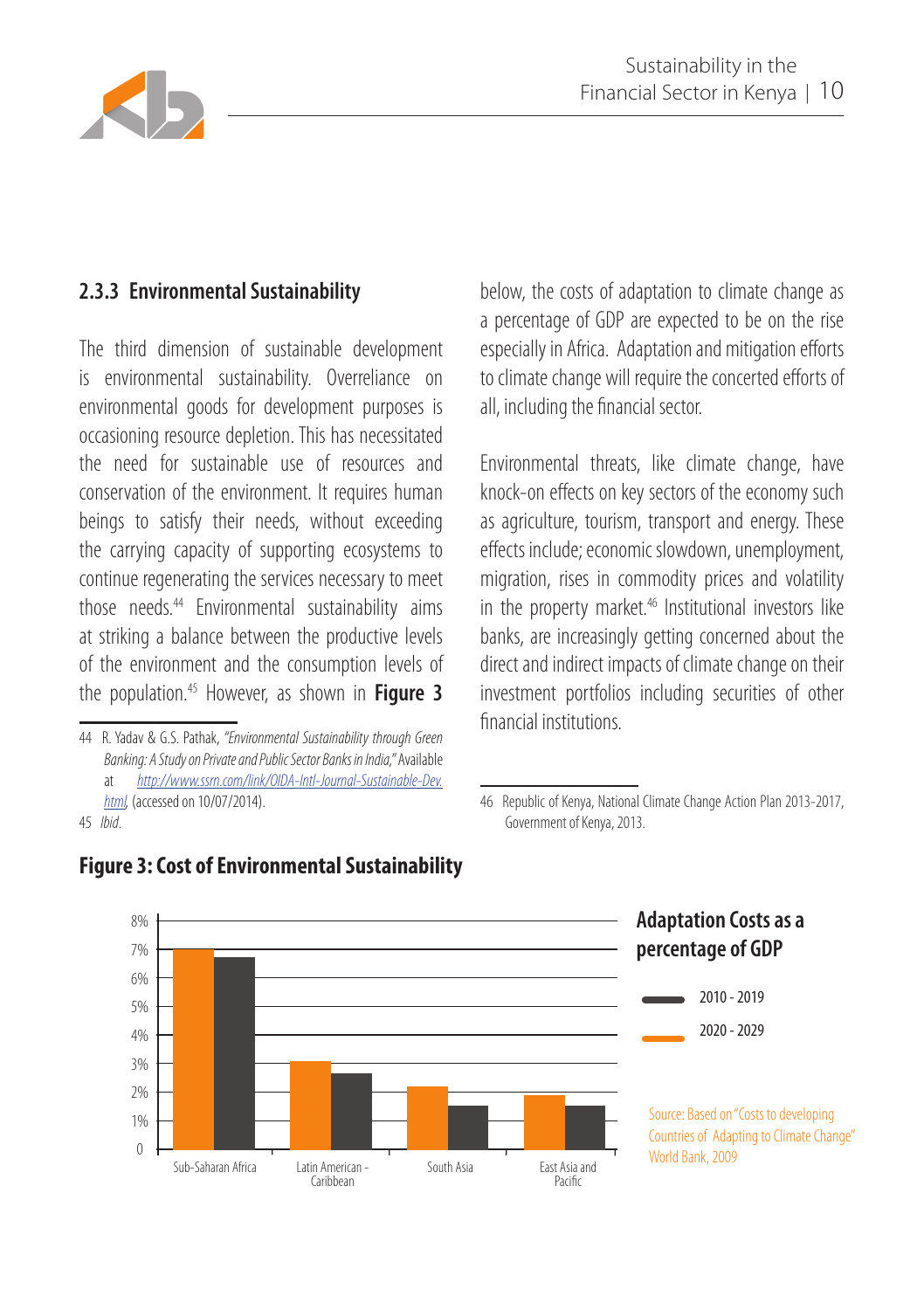

#### **2.3.3 Environmental Sustainability**

The third dimension of sustainable development is environmental sustainability. Overreliance on environmental goods for development purposes is occasioning resource depletion. This has necessitated the need for sustainable use of resources and conservation of the environment. It requires human beings to satisfy their needs, without exceeding the carrying capacity of supporting ecosystems to continue regenerating the services necessary to meet those needs.44 Environmental sustainability aims at striking a balance between the productive levels of the environment and the consumption levels of the population.45 However, as shown in **Figure 3** 

45 *Ibid*.

below, the costs of adaptation to climate change as a percentage of GDP are expected to be on the rise especially in Africa. Adaptation and mitigation efforts to climate change will require the concerted efforts of all, including the financial sector.

Environmental threats, like climate change, have knock-on effects on key sectors of the economy such as agriculture, tourism, transport and energy. These effects include; economic slowdown, unemployment, migration, rises in commodity prices and volatility in the property market. $46$  Institutional investors like banks, are increasingly getting concerned about the direct and indirect impacts of climate change on their investment portfolios including securities of other financial institutions.

<sup>46</sup> Republic of Kenya, National Climate Change Action Plan 2013-2017, Government of Kenya, 2013.



#### **Figure 3: Cost of Environmental Sustainability**

<sup>44</sup> R. Yadav & G.S. Pathak, *"Environmental Sustainability through Green Banking: A Study on Private and Public Sector Banks in India,"* Available at *http://www.ssrn.com/link/OIDA-Intl-Journal-Sustainable-Dev. html,* (accessed on 10/07/2014).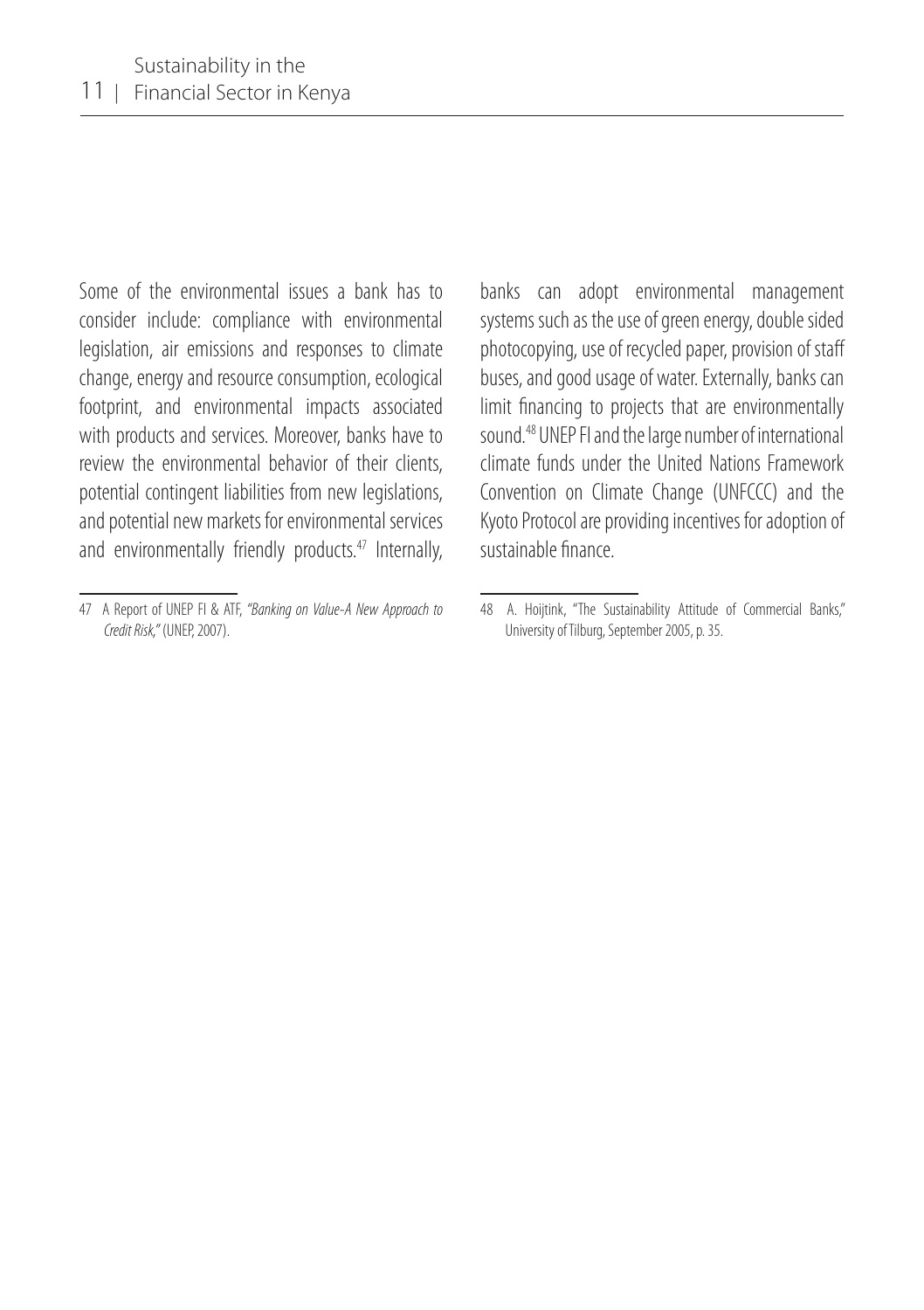Some of the environmental issues a bank has to consider include: compliance with environmental legislation, air emissions and responses to climate change, energy and resource consumption, ecological footprint, and environmental impacts associated with products and services. Moreover, banks have to review the environmental behavior of their clients, potential contingent liabilities from new legislations, and potential new markets for environmental services and environmentally friendly products.<sup>47</sup> Internally, banks can adopt environmental management systems such as the use of green energy, double sided photocopying, use of recycled paper, provision of staff buses, and good usage of water. Externally, banks can limit financing to projects that are environmentally sound.48 UNEP FI and the large number of international climate funds under the United Nations Framework Convention on Climate Change (UNFCCC) and the Kyoto Protocol are providing incentives for adoption of sustainable finance.

<sup>47</sup> A Report of UNEP FI & ATF, *"Banking on Value-A New Approach to Credit Risk,"* (UNEP, 2007).

<sup>48</sup> A. Hoijtink, "The Sustainability Attitude of Commercial Banks," University of Tilburg, September 2005, p. 35.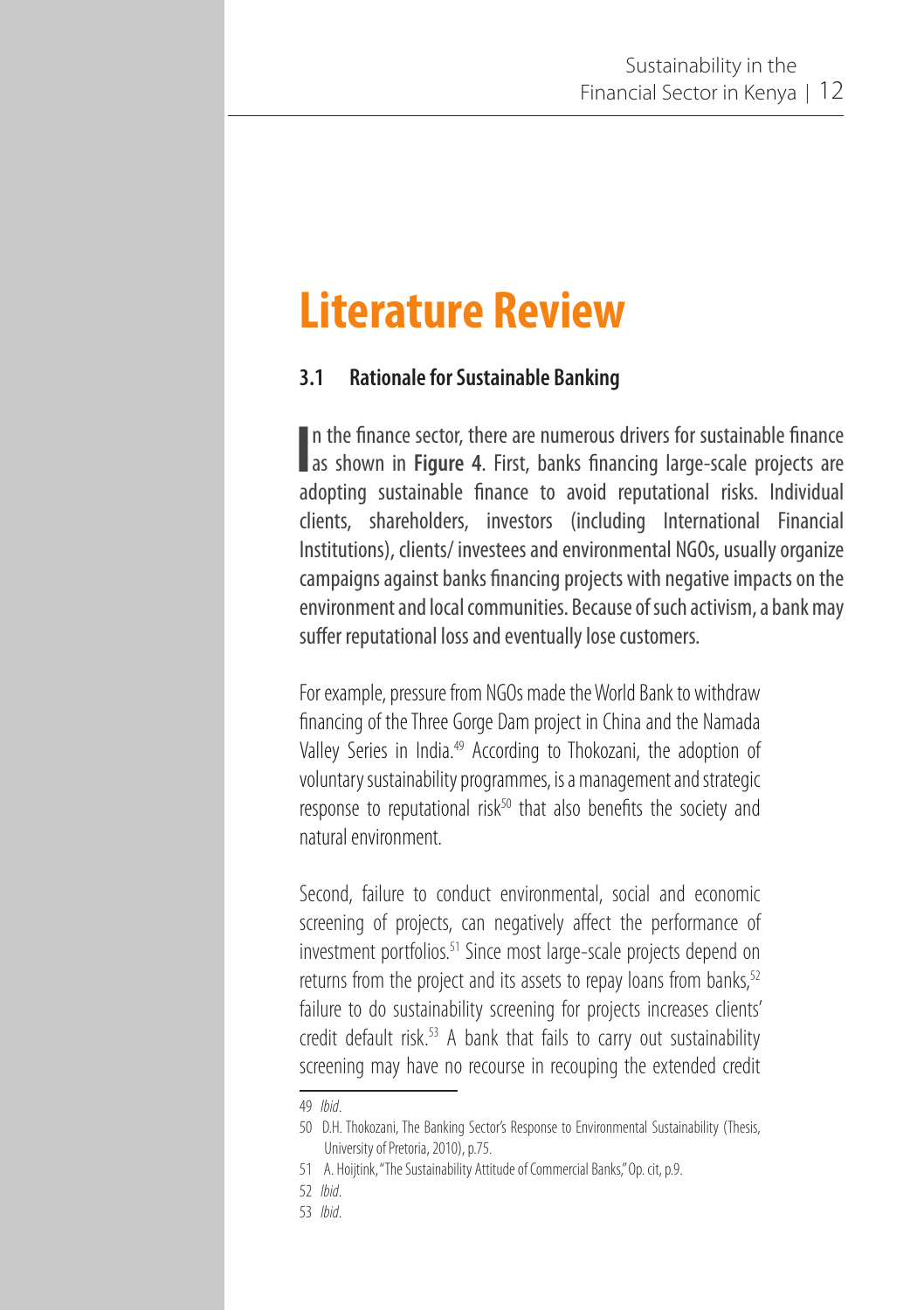## **Literature Review**

#### **3.1 Rationale for Sustainable Banking**

In the finance sector, there are numerous drivers for sustainable finance as shown in **Figure 4**. First, banks financing large-scale projects are In the finance sector, there are numerous drivers for sustainable finance adopting sustainable finance to avoid reputational risks. Individual clients, shareholders, investors (including International Financial Institutions), clients/ investees and environmental NGOs, usually organize campaigns against banks financing projects with negative impacts on the environment and local communities. Because of such activism, a bank may suffer reputational loss and eventually lose customers.

For example, pressure from NGOs made the World Bank to withdraw financing of the Three Gorge Dam project in China and the Namada Valley Series in India.<sup>49</sup> According to Thokozani, the adoption of voluntary sustainability programmes, is a management and strategic response to reputational risk $50$  that also benefits the society and natural environment.

Second, failure to conduct environmental, social and economic screening of projects, can negatively affect the performance of investment portfolios.<sup>51</sup> Since most large-scale projects depend on returns from the project and its assets to repay loans from banks,<sup>52</sup> failure to do sustainability screening for projects increases clients' credit default risk.<sup>53</sup> A bank that fails to carry out sustainability screening may have no recourse in recouping the extended credit

<sup>49</sup> *Ibid*.

<sup>50</sup> D.H. Thokozani, The Banking Sector's Response to Environmental Sustainability (Thesis, University of Pretoria, 2010), p.75.

<sup>51</sup> A. Hoijtink, "The Sustainability Attitude of Commercial Banks," Op. cit, p.9.

<sup>52</sup> *Ibid*.

<sup>53</sup> *Ibid*.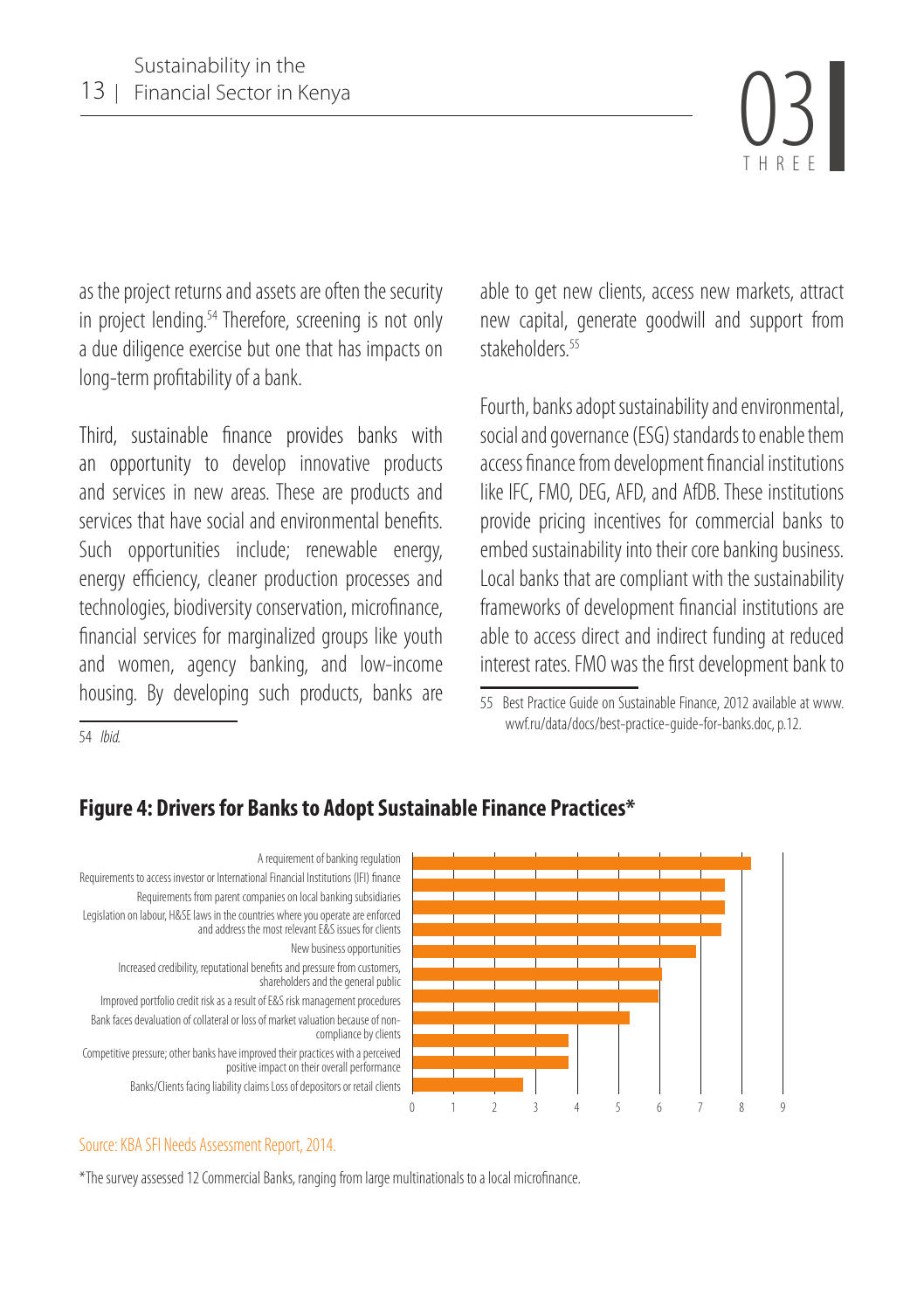Financial Sector in Kenya 03 THREE

as the project returns and assets are often the security in project lending.<sup>54</sup> Therefore, screening is not only a due diligence exercise but one that has impacts on long-term profitability of a bank.

Third, sustainable finance provides banks with an opportunity to develop innovative products and services in new areas. These are products and services that have social and environmental benefits. Such opportunities include; renewable energy, energy efficiency, cleaner production processes and technologies, biodiversity conservation, microfinance, financial services for marginalized groups like youth and women, agency banking, and low-income housing. By developing such products, banks are

able to get new clients, access new markets, attract new capital, generate goodwill and support from stakeholders<sup>55</sup>

Fourth, banks adopt sustainability and environmental, social and governance (ESG) standards to enable them access finance from development financial institutions like IFC, FMO, DEG, AFD, and AfDB. These institutions provide pricing incentives for commercial banks to embed sustainability into their core banking business. Local banks that are compliant with the sustainability frameworks of development financial institutions are able to access direct and indirect funding at reduced interest rates. FMO was the first development bank to

55 Best Practice Guide on Sustainable Finance, 2012 available at www. wwf.ru/data/docs/best-practice-guide-for-banks.doc, p.12.

54 *Ibid.*

#### **Figure 4: Drivers for Banks to Adopt Sustainable Finance Practices\***



#### Source: KBA SFI Needs Assessment Report, 2014.

\*The survey assessed 12 Commercial Banks, ranging from large multinationals to a local microfinance.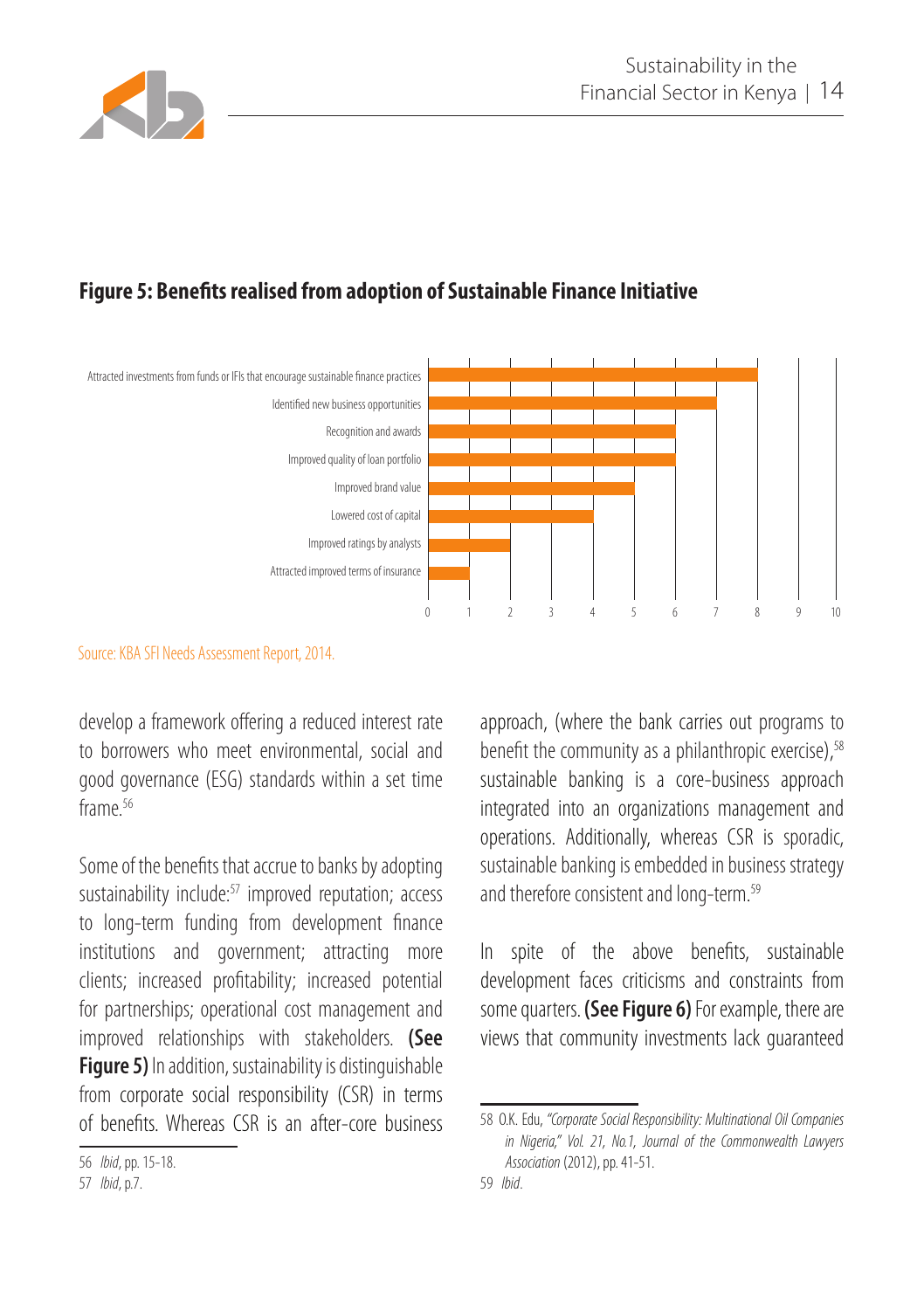

#### **Figure 5: Benefits realised from adoption of Sustainable Finance Initiative**



#### Source: KBA SFI Needs Assessment Report, 2014.

develop a framework offering a reduced interest rate to borrowers who meet environmental, social and good governance (ESG) standards within a set time frame<sup>56</sup>

Some of the benefits that accrue to banks by adopting sustainability include:<sup>57</sup> improved reputation; access to long-term funding from development finance institutions and government; attracting more clients; increased profitability; increased potential for partnerships; operational cost management and improved relationships with stakeholders. **(See Figure 5)** In addition, sustainability is distinguishable from corporate social responsibility (CSR) in terms of benefits. Whereas CSR is an after-core business approach, (where the bank carries out programs to benefit the community as a philanthropic exercise), $58$ sustainable banking is a core-business approach integrated into an organizations management and operations. Additionally, whereas CSR is sporadic, sustainable banking is embedded in business strategy and therefore consistent and long-term. 59

In spite of the above benefits, sustainable development faces criticisms and constraints from some quarters. **(See Figure 6)** For example, there are views that community investments lack guaranteed

<sup>56</sup> *Ibid*, pp. 15-18.

<sup>57</sup> *Ibid*, p.7.

<sup>58</sup> O.K. Edu, *"Corporate Social Responsibility: Multinational Oil Companies in Nigeria," Vol. 21, No.1, Journal of the Commonwealth Lawyers Association* (2012), pp. 41-51.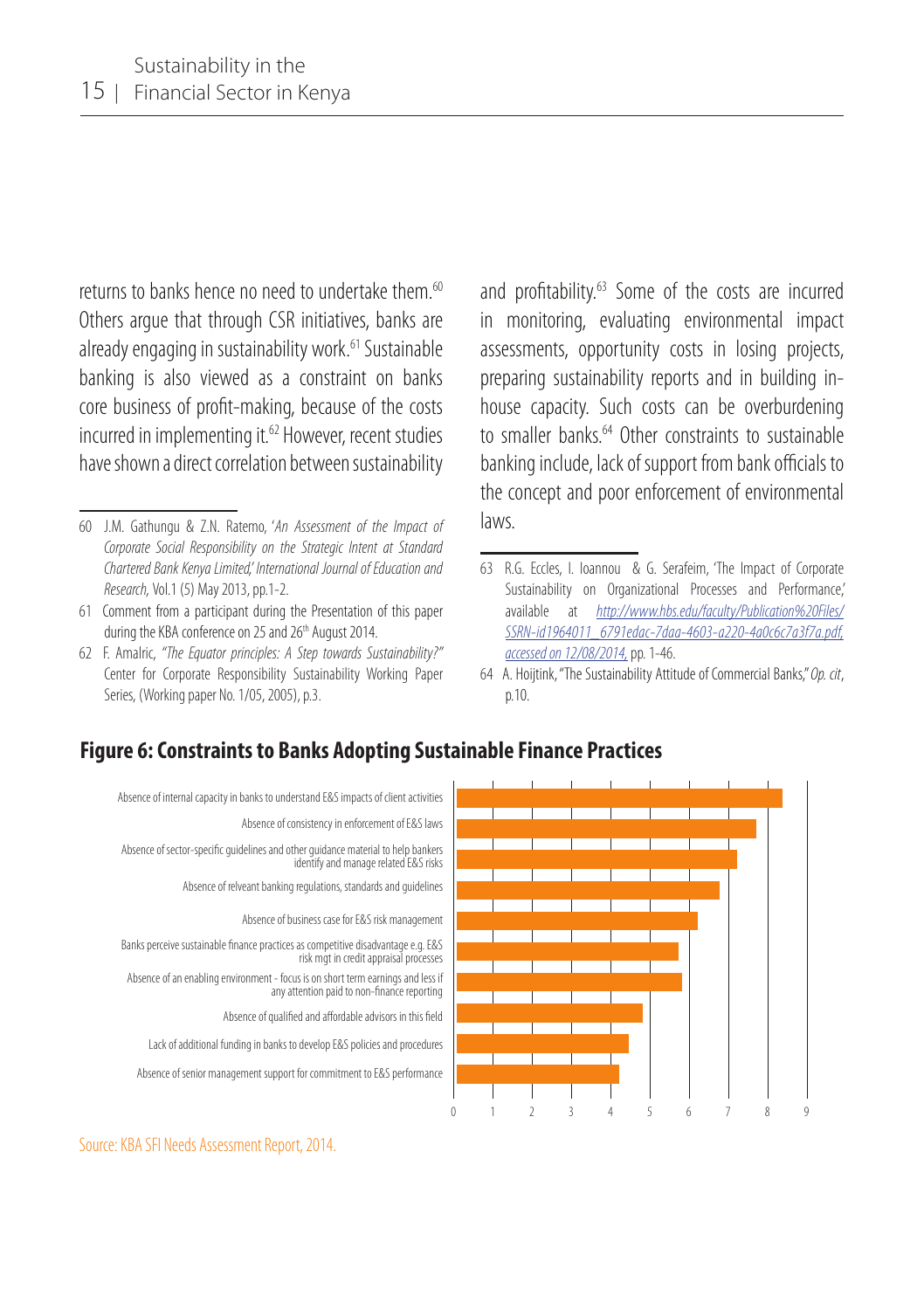returns to banks hence no need to undertake them <sup>60</sup> Others argue that through CSR initiatives, banks are already engaging in sustainability work.<sup>61</sup> Sustainable banking is also viewed as a constraint on banks core business of profit-making, because of the costs incurred in implementing it.<sup>62</sup> However, recent studies have shown a direct correlation between sustainability

62 F. Amalric, *"The Equator principles: A Step towards Sustainability?"*  Center for Corporate Responsibility Sustainability Working Paper Series, (Working paper No. 1/05, 2005), p.3.

and profitability.63 Some of the costs are incurred in monitoring, evaluating environmental impact assessments, opportunity costs in losing projects, preparing sustainability reports and in building inhouse capacity. Such costs can be overburdening to smaller banks.<sup>64</sup> Other constraints to sustainable banking include, lack of support from bank officials to the concept and poor enforcement of environmental laws.

64 A. Hoijtink, "The Sustainability Attitude of Commercial Banks," *Op. cit*, p.10.

### **Figure 6: Constraints to Banks Adopting Sustainable Finance Practices**



Source: KBA SFI Needs Assessment Report, 2014.

<sup>60</sup> J.M. Gathungu & Z.N. Ratemo, '*An Assessment of the Impact of Corporate Social Responsibility on the Strategic Intent at Standard Chartered Bank Kenya Limited,' International Journal of Education and Research,* Vol.1 (5) May 2013, pp.1-2.

<sup>61</sup> Comment from a participant during the Presentation of this paper during the KBA conference on 25 and 26<sup>th</sup> August 2014.

<sup>63</sup> R.G. Eccles, I. Ioannou & G. Serafeim, 'The Impact of Corporate Sustainability on Organizational Processes and Performance,' available at *http://www.hbs.edu/faculty/Publication%20Files/ SSRN-id1964011\_6791edac-7daa-4603-a220-4a0c6c7a3f7a.pdf, accessed on 12/08/2014,* pp. 1-46.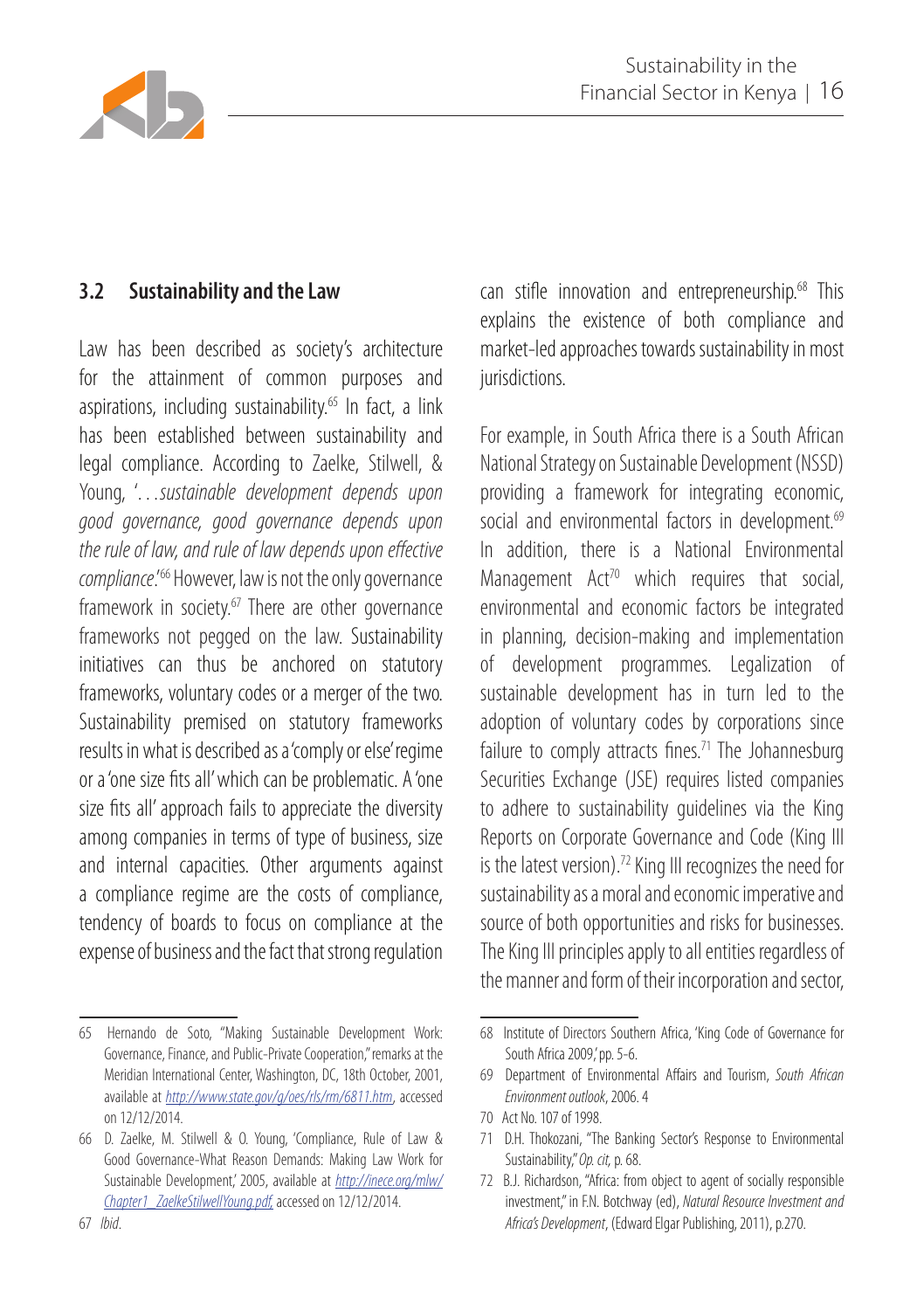

#### **3.2 Sustainability and the Law**

Law has been described as society's architecture for the attainment of common purposes and aspirations, including sustainability.<sup>65</sup> In fact, a link has been established between sustainability and legal compliance. According to Zaelke, Stilwell, & Young, '…*sustainable development depends upon good governance, good governance depends upon the rule of law, and rule of law depends upon effective compliance*.'66 However, law is not the only governance framework in society. $67$  There are other governance frameworks not pegged on the law. Sustainability initiatives can thus be anchored on statutory frameworks, voluntary codes or a merger of the two. Sustainability premised on statutory frameworks results in what is described as a 'comply or else' regime or a 'one size fits all' which can be problematic. A 'one size fits all' approach fails to appreciate the diversity among companies in terms of type of business, size and internal capacities. Other arguments against a compliance regime are the costs of compliance, tendency of boards to focus on compliance at the expense of business and the fact that strong regulation

can stifle innovation and entrepreneurship.<sup>68</sup> This explains the existence of both compliance and market-led approaches towards sustainability in most jurisdictions.

For example, in South Africa there is a South African National Strategy on Sustainable Development (NSSD) providing a framework for integrating economic, social and environmental factors in development.<sup>69</sup> In addition, there is a National Environmental Management  $Act^{70}$  which requires that social, environmental and economic factors be integrated in planning, decision-making and implementation of development programmes. Legalization of sustainable development has in turn led to the adoption of voluntary codes by corporations since failure to comply attracts fines.<sup>71</sup> The Johannesburg Securities Exchange (JSE) requires listed companies to adhere to sustainability guidelines via the King Reports on Corporate Governance and Code (King III is the latest version).<sup>72</sup> King III recognizes the need for sustainability as a moral and economic imperative and source of both opportunities and risks for businesses. The King III principles apply to all entities regardless of the manner and form of their incorporation and sector,

<sup>65</sup> Hernando de Soto, "Making Sustainable Development Work: Governance, Finance, and Public-Private Cooperation," remarks at the Meridian International Center, Washington, DC, 18th October, 2001, available at *http://www.state.gov/g/oes/rls/rm/6811.htm*, accessed on 12/12/2014.

<sup>66</sup> D. Zaelke, M. Stilwell & O. Young, 'Compliance, Rule of Law & Good Governance-What Reason Demands: Making Law Work for Sustainable Development,' 2005, available at *http://inece.org/mlw/ Chapter1\_ZaelkeStilwellYoung.pdf,* accessed on 12/12/2014.

<sup>68</sup> Institute of Directors Southern Africa, 'King Code of Governance for South Africa 2009,' pp. 5-6.

<sup>69</sup> Department of Environmental Affairs and Tourism, *South African Environment outlook*, 2006. 4

<sup>70</sup> Act No. 107 of 1998.

<sup>71</sup> D.H. Thokozani, "The Banking Sector's Response to Environmental Sustainability," *Op. cit,* p. 68.

<sup>72</sup> B.J. Richardson, "Africa: from object to agent of socially responsible investment," in F.N. Botchway (ed), *Natural Resource Investment and Africa's Development*, (Edward Elgar Publishing, 2011), p.270.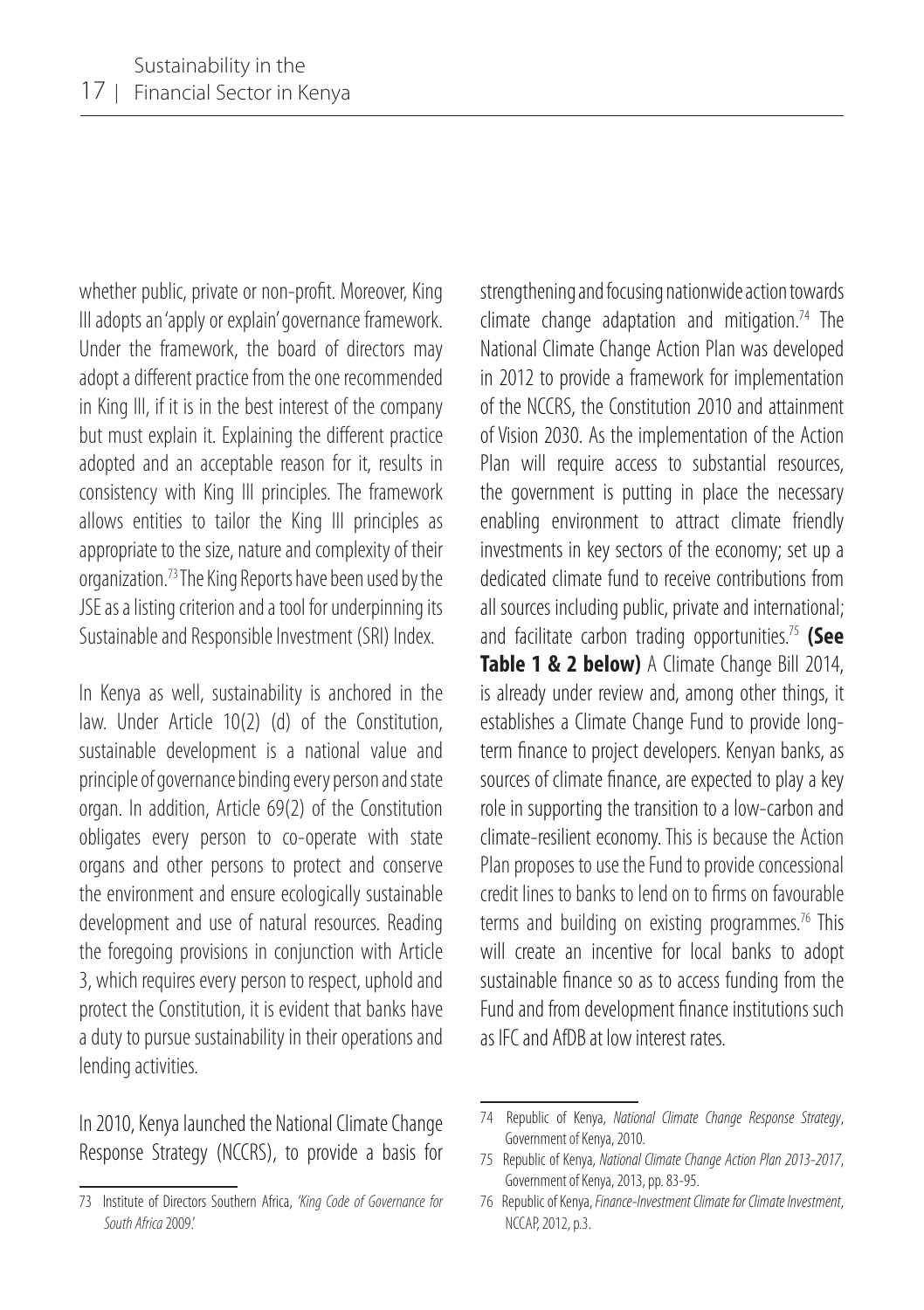whether public, private or non-profit. Moreover, King III adopts an 'apply or explain' governance framework. Under the framework, the board of directors may adopt a different practice from the one recommended in King III, if it is in the best interest of the company but must explain it. Explaining the different practice adopted and an acceptable reason for it, results in consistency with King III principles. The framework allows entities to tailor the King III principles as appropriate to the size, nature and complexity of their organization.73 The King Reports have been used by the JSE as a listing criterion and a tool for underpinning its Sustainable and Responsible Investment (SRI) Index.

In Kenya as well, sustainability is anchored in the law. Under Article 10(2) (d) of the Constitution, sustainable development is a national value and principle of governance binding every person and state organ. In addition, Article 69(2) of the Constitution obligates every person to co-operate with state organs and other persons to protect and conserve the environment and ensure ecologically sustainable development and use of natural resources. Reading the foregoing provisions in conjunction with Article 3, which requires every person to respect, uphold and protect the Constitution, it is evident that banks have a duty to pursue sustainability in their operations and lending activities.

In 2010, Kenya launched the National Climate Change Response Strategy (NCCRS), to provide a basis for strengthening and focusing nationwide action towards climate change adaptation and mitigation.<sup>74</sup> The National Climate Change Action Plan was developed in 2012 to provide a framework for implementation of the NCCRS, the Constitution 2010 and attainment of Vision 2030. As the implementation of the Action Plan will require access to substantial resources, the government is putting in place the necessary enabling environment to attract climate friendly investments in key sectors of the economy; set up a dedicated climate fund to receive contributions from all sources including public, private and international; and facilitate carbon trading opportunities.75 **(See Table 1 & 2 below)** A Climate Change Bill 2014, is already under review and, among other things, it establishes a Climate Change Fund to provide longterm finance to project developers. Kenyan banks, as sources of climate finance, are expected to play a key role in supporting the transition to a low-carbon and climate-resilient economy. This is because the Action Plan proposes to use the Fund to provide concessional credit lines to banks to lend on to firms on favourable terms and building on existing programmes.<sup>76</sup> This will create an incentive for local banks to adopt sustainable finance so as to access funding from the Fund and from development finance institutions such as IFC and AfDB at low interest rates.

<sup>73</sup> Institute of Directors Southern Africa, *'King Code of Governance for South Africa* 2009.'

<sup>74</sup> Republic of Kenya, *National Climate Change Response Strategy*, Government of Kenya, 2010.

<sup>75</sup> Republic of Kenya, *National Climate Change Action Plan 2013-2017*, Government of Kenya, 2013, pp. 83-95.

<sup>76</sup> Republic of Kenya, *Finance-Investment Climate for Climate Investment*, NCCAP, 2012, p.3.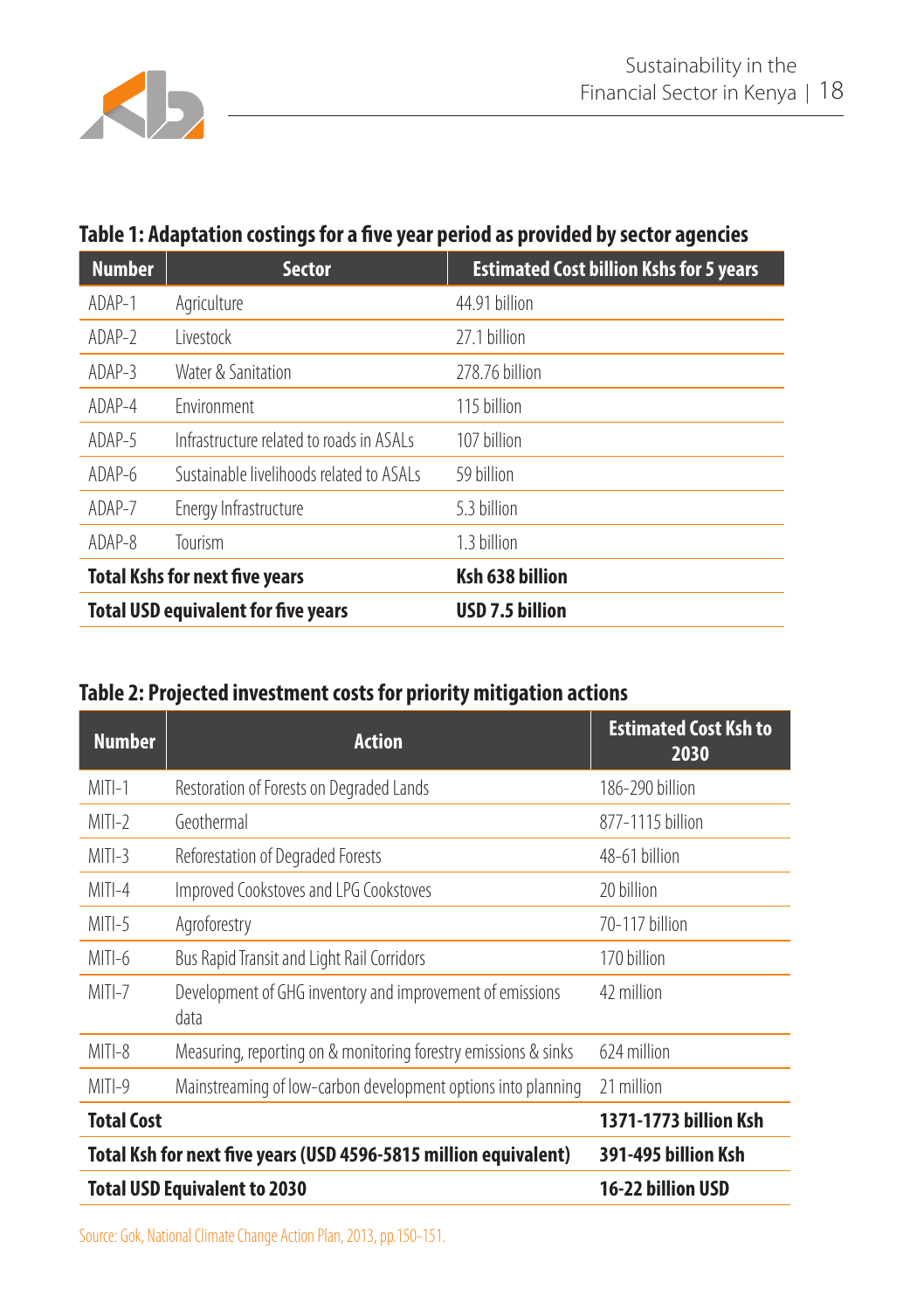

### **Table 1: Adaptation costings for a five year period as provided by sector agencies**

| <b>Number</b>                         | <b>Sector</b>                              | <b>Estimated Cost billion Kshs for 5 years</b> |
|---------------------------------------|--------------------------------------------|------------------------------------------------|
| ADAP-1                                | Agriculture                                | 44.91 billion                                  |
| $ADAP-2$                              | Livestock                                  | 27.1 billion                                   |
| $ADAP-3$                              | Water & Sanitation                         | 278.76 billion                                 |
| ADAP-4                                | <b>Fnvironment</b>                         | 115 billion                                    |
| ADAP-5                                | Infrastructure related to roads in ASAI s  | 107 billion                                    |
| ADAP-6                                | Sustainable livelihoods related to ASALs   | 59 billion                                     |
| ADAP-7                                | Energy Infrastructure                      | 5.3 billion                                    |
| ADAP-8                                | Tourism                                    | 1.3 billion                                    |
| <b>Total Kshs for next five years</b> |                                            | Ksh 638 billion                                |
|                                       | <b>Total USD equivalent for five years</b> | USD 7.5 billion                                |

### **Table 2: Projected investment costs for priority mitigation actions**

| <b>Number</b>     | <b>Action</b>                                                     | <b>Estimated Cost Ksh to</b><br>2030 |
|-------------------|-------------------------------------------------------------------|--------------------------------------|
| $MITI-1$          | Restoration of Forests on Degraded Lands                          | 186-290 billion                      |
| $MITI-2$          | Geothermal                                                        | 877-1115 billion                     |
| $MITI-3$          | Reforestation of Degraded Forests                                 | 48-61 billion                        |
| $MITI-4$          | Improved Cookstoves and LPG Cookstoves                            | 20 billion                           |
| $MITI-5$          | Agroforestry                                                      | 70-117 billion                       |
| $MITI-6$          | Bus Rapid Transit and Light Rail Corridors                        | 170 billion                          |
| MITI-7            | Development of GHG inventory and improvement of emissions<br>data | 42 million                           |
| $MITI-8$          | Measuring, reporting on & monitoring forestry emissions & sinks   | 624 million                          |
| $MITI-9$          | Mainstreaming of low-carbon development options into planning     | 21 million                           |
| <b>Total Cost</b> |                                                                   | 1371-1773 billion Ksh                |
|                   | Total Ksh for next five years (USD 4596-5815 million equivalent)  | 391-495 billion Ksh                  |
|                   | <b>Total USD Equivalent to 2030</b>                               | 16-22 billion USD                    |

Source: Gok, National Climate Change Action Plan, 2013, pp.150-151.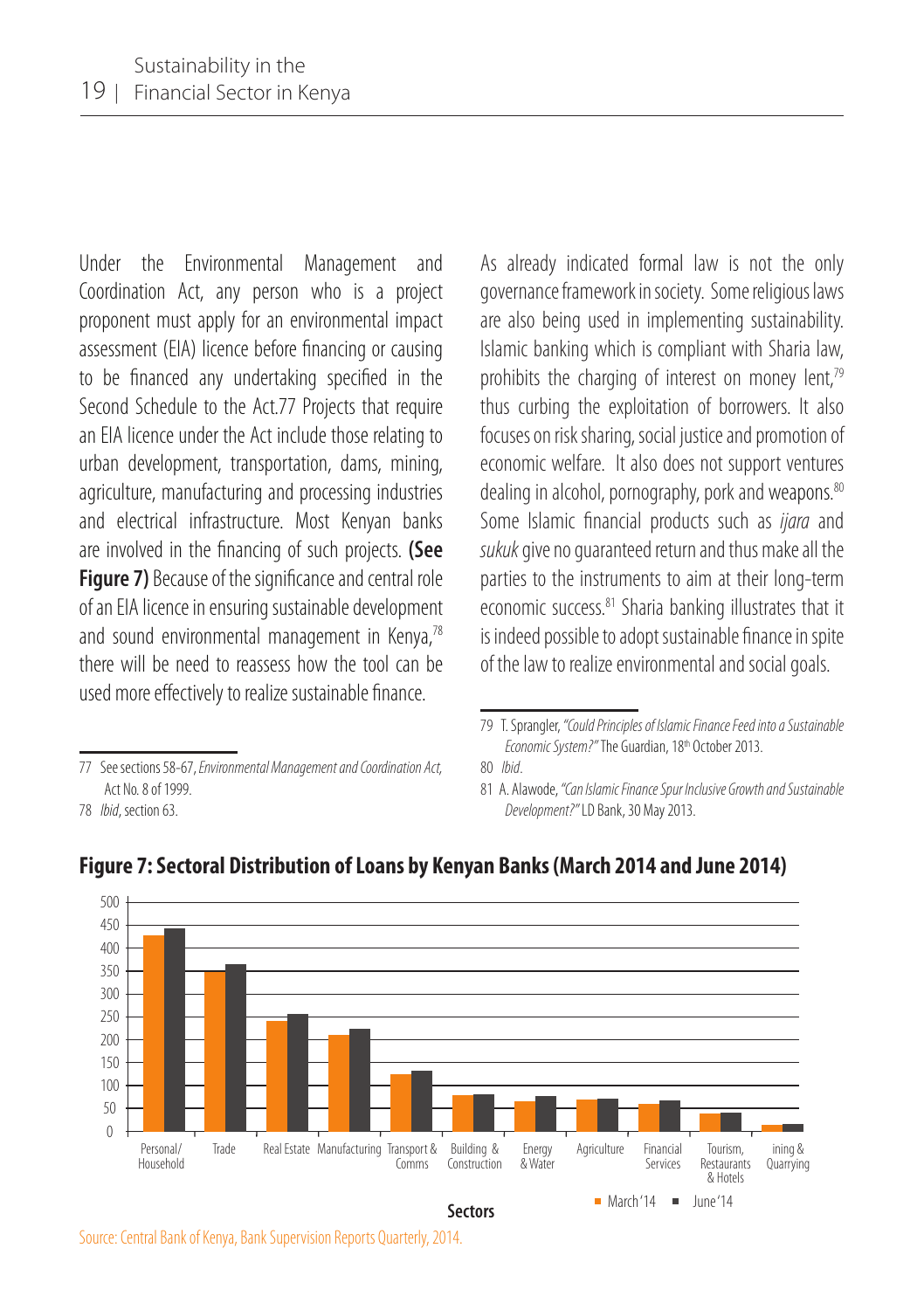Under the Environmental Management and Coordination Act, any person who is a project proponent must apply for an environmental impact assessment (EIA) licence before financing or causing to be financed any undertaking specified in the Second Schedule to the Act.77 Projects that require an EIA licence under the Act include those relating to urban development, transportation, dams, mining, agriculture, manufacturing and processing industries and electrical infrastructure. Most Kenyan banks are involved in the financing of such projects. **(See Figure 7)** Because of the significance and central role of an EIA licence in ensuring sustainable development and sound environmental management in Kenya,78 there will be need to reassess how the tool can be used more effectively to realize sustainable finance.

As already indicated formal law is not the only governance framework in society. Some religious laws are also being used in implementing sustainability. Islamic banking which is compliant with Sharia law, prohibits the charging of interest on money lent,<sup>79</sup> thus curbing the exploitation of borrowers. It also focuses on risk sharing, social justice and promotion of economic welfare. It also does not support ventures dealing in alcohol, pornography, pork and weapons. 80 Some Islamic financial products such as *ijara* and *sukuk* give no guaranteed return and thus make all the parties to the instruments to aim at their long-term economic success.<sup>81</sup> Sharia banking illustrates that it is indeed possible to adopt sustainable finance in spite of the law to realize environmental and social goals.

81 A. Alawode, *"Can Islamic Finance Spur Inclusive Growth and Sustainable Development?"* LD Bank, 30 May 2013.



#### **Figure 7: Sectoral Distribution of Loans by Kenyan Banks (March 2014 and June 2014)**

<sup>77</sup> See sections 58-67, *Environmental Management and Coordination Act,* Act No. 8 of 1999.

<sup>78</sup> *Ibid*, section 63.

<sup>79</sup> T. Sprangler, *"Could Principles of Islamic Finance Feed into a Sustainable Economic System?"* The Guardian, 18th October 2013.

<sup>80</sup> *Ibid*.

Source: Central Bank of Kenya, Bank Supervision Reports Quarterly, 2014.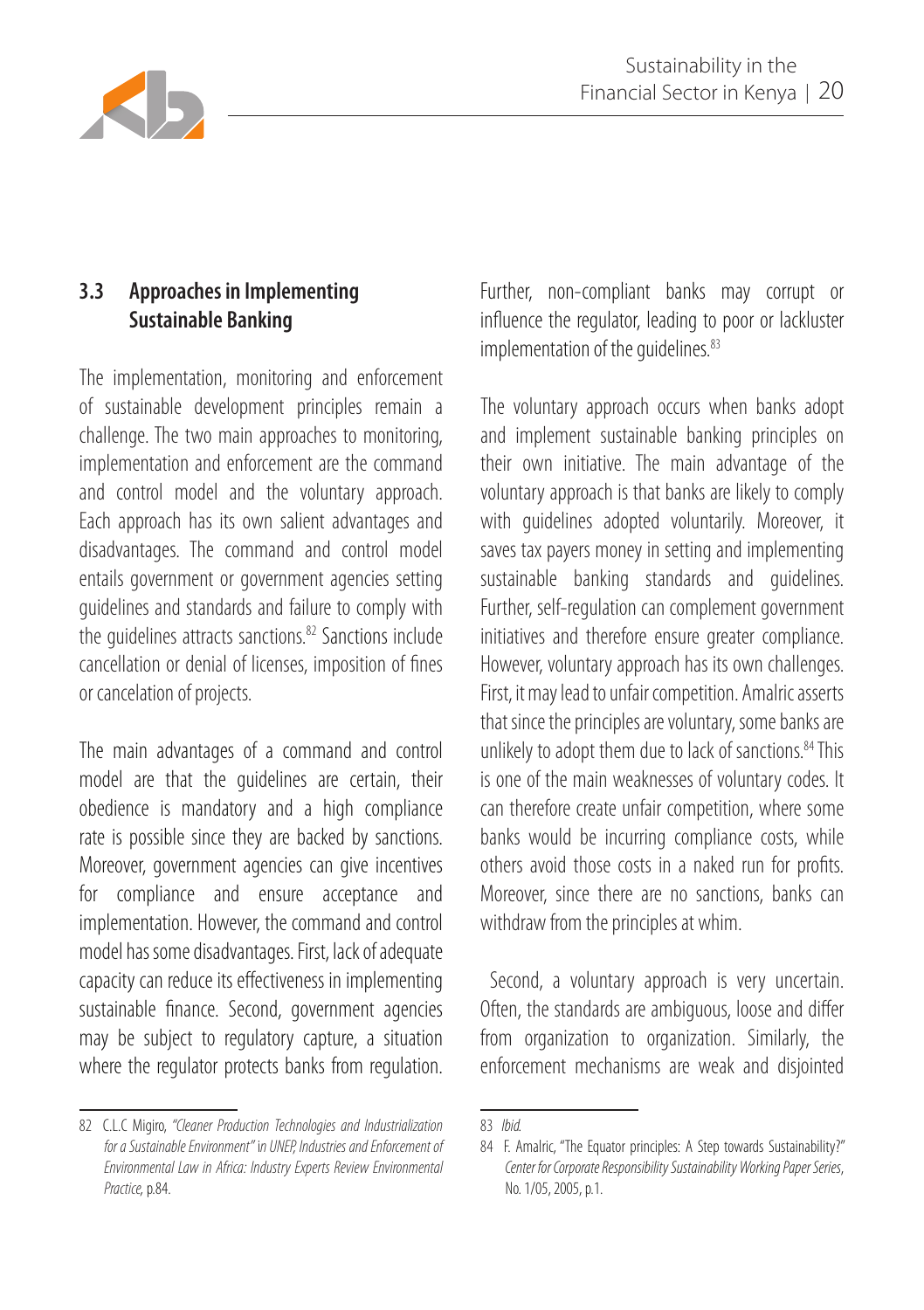

## **3.3 Approaches in Implementing Sustainable Banking**

The implementation, monitoring and enforcement of sustainable development principles remain a challenge. The two main approaches to monitoring, implementation and enforcement are the command and control model and the voluntary approach. Each approach has its own salient advantages and disadvantages. The command and control model entails government or government agencies setting guidelines and standards and failure to comply with the quidelines attracts sanctions.<sup>82</sup> Sanctions include cancellation or denial of licenses, imposition of fines or cancelation of projects.

The main advantages of a command and control model are that the guidelines are certain, their obedience is mandatory and a high compliance rate is possible since they are backed by sanctions. Moreover, government agencies can give incentives for compliance and ensure acceptance and implementation. However, the command and control model has some disadvantages. First, lack of adequate capacity can reduce its effectiveness in implementing sustainable finance. Second, government agencies may be subject to regulatory capture, a situation where the regulator protects banks from regulation.

82 C.L.C Migiro, *"Cleaner Production Technologies and Industrialization for a Sustainable Environment"* i*n UNEP, Industries and Enforcement of Environmental Law in Africa: Industry Experts Review Environmental Practice,* p.84.

Further, non-compliant banks may corrupt or influence the regulator, leading to poor or lackluster implementation of the guidelines.<sup>83</sup>

The voluntary approach occurs when banks adopt and implement sustainable banking principles on their own initiative. The main advantage of the voluntary approach is that banks are likely to comply with guidelines adopted voluntarily. Moreover, it saves tax payers money in setting and implementing sustainable banking standards and guidelines. Further, self-regulation can complement government initiatives and therefore ensure greater compliance. However, voluntary approach has its own challenges. First, it may lead to unfair competition. Amalric asserts that since the principles are voluntary, some banks are unlikely to adopt them due to lack of sanctions.<sup>84</sup> This is one of the main weaknesses of voluntary codes. It can therefore create unfair competition, where some banks would be incurring compliance costs, while others avoid those costs in a naked run for profits. Moreover, since there are no sanctions, banks can withdraw from the principles at whim.

 Second, a voluntary approach is very uncertain. Often, the standards are ambiguous, loose and differ from organization to organization. Similarly, the enforcement mechanisms are weak and disjointed

<sup>83</sup> *Ibid.*

<sup>84</sup> F. Amalric, "The Equator principles: A Step towards Sustainability?" *Center for Corporate Responsibility Sustainability Working Paper Series*, No. 1/05, 2005, p.1.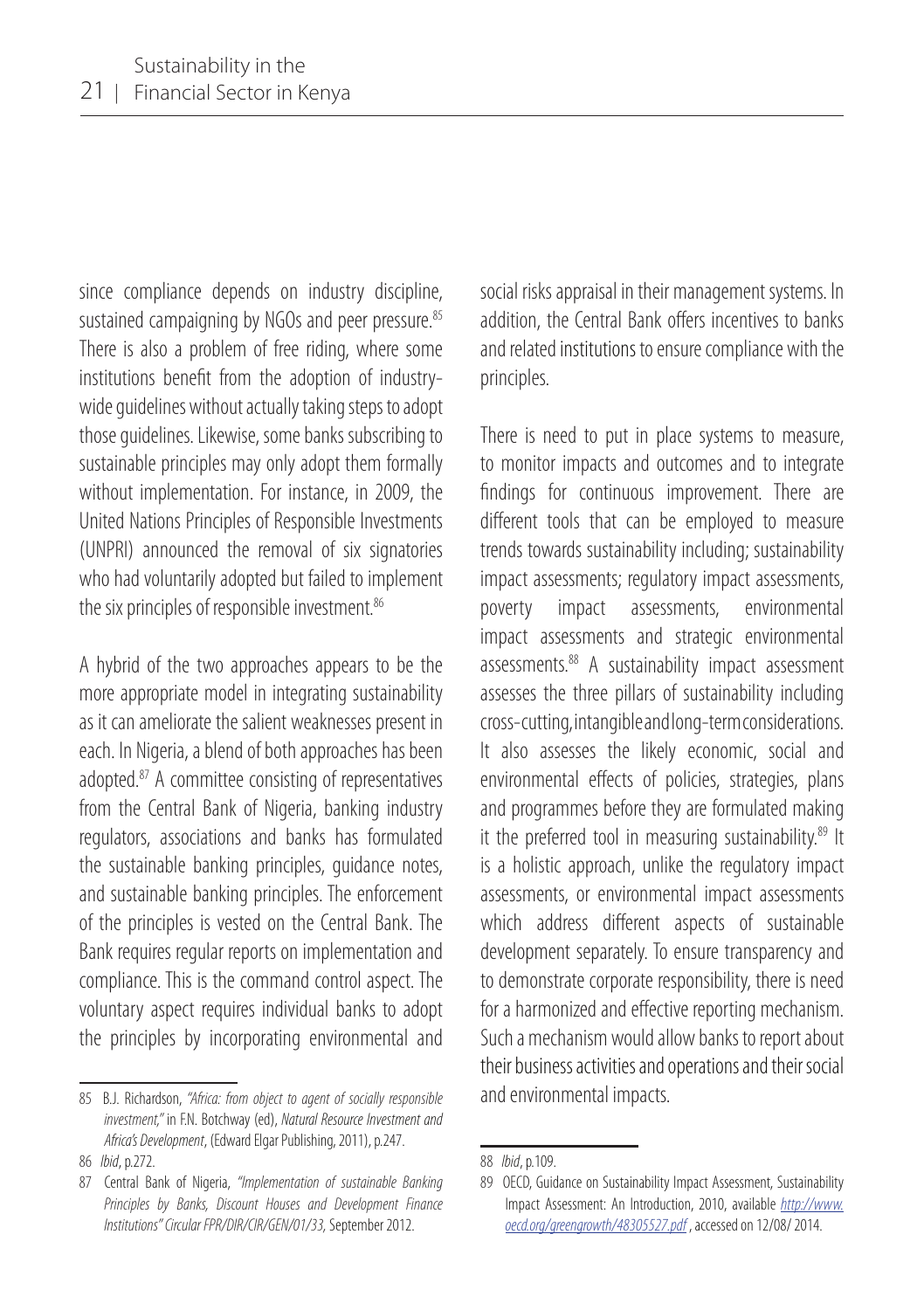since compliance depends on industry discipline, sustained campaigning by NGOs and peer pressure.<sup>85</sup> There is also a problem of free riding, where some institutions benefit from the adoption of industrywide guidelines without actually taking steps to adopt those guidelines. Likewise, some banks subscribing to sustainable principles may only adopt them formally without implementation. For instance, in 2009, the United Nations Principles of Responsible Investments (UNPRI) announced the removal of six signatories who had voluntarily adopted but failed to implement the six principles of responsible investment.<sup>86</sup>

A hybrid of the two approaches appears to be the more appropriate model in integrating sustainability as it can ameliorate the salient weaknesses present in each. In Nigeria, a blend of both approaches has been adopted.87 A committee consisting of representatives from the Central Bank of Nigeria, banking industry regulators, associations and banks has formulated the sustainable banking principles, guidance notes, and sustainable banking principles. The enforcement of the principles is vested on the Central Bank. The Bank requires regular reports on implementation and compliance. This is the command control aspect. The voluntary aspect requires individual banks to adopt the principles by incorporating environmental and

social risks appraisal in their management systems. In addition, the Central Bank offers incentives to banks and related institutions to ensure compliance with the principles.

There is need to put in place systems to measure, to monitor impacts and outcomes and to integrate findings for continuous improvement. There are different tools that can be employed to measure trends towards sustainability including; sustainability impact assessments; regulatory impact assessments, poverty impact assessments, environmental impact assessments and strategic environmental assessments.88 A sustainability impact assessment assesses the three pillars of sustainability including cross-cutting, intangible and long-term considerations. It also assesses the likely economic, social and environmental effects of policies, strategies, plans and programmes before they are formulated making it the preferred tool in measuring sustainability.<sup>89</sup> It is a holistic approach, unlike the regulatory impact assessments, or environmental impact assessments which address different aspects of sustainable development separately. To ensure transparency and to demonstrate corporate responsibility, there is need for a harmonized and effective reporting mechanism. Such a mechanism would allow banks to report about their business activities and operations and their social and environmental impacts.

<sup>85</sup> B.J. Richardson, *"Africa: from object to agent of socially responsible investment,"* in F.N. Botchway (ed), *Natural Resource Investment and Africa's Development*, (Edward Elgar Publishing, 2011), p.247.

<sup>86</sup> *Ibid*, p.272.

<sup>87</sup> Central Bank of Nigeria, *"Implementation of sustainable Banking Principles by Banks, Discount Houses and Development Finance Institutions" Circular FPR/DIR/CIR/GEN/01/33,* September 2012.

<sup>88</sup> *Ibid*, p.109.

<sup>89</sup> OECD, Guidance on Sustainability Impact Assessment, Sustainability Impact Assessment: An Introduction, 2010, available *http://www. oecd.org/greengrowth/48305527.pdf* , accessed on 12/08/ 2014.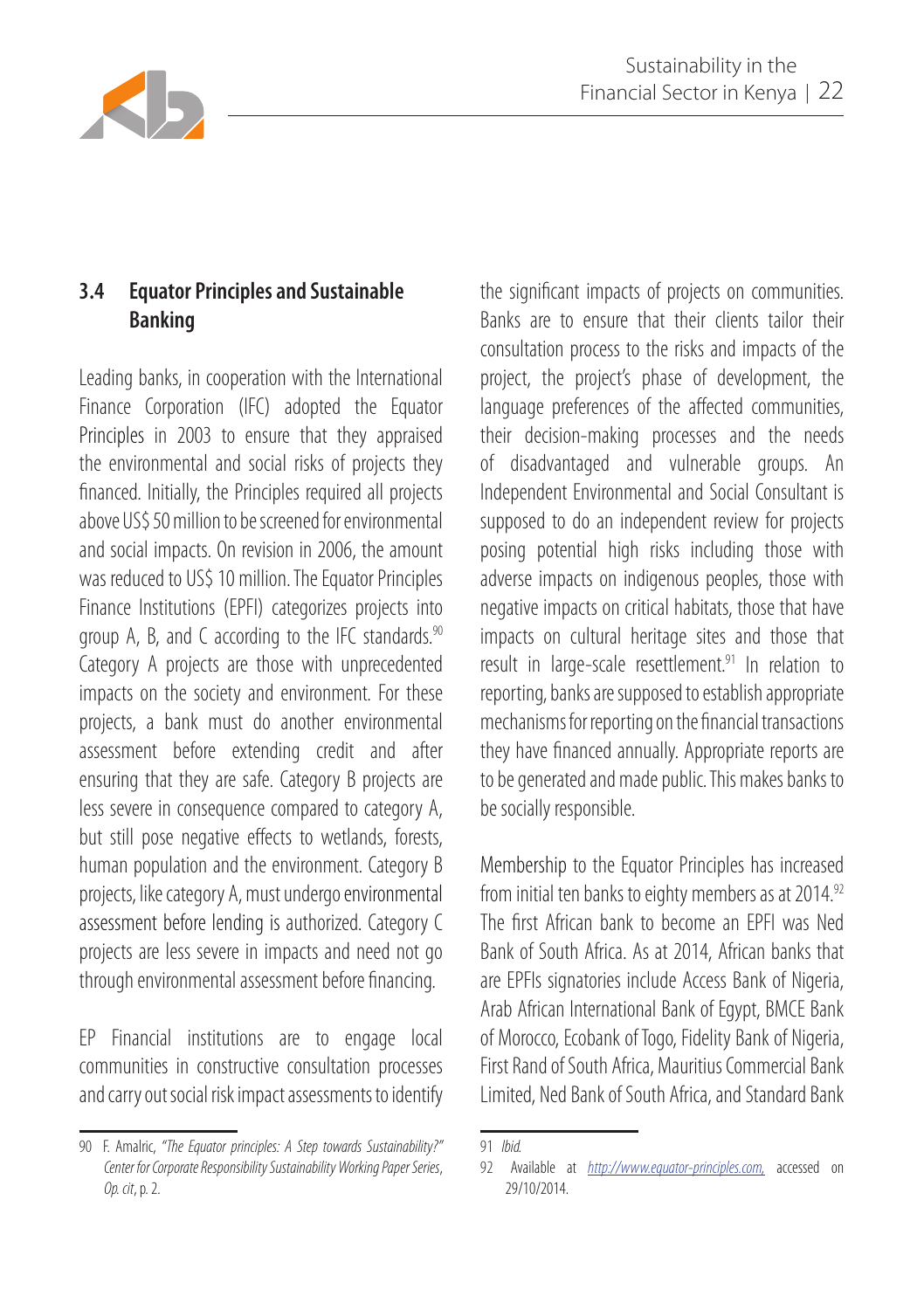

## **3.4 Equator Principles and Sustainable Banking**

Leading banks, in cooperation with the International Finance Corporation (IFC) adopted the Equator Principles in 2003 to ensure that they appraised the environmental and social risks of projects they financed. Initially, the Principles required all projects above US\$ 50 million to be screened for environmental and social impacts. On revision in 2006, the amount was reduced to US\$ 10 million. The Equator Principles Finance Institutions (EPFI) categorizes projects into group A, B, and C according to the IFC standards.<sup>90</sup> Category A projects are those with unprecedented impacts on the society and environment. For these projects, a bank must do another environmental assessment before extending credit and after ensuring that they are safe. Category B projects are less severe in consequence compared to category A, but still pose negative effects to wetlands, forests, human population and the environment. Category B projects, like category A, must undergo environmental assessment before lending is authorized. Category C projects are less severe in impacts and need not go through environmental assessment before financing.

EP Financial institutions are to engage local communities in constructive consultation processes and carry out social risk impact assessments to identify the significant impacts of projects on communities. Banks are to ensure that their clients tailor their consultation process to the risks and impacts of the project, the project's phase of development, the language preferences of the affected communities, their decision-making processes and the needs of disadvantaged and vulnerable groups. An Independent Environmental and Social Consultant is supposed to do an independent review for projects posing potential high risks including those with adverse impacts on indigenous peoples, those with negative impacts on critical habitats, those that have impacts on cultural heritage sites and those that result in large-scale resettlement.<sup>91</sup> In relation to reporting, banks are supposed to establish appropriate mechanisms for reporting on the financial transactions they have financed annually. Appropriate reports are to be generated and made public. This makes banks to be socially responsible.

Membership to the Equator Principles has increased from initial ten banks to eighty members as at 2014.92 The first African bank to become an EPFI was Ned Bank of South Africa. As at 2014, African banks that are EPFIs signatories include Access Bank of Nigeria, Arab African International Bank of Egypt, BMCE Bank of Morocco, Ecobank of Togo, Fidelity Bank of Nigeria, First Rand of South Africa, Mauritius Commercial Bank Limited, Ned Bank of South Africa, and Standard Bank

<sup>90</sup> F. Amalric, *"The Equator principles: A Step towards Sustainability?" Center for Corporate Responsibility Sustainability Working Paper Series*, *Op. cit*, p. 2.

<sup>91</sup> *Ibid.*

<sup>92</sup> Available at *http://www.equator-principles.com,* accessed on 29/10/2014.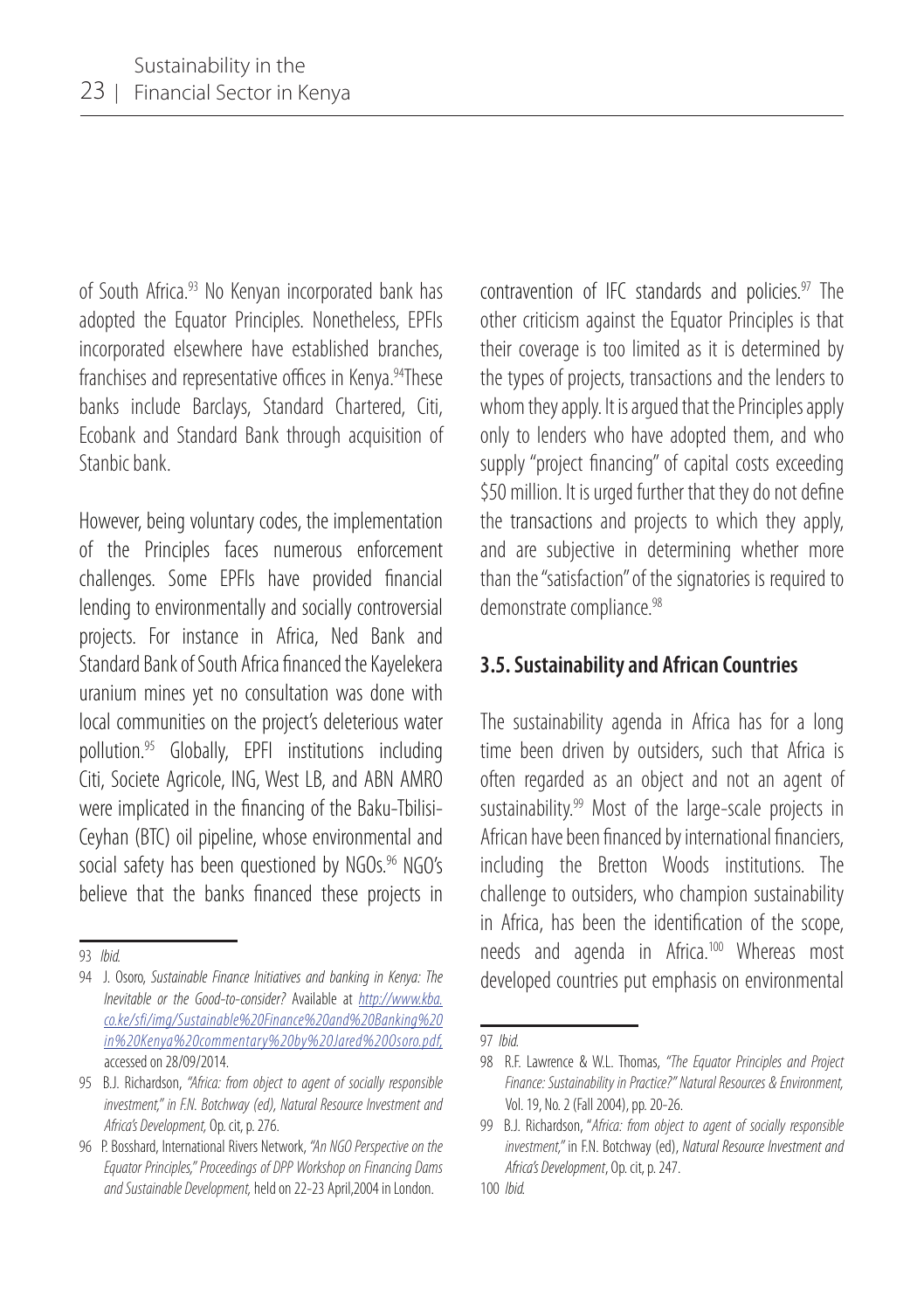of South Africa.<sup>93</sup> No Kenyan incorporated bank has adopted the Equator Principles. Nonetheless, EPFIs incorporated elsewhere have established branches, franchises and representative offices in Kenya.<sup>94</sup>These banks include Barclays, Standard Chartered, Citi, Ecobank and Standard Bank through acquisition of Stanbic bank.

However, being voluntary codes, the implementation of the Principles faces numerous enforcement challenges. Some EPFIs have provided financial lending to environmentally and socially controversial projects. For instance in Africa, Ned Bank and Standard Bank of South Africa financed the Kayelekera uranium mines yet no consultation was done with local communities on the project's deleterious water pollution.95 Globally, EPFI institutions including Citi, Societe Agricole, ING, West LB, and ABN AMRO were implicated in the financing of the Baku-Tbilisi-Ceyhan (BTC) oil pipeline, whose environmental and social safety has been questioned by NGOs.96 NGO's believe that the banks financed these projects in

contravention of IFC standards and policies. $97$  The other criticism against the Equator Principles is that their coverage is too limited as it is determined by the types of projects, transactions and the lenders to whom they apply. It is argued that the Principles apply only to lenders who have adopted them, and who supply "project financing" of capital costs exceeding \$50 million. It is urged further that they do not define the transactions and projects to which they apply, and are subjective in determining whether more than the "satisfaction" of the signatories is required to demonstrate compliance.<sup>98</sup>

#### **3.5. Sustainability and African Countries**

The sustainability agenda in Africa has for a long time been driven by outsiders, such that Africa is often regarded as an object and not an agent of sustainability.<sup>99</sup> Most of the large-scale projects in African have been financed by international financiers, including the Bretton Woods institutions. The challenge to outsiders, who champion sustainability in Africa, has been the identification of the scope, needs and agenda in Africa.<sup>100</sup> Whereas most developed countries put emphasis on environmental

<sup>93</sup> *Ibid.*

<sup>94</sup> J. Osoro, *Sustainable Finance Initiatives and banking in Kenya: The Inevitable or the Good-to-consider?* Available at *http://www.kba. co.ke/sfi/img/Sustainable%20Finance%20and%20Banking%20 in%20Kenya%20commentary%20by%20Jared%20Osoro.pdf,* accessed on 28/09/2014.

<sup>95</sup> B.J. Richardson, *"Africa: from object to agent of socially responsible investment," in F.N. Botchway (ed), Natural Resource Investment and Africa's Development,* Op. cit, p. 276.

<sup>96</sup> P. Bosshard, International Rivers Network, *"An NGO Perspective on the Equator Principles," Proceedings of DPP Workshop on Financing Dams and Sustainable Development,* held on 22-23 April,2004 in London.

<sup>97</sup> *Ibid.*

<sup>98</sup> R.F. Lawrence & W.L. Thomas, *"The Equator Principles and Project Finance: Sustainability in Practice?" Natural Resources & Environment,*  Vol. 19, No. 2 (Fall 2004), pp. 20-26.

<sup>99</sup> B.J. Richardson, "*Africa: from object to agent of socially responsible investment,"* in F.N. Botchway (ed), *Natural Resource Investment and Africa's Development*, Op. cit, p. 247.

<sup>100</sup> *Ibid.*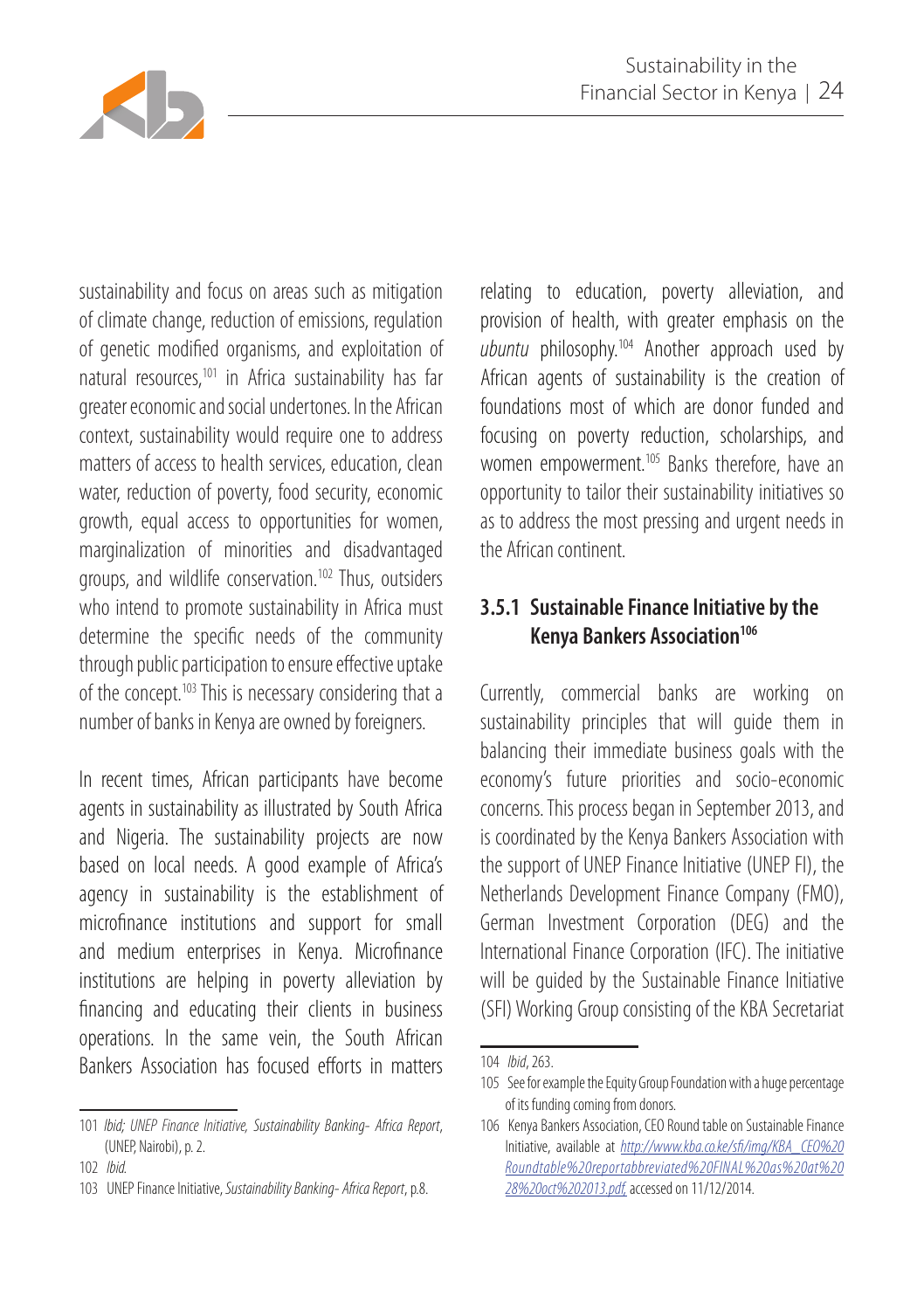

sustainability and focus on areas such as mitigation of climate change, reduction of emissions, regulation of genetic modified organisms, and exploitation of natural resources,101 in Africa sustainability has far greater economic and social undertones. In the African context, sustainability would require one to address matters of access to health services, education, clean water, reduction of poverty, food security, economic growth, equal access to opportunities for women, marginalization of minorities and disadvantaged groups, and wildlife conservation.102 Thus, outsiders who intend to promote sustainability in Africa must determine the specific needs of the community through public participation to ensure effective uptake of the concept.<sup>103</sup> This is necessary considering that a number of banks in Kenya are owned by foreigners.

In recent times, African participants have become agents in sustainability as illustrated by South Africa and Nigeria. The sustainability projects are now based on local needs. A good example of Africa's agency in sustainability is the establishment of microfinance institutions and support for small and medium enterprises in Kenya. Microfinance institutions are helping in poverty alleviation by financing and educating their clients in business operations. In the same vein, the South African Bankers Association has focused efforts in matters

relating to education, poverty alleviation, and provision of health, with greater emphasis on the *ubuntu* philosophy.104 Another approach used by African agents of sustainability is the creation of foundations most of which are donor funded and focusing on poverty reduction, scholarships, and women empowerment.<sup>105</sup> Banks therefore, have an opportunity to tailor their sustainability initiatives so as to address the most pressing and urgent needs in the African continent.

### **3.5.1 Sustainable Finance Initiative by the Kenya Bankers Association<sup>106</sup>**

Currently, commercial banks are working on sustainability principles that will quide them in balancing their immediate business goals with the economy's future priorities and socio-economic concerns. This process began in September 2013, and is coordinated by the Kenya Bankers Association with the support of UNEP Finance Initiative (UNEP FI), the Netherlands Development Finance Company (FMO), German Investment Corporation (DEG) and the International Finance Corporation (IFC). The initiative will be guided by the Sustainable Finance Initiative (SFI) Working Group consisting of the KBA Secretariat

<sup>101</sup> *Ibid; UNEP Finance Initiative, Sustainability Banking- Africa Report*, (UNEP, Nairobi), p. 2.

<sup>102</sup> *Ibid.*

<sup>103</sup> UNEP Finance Initiative, *Sustainability Banking- Africa Report*, p.8.

<sup>104</sup> *Ibid*, 263.

<sup>105</sup> See for example the Equity Group Foundation with a huge percentage of its funding coming from donors.

<sup>106</sup> Kenya Bankers Association, CEO Round table on Sustainable Finance Initiative, available at *http://www.kba.co.ke/sfi/img/KBA\_CEO%20 Roundtable%20reportabbreviated%20FINAL%20as%20at%20 28%20oct%202013.pdf,* accessed on 11/12/2014.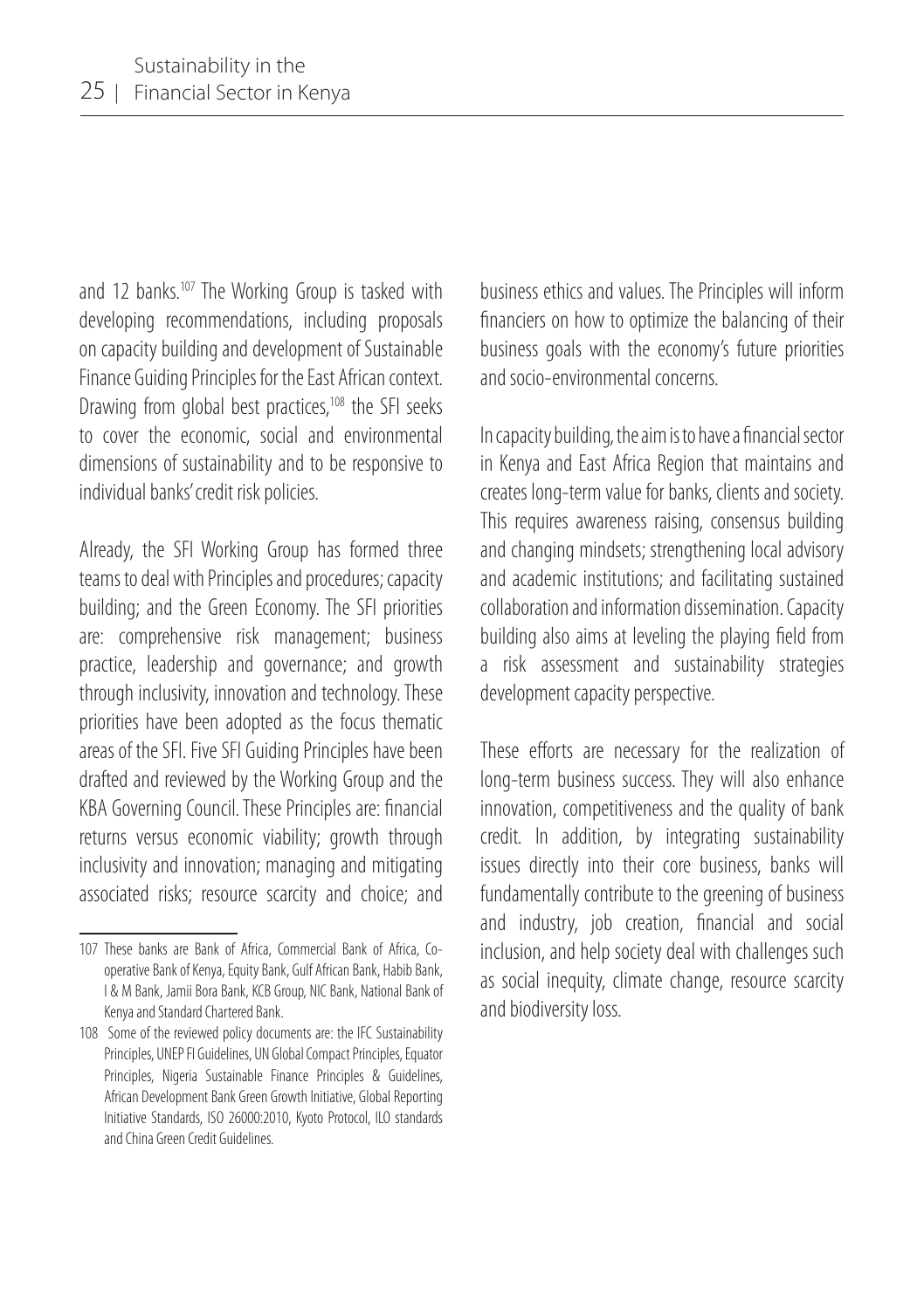and 12 banks.<sup>107</sup> The Working Group is tasked with developing recommendations, including proposals on capacity building and development of Sustainable Finance Guiding Principles for the East African context. Drawing from global best practices,<sup>108</sup> the SFI seeks to cover the economic, social and environmental dimensions of sustainability and to be responsive to individual banks' credit risk policies.

Already, the SFI Working Group has formed three teams to deal with Principles and procedures; capacity building; and the Green Economy. The SFI priorities are: comprehensive risk management; business practice, leadership and governance; and growth through inclusivity, innovation and technology. These priorities have been adopted as the focus thematic areas of the SFI. Five SFI Guiding Principles have been drafted and reviewed by the Working Group and the KBA Governing Council. These Principles are: financial returns versus economic viability; growth through inclusivity and innovation; managing and mitigating associated risks; resource scarcity and choice; and

business ethics and values. The Principles will inform financiers on how to optimize the balancing of their business goals with the economy's future priorities and socio-environmental concerns.

In capacity building, the aim is to have a financial sector in Kenya and East Africa Region that maintains and creates long-term value for banks, clients and society. This requires awareness raising, consensus building and changing mindsets; strengthening local advisory and academic institutions; and facilitating sustained collaboration and information dissemination. Capacity building also aims at leveling the playing field from a risk assessment and sustainability strategies development capacity perspective.

These efforts are necessary for the realization of long-term business success. They will also enhance innovation, competitiveness and the quality of bank credit. In addition, by integrating sustainability issues directly into their core business, banks will fundamentally contribute to the greening of business and industry, job creation, financial and social inclusion, and help society deal with challenges such as social inequity, climate change, resource scarcity and biodiversity loss.

<sup>107</sup> These banks are Bank of Africa, Commercial Bank of Africa, Cooperative Bank of Kenya, Equity Bank, Gulf African Bank, Habib Bank, I & M Bank, Jamii Bora Bank, KCB Group, NIC Bank, National Bank of Kenya and Standard Chartered Bank.

<sup>108</sup> Some of the reviewed policy documents are: the IFC Sustainability Principles, UNEP FI Guidelines, UN Global Compact Principles, Equator Principles, Nigeria Sustainable Finance Principles & Guidelines, African Development Bank Green Growth Initiative, Global Reporting Initiative Standards, ISO 26000:2010, Kyoto Protocol, ILO standards and China Green Credit Guidelines.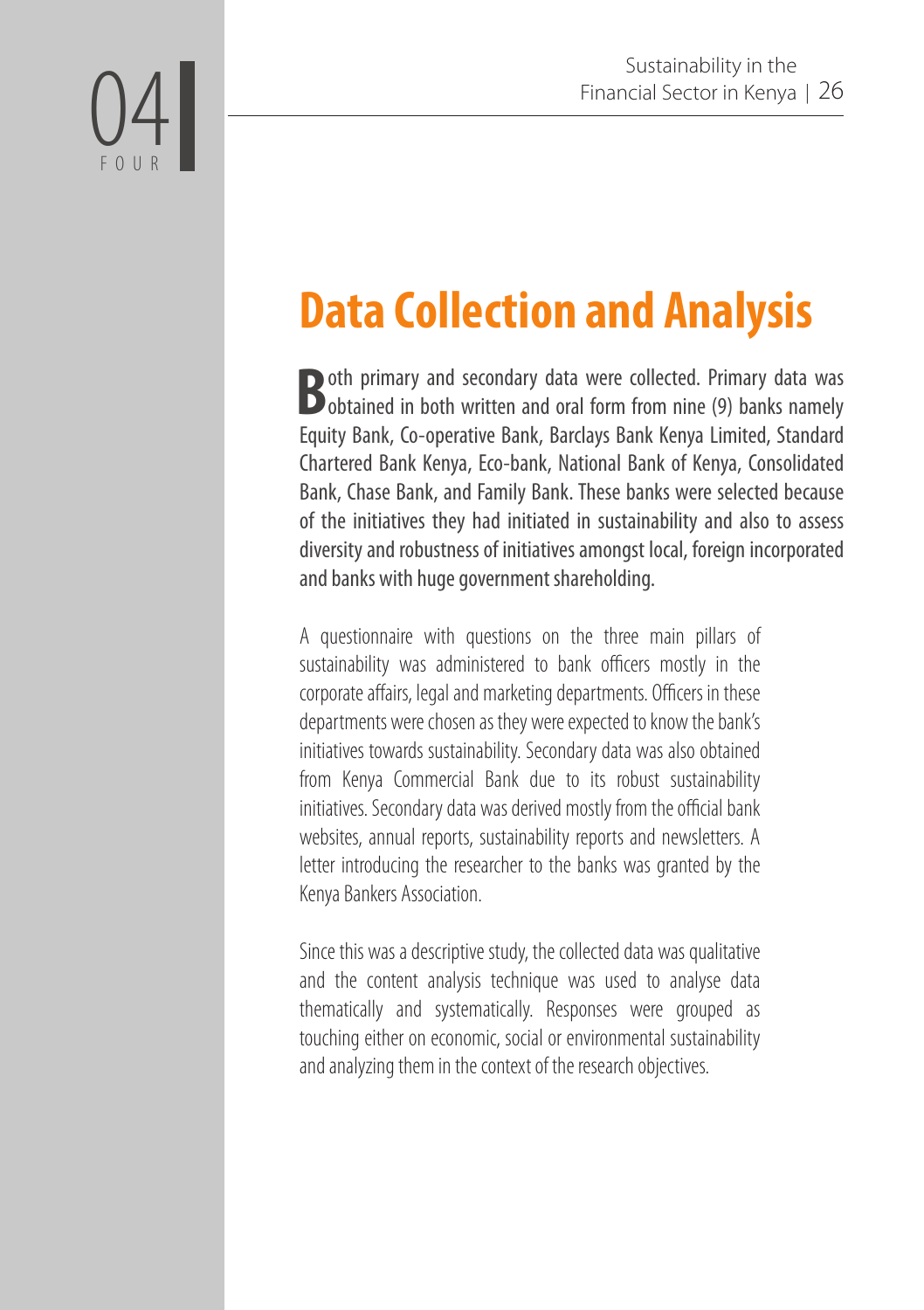# **Data Collection and Analysis**

04

FOUR

**Both primary and secondary data were collected. Primary data was bobtained in both written and oral form from nine (9) banks namely** Equity Bank, Co-operative Bank, Barclays Bank Kenya Limited, Standard Chartered Bank Kenya, Eco-bank, National Bank of Kenya, Consolidated Bank, Chase Bank, and Family Bank. These banks were selected because of the initiatives they had initiated in sustainability and also to assess diversity and robustness of initiatives amongst local, foreign incorporated and banks with huge government shareholding.

A questionnaire with questions on the three main pillars of sustainability was administered to bank officers mostly in the corporate affairs, legal and marketing departments. Officers in these departments were chosen as they were expected to know the bank's initiatives towards sustainability. Secondary data was also obtained from Kenya Commercial Bank due to its robust sustainability initiatives. Secondary data was derived mostly from the official bank websites, annual reports, sustainability reports and newsletters. A letter introducing the researcher to the banks was granted by the Kenya Bankers Association.

Since this was a descriptive study, the collected data was qualitative and the content analysis technique was used to analyse data thematically and systematically. Responses were grouped as touching either on economic, social or environmental sustainability and analyzing them in the context of the research objectives.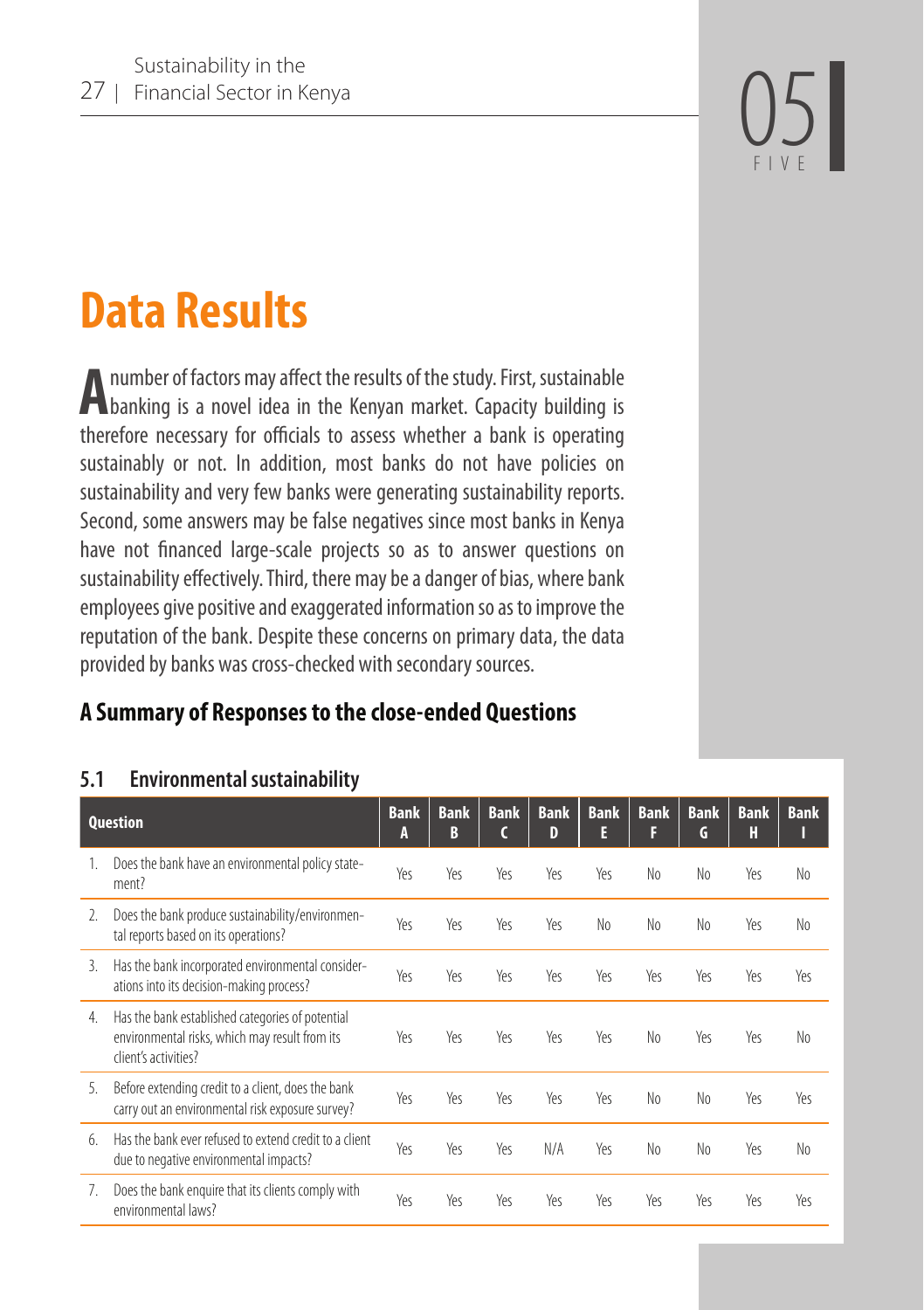FIVE

# **Data Results**

**A**number of factors may affect the results of the study. First, sustainable banking is a novel idea in the Kenyan market. Capacity building is therefore necessary for officials to assess whether a bank is operating sustainably or not. In addition, most banks do not have policies on sustainability and very few banks were generating sustainability reports. Second, some answers may be false negatives since most banks in Kenya have not financed large-scale projects so as to answer questions on sustainability effectively. Third, there may be a danger of bias, where bank employees give positive and exaggerated information so as to improve the reputation of the bank. Despite these concerns on primary data, the data provided by banks was cross-checked with secondary sources.

## **A Summary of Responses to the close-ended Questions**

#### **5.1 Environmental sustainability**

| <b>Question</b> |                                                                                                                            | <b>Bank</b><br>А | <b>Bank</b><br>B | <b>Bank</b> | <b>Bank</b><br>D | <b>Bank</b><br>E | <b>Bank</b><br>F | <b>Bank</b><br>G | <b>Bank</b><br>H | <b>Bank</b>    |
|-----------------|----------------------------------------------------------------------------------------------------------------------------|------------------|------------------|-------------|------------------|------------------|------------------|------------------|------------------|----------------|
| 1.              | Does the bank have an environmental policy state-<br>ment?                                                                 | Yes              | Yes              | Yes         | Yes              | Yes              | No               | N <sub>0</sub>   | Yes              | No             |
| $\mathcal{L}$   | Does the bank produce sustainability/environmen-<br>tal reports based on its operations?                                   | Yeς              | Yes              | Yes         | Yes              | N <sub>0</sub>   | No               | N <sub>0</sub>   | Yes              | N <sub>0</sub> |
| 3.              | Has the bank incorporated environmental consider-<br>ations into its decision-making process?                              | Yeς              | Yes              | Yes         | Yes              | Yes              | Yes              | Yes              | Yes              | Yes            |
| 4.              | Has the bank established categories of potential<br>environmental risks, which may result from its<br>client's activities? | Yeς              | Yes              | Yes         | Yes              | Yeς              | No               | Yes              | Yes              | N <sub>0</sub> |
| 5.              | Before extending credit to a client, does the bank<br>carry out an environmental risk exposure survey?                     | Yeς              | Yes              | Yes         | Yes              | Yes              | No               | N <sub>0</sub>   | Yes              | Yeς            |
| 6.              | Has the bank ever refused to extend credit to a client<br>due to negative environmental impacts?                           | Yes              | Yes              | Yes         | N/A              | Yeς              | No               | N <sub>0</sub>   | Yes              | N <sub>0</sub> |
| 7.              | Does the bank enguire that its clients comply with<br>environmental laws?                                                  | Yeς              | Yes              | Yes         | Yeς              | Yes              | Yes              | Yeς              | Yes              | Yeς            |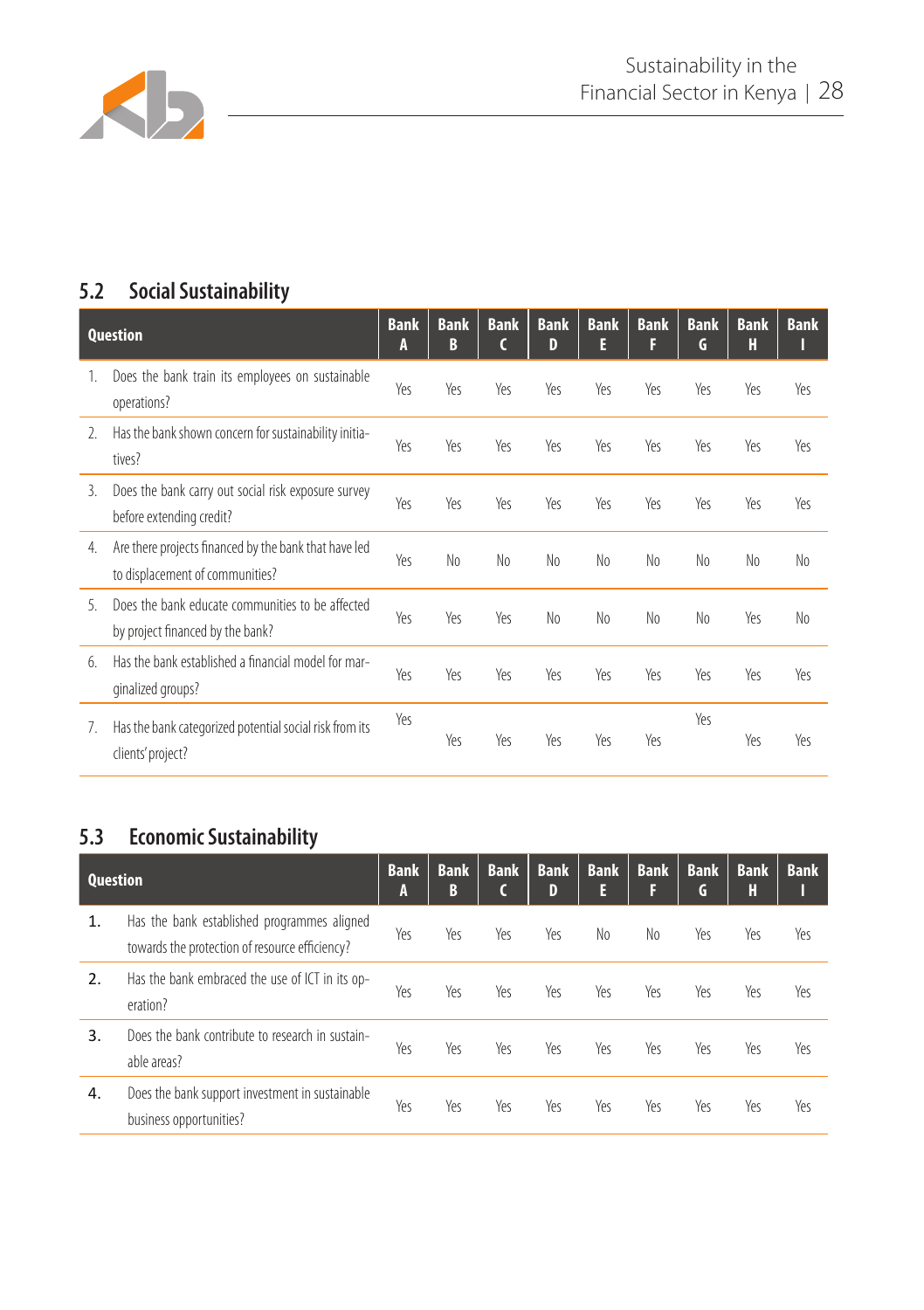

### **5.2 Social Sustainability**

| <b>Question</b> |                                                                                          | <b>Bank</b><br>A | <b>Bank</b><br>B | <b>Bank</b><br>C | <b>Bank</b><br>D | <b>Bank</b><br>E | <b>Bank</b><br>F | <b>Bank</b><br>G | <b>Bank</b><br>Н | <b>Bank</b> |
|-----------------|------------------------------------------------------------------------------------------|------------------|------------------|------------------|------------------|------------------|------------------|------------------|------------------|-------------|
| $\mathbf{1}$ .  | Does the bank train its employees on sustainable<br>operations?                          | Yes              | Yes              | Yeς              | Yes              | Yes              | Yes              | Yes              | Yes              | Yeς         |
| 2.              | Has the bank shown concern for sustainability initia-<br>tives?                          | Yeς              | Yes              | Yes              | Yeς              | Yeς              | Yeς              | Yes              | Yes              | Yes         |
| 3.              | Does the bank carry out social risk exposure survey<br>before extending credit?          | Yes              | Yes              | Yes              | Yeς              | Yes              | Yes              | Yes              | Yes              | Yes         |
| 4.              | Are there projects financed by the bank that have led<br>to displacement of communities? | Yes              | No               | No               | No               | No               | No               | No               | No               | No          |
| 5               | Does the bank educate communities to be affected<br>by project financed by the bank?     | Yes              | Yes              | Yes              | No               | No               | No               | No               | Yes              | No          |
| 6.              | Has the bank established a financial model for mar-<br>qinalized groups?                 | Yes              | Yes              | Yes              | Yeς              | Yes              | Yeς              | Yes              | Yes              | Yeς         |
| 7.              | Has the bank categorized potential social risk from its<br>clients' project?             | Yes              | Yes              | Yes              | Yeς              | Yes              | Yes              | Yes              | Yes              | Yes         |

### **5.3 Economic Sustainability**

| <b>Question</b> |                                                                                               | <b>Bank</b><br>A | <b>Bank</b><br>B | <b>Bank</b><br>C | <b>Bank</b><br>D | <b>Bank</b><br>E | <b>Bank</b><br>F | <b>Bank</b><br>G | <b>Bank</b><br>Н | <b>Bank</b> |
|-----------------|-----------------------------------------------------------------------------------------------|------------------|------------------|------------------|------------------|------------------|------------------|------------------|------------------|-------------|
| 1.              | Has the bank established programmes aligned<br>towards the protection of resource efficiency? | Yeς              | Yes              | Yes              | Yes              | No               | No               | Yes              | Yes              | Yes         |
| 2.              | Has the bank embraced the use of ICT in its op-<br>eration?                                   | Yes              | Yes              | Yes              | Yes              | Yes              | Yes              | Yes              | Yes              | Yes         |
| 3.              | Does the bank contribute to research in sustain-<br>able areas?                               | Yeς              | Yes              | Yes              | Yes              | Yeς              | Yeς              | Yes              | Yes              | Yes         |
| 4.              | Does the bank support investment in sustainable<br>business opportunities?                    | Yes              | Yes              | Yes              | Yes              | Yes              | Yes              | Yes              | Yes              | Yes         |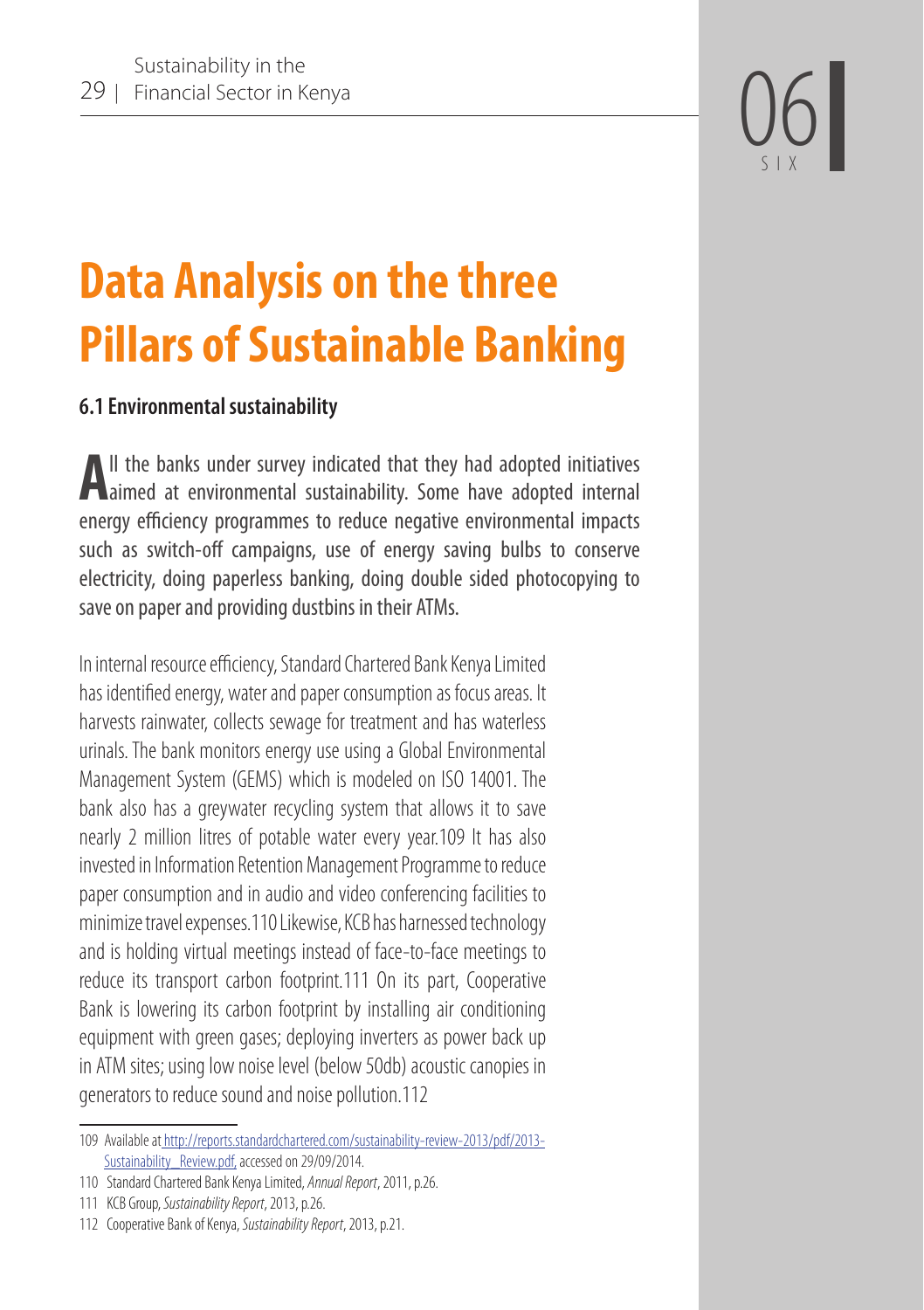

# **Data Analysis on the three Pillars of Sustainable Banking**

#### **6.1 Environmental sustainability**

**A**ll the banks under survey indicated that they had adopted initiatives **A** aimed at environmental sustainability. Some have adopted internal energy efficiency programmes to reduce negative environmental impacts such as switch-off campaigns, use of energy saving bulbs to conserve electricity, doing paperless banking, doing double sided photocopying to save on paper and providing dustbins in their ATMs.

In internal resource efficiency, Standard Chartered Bank Kenya Limited has identified energy, water and paper consumption as focus areas. It harvests rainwater, collects sewage for treatment and has waterless urinals. The bank monitors energy use using a Global Environmental Management System (GEMS) which is modeled on ISO 14001. The bank also has a greywater recycling system that allows it to save nearly 2 million litres of potable water every year.109 It has also invested in Information Retention Management Programme to reduce paper consumption and in audio and video conferencing facilities to minimize travel expenses.110 Likewise, KCB has harnessed technology and is holding virtual meetings instead of face-to-face meetings to reduce its transport carbon footprint.111 On its part, Cooperative Bank is lowering its carbon footprint by installing air conditioning equipment with green gases; deploying inverters as power back up in ATM sites; using low noise level (below 50db) acoustic canopies in generators to reduce sound and noise pollution.112

<sup>109</sup> Available at http://reports.standardchartered.com/sustainability-review-2013/pdf/2013- Sustainability\_Review.pdf, accessed on 29/09/2014.

<sup>110</sup> Standard Chartered Bank Kenya Limited, *Annual Report*, 2011, p.26.

<sup>111</sup> KCB Group, *Sustainability Report*, 2013, p.26.

<sup>112</sup> Cooperative Bank of Kenya, *Sustainability Report*, 2013, p.21.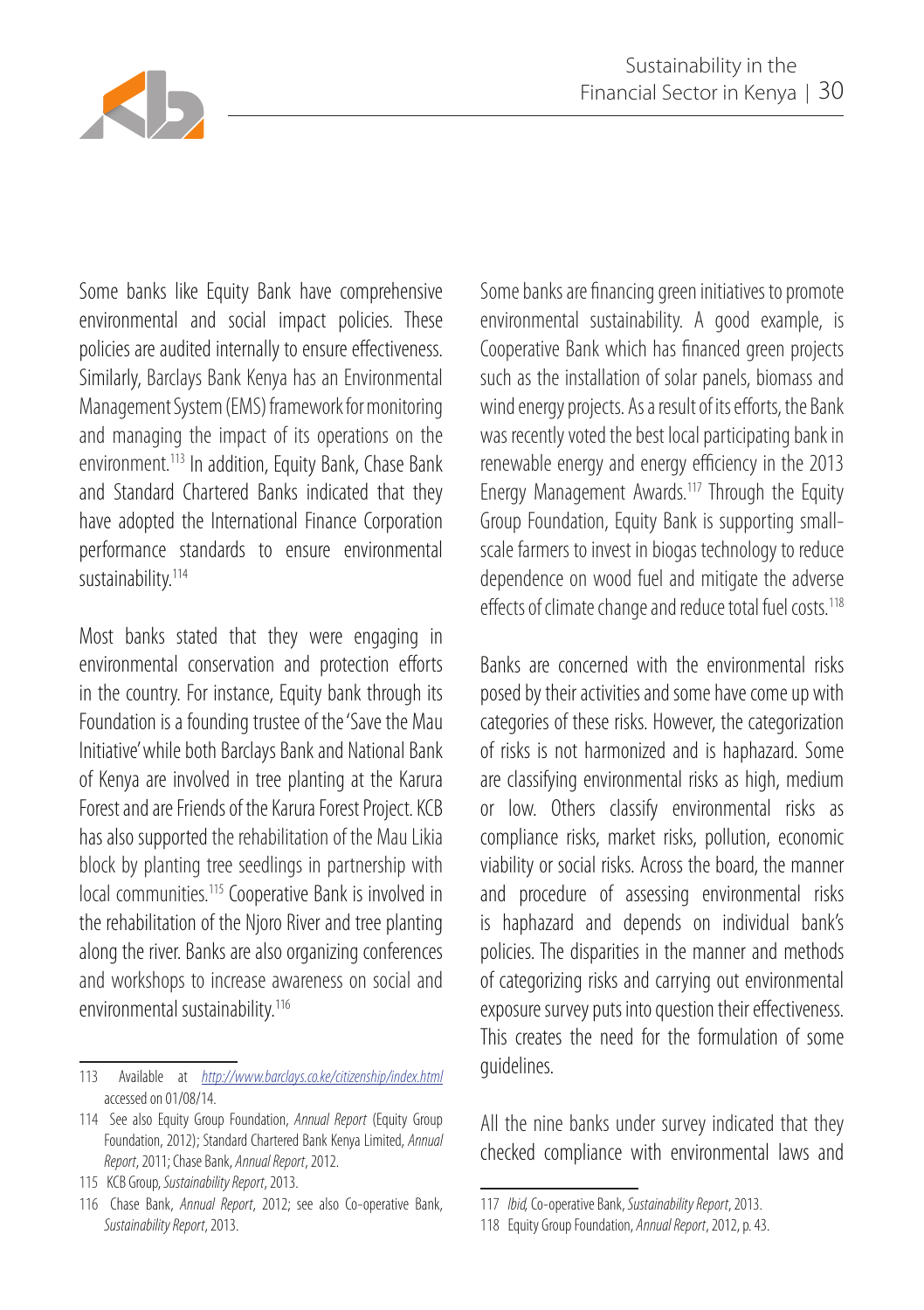

Some banks like Equity Bank have comprehensive environmental and social impact policies. These policies are audited internally to ensure effectiveness. Similarly, Barclays Bank Kenya has an Environmental Management System (EMS) framework for monitoring and managing the impact of its operations on the environment.113 In addition, Equity Bank, Chase Bank and Standard Chartered Banks indicated that they have adopted the International Finance Corporation performance standards to ensure environmental sustainability.<sup>114</sup>

Most banks stated that they were engaging in environmental conservation and protection efforts in the country. For instance, Equity bank through its Foundation is a founding trustee of the 'Save the Mau Initiative' while both Barclays Bank and National Bank of Kenya are involved in tree planting at the Karura Forest and are Friends of the Karura Forest Project. KCB has also supported the rehabilitation of the Mau Likia block by planting tree seedlings in partnership with local communities.<sup>115</sup> Cooperative Bank is involved in the rehabilitation of the Njoro River and tree planting along the river. Banks are also organizing conferences and workshops to increase awareness on social and environmental sustainability.<sup>116</sup>

Some banks are financing green initiatives to promote environmental sustainability. A good example, is Cooperative Bank which has financed green projects such as the installation of solar panels, biomass and wind energy projects. As a result of its efforts, the Bank was recently voted the best local participating bank in renewable energy and energy efficiency in the 2013 Energy Management Awards.117 Through the Equity Group Foundation, Equity Bank is supporting smallscale farmers to invest in biogas technology to reduce dependence on wood fuel and mitigate the adverse effects of climate change and reduce total fuel costs.<sup>118</sup>

Banks are concerned with the environmental risks posed by their activities and some have come up with categories of these risks. However, the categorization of risks is not harmonized and is haphazard. Some are classifying environmental risks as high, medium or low. Others classify environmental risks as compliance risks, market risks, pollution, economic viability or social risks. Across the board, the manner and procedure of assessing environmental risks is haphazard and depends on individual bank's policies. The disparities in the manner and methods of categorizing risks and carrying out environmental exposure survey puts into question their effectiveness. This creates the need for the formulation of some guidelines.

All the nine banks under survey indicated that they checked compliance with environmental laws and

<sup>113</sup> Available at *http://www.barclays.co.ke/citizenship/index.html*  accessed on 01/08/14.

<sup>114</sup> See also Equity Group Foundation, *Annual Report* (Equity Group Foundation, 2012); Standard Chartered Bank Kenya Limited, *Annual Report*, 2011; Chase Bank, *Annual Report*, 2012.

<sup>115</sup> KCB Group, *Sustainability Report*, 2013.

<sup>116</sup> Chase Bank, *Annual Report*, 2012; see also Co-operative Bank, *Sustainability Report*, 2013.

<sup>117</sup> *Ibid,* Co-operative Bank, *Sustainability Report*, 2013.

<sup>118</sup> Equity Group Foundation, *Annual Report*, 2012, p. 43.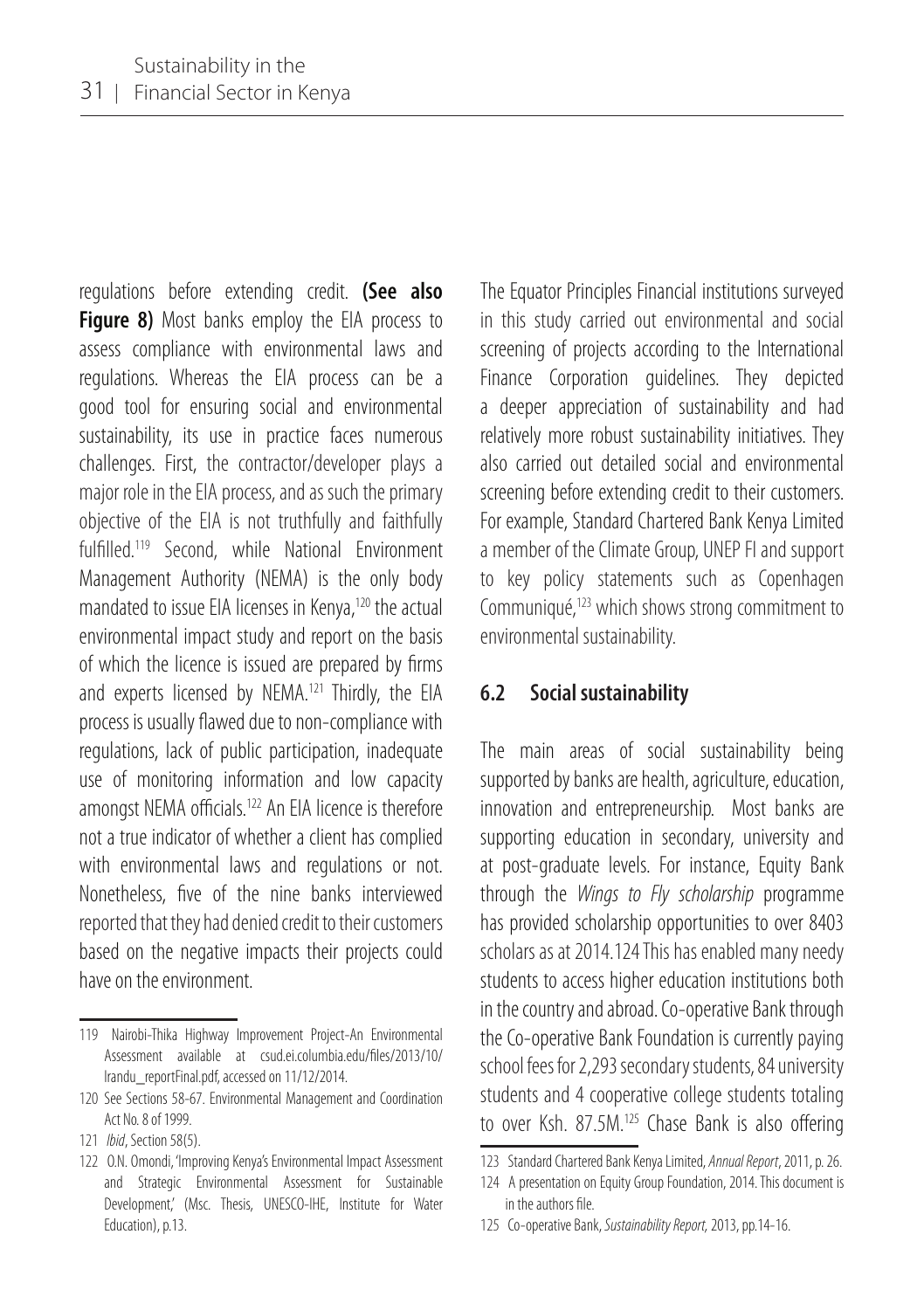regulations before extending credit. **(See also Figure 8)** Most banks employ the EIA process to assess compliance with environmental laws and regulations. Whereas the EIA process can be a good tool for ensuring social and environmental sustainability, its use in practice faces numerous challenges. First, the contractor/developer plays a major role in the EIA process, and as such the primary objective of the EIA is not truthfully and faithfully fulfilled.119 Second, while National Environment Management Authority (NEMA) is the only body mandated to issue EIA licenses in Kenya,<sup>120</sup> the actual environmental impact study and report on the basis of which the licence is issued are prepared by firms and experts licensed by NEMA.<sup>121</sup> Thirdly, the EIA process is usually flawed due to non-compliance with regulations, lack of public participation, inadequate use of monitoring information and low capacity amongst NEMA officials.<sup>122</sup> An EIA licence is therefore not a true indicator of whether a client has complied with environmental laws and regulations or not. Nonetheless, five of the nine banks interviewed reported that they had denied credit to their customers based on the negative impacts their projects could have on the environment.

The Equator Principles Financial institutions surveyed in this study carried out environmental and social screening of projects according to the International Finance Corporation guidelines. They depicted a deeper appreciation of sustainability and had relatively more robust sustainability initiatives. They also carried out detailed social and environmental screening before extending credit to their customers. For example, Standard Chartered Bank Kenya Limited a member of the Climate Group, UNEP FI and support to key policy statements such as Copenhagen Communiqué,123 which shows strong commitment to environmental sustainability.

#### **6.2 Social sustainability**

The main areas of social sustainability being supported by banks are health, agriculture, education, innovation and entrepreneurship. Most banks are supporting education in secondary, university and at post-graduate levels. For instance, Equity Bank through the *Wings to Fly scholarship* programme has provided scholarship opportunities to over 8403 scholars as at 2014.124 This has enabled many needy students to access higher education institutions both in the country and abroad. Co-operative Bank through the Co-operative Bank Foundation is currently paying school fees for 2,293 secondary students, 84 university students and 4 cooperative college students totaling to over Ksh. 87.5M.<sup>125</sup> Chase Bank is also offering

<sup>119</sup> Nairobi-Thika Highway Improvement Project-An Environmental Assessment available at csud.ei.columbia.edu/files/2013/10/ Irandu\_reportFinal.pdf, accessed on 11/12/2014.

<sup>120</sup> See Sections 58-67. Environmental Management and Coordination Act No. 8 of 1999.

<sup>121</sup> *Ibid*, Section 58(5).

<sup>122</sup> O.N. Omondi, 'Improving Kenya's Environmental Impact Assessment and Strategic Environmental Assessment for Sustainable Development,' (Msc. Thesis, UNESCO-IHE, Institute for Water Education), p.13.

<sup>123</sup> Standard Chartered Bank Kenya Limited, *Annual Report*, 2011, p. 26.

<sup>124</sup> A presentation on Equity Group Foundation, 2014. This document is in the authors file.

<sup>125</sup> Co-operative Bank, *Sustainability Report,* 2013, pp.14-16.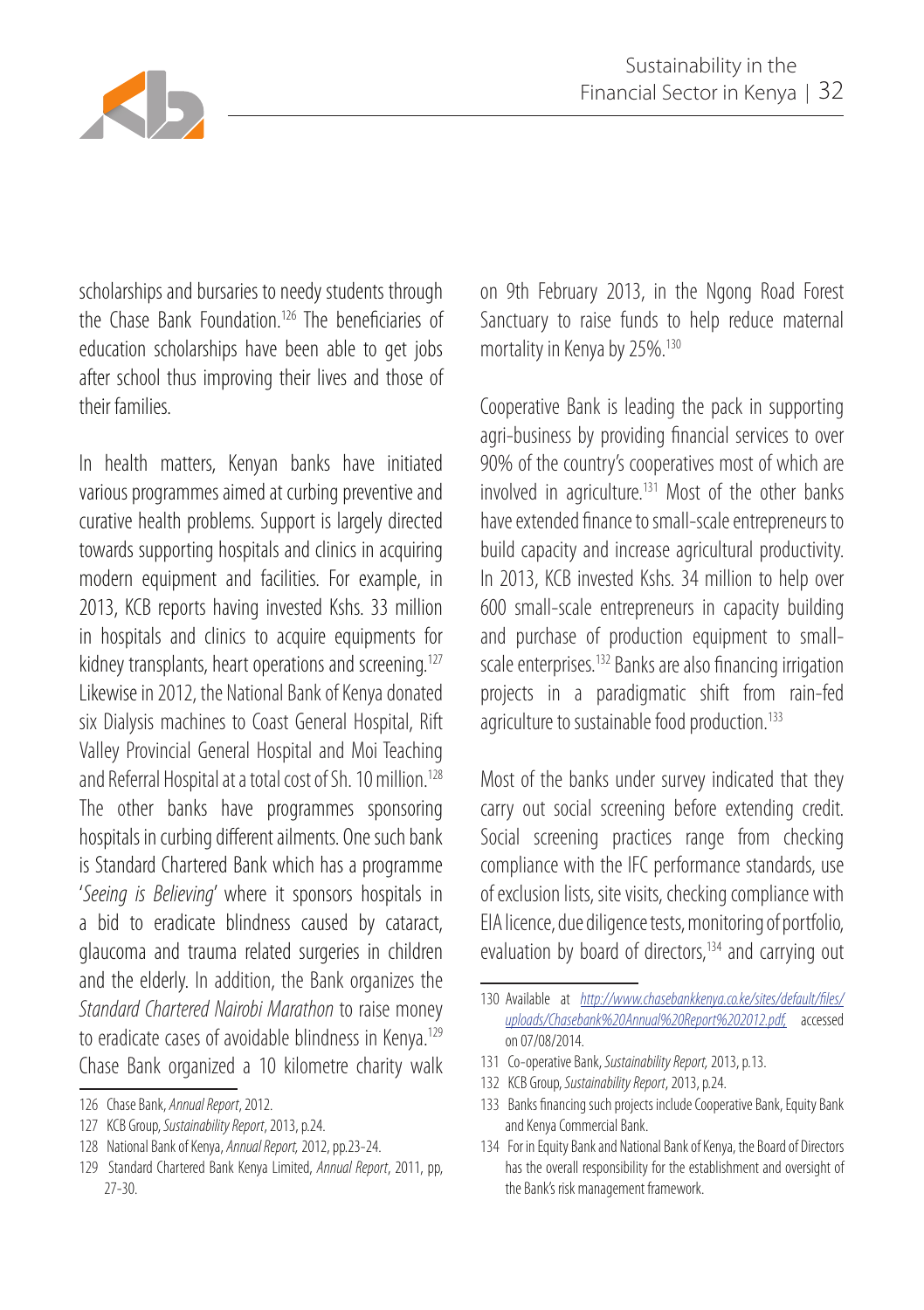

scholarships and bursaries to needy students through the Chase Bank Foundation.126 The beneficiaries of education scholarships have been able to get jobs after school thus improving their lives and those of their families.

In health matters, Kenyan banks have initiated various programmes aimed at curbing preventive and curative health problems. Support is largely directed towards supporting hospitals and clinics in acquiring modern equipment and facilities. For example, in 2013, KCB reports having invested Kshs. 33 million in hospitals and clinics to acquire equipments for kidney transplants, heart operations and screening.<sup>127</sup> Likewise in 2012, the National Bank of Kenya donated six Dialysis machines to Coast General Hospital, Rift Valley Provincial General Hospital and Moi Teaching and Referral Hospital at a total cost of Sh. 10 million.<sup>128</sup> The other banks have programmes sponsoring hospitals in curbing different ailments. One such bank is Standard Chartered Bank which has a programme '*Seeing is Believing*' where it sponsors hospitals in a bid to eradicate blindness caused by cataract, glaucoma and trauma related surgeries in children and the elderly. In addition, the Bank organizes the *Standard Chartered Nairobi Marathon* to raise money to eradicate cases of avoidable blindness in Kenya.<sup>129</sup> Chase Bank organized a 10 kilometre charity walk

on 9th February 2013, in the Ngong Road Forest Sanctuary to raise funds to help reduce maternal mortality in Kenya by 25%.130

Cooperative Bank is leading the pack in supporting agri-business by providing financial services to over 90% of the country's cooperatives most of which are involved in agriculture.131 Most of the other banks have extended finance to small-scale entrepreneurs to build capacity and increase agricultural productivity. In 2013, KCB invested Kshs. 34 million to help over 600 small-scale entrepreneurs in capacity building and purchase of production equipment to smallscale enterprises.<sup>132</sup> Banks are also financing irrigation projects in a paradigmatic shift from rain-fed agriculture to sustainable food production.<sup>133</sup>

Most of the banks under survey indicated that they carry out social screening before extending credit. Social screening practices range from checking compliance with the IFC performance standards, use of exclusion lists, site visits, checking compliance with EIA licence, due diligence tests, monitoring of portfolio, evaluation by board of directors,<sup>134</sup> and carrying out

- 132 KCB Group, *Sustainability Report*, 2013, p.24.
- 133 Banks financing such projects include Cooperative Bank, Equity Bank and Kenya Commercial Bank.
- 134 For in Equity Bank and National Bank of Kenya, the Board of Directors has the overall responsibility for the establishment and oversight of the Bank's risk management framework.

<sup>126</sup> Chase Bank, *Annual Report*, 2012.

<sup>127</sup> KCB Group, *Sustainability Report*, 2013, p.24.

<sup>128</sup> National Bank of Kenya, *Annual Report,* 2012, pp.23-24.

<sup>129</sup> Standard Chartered Bank Kenya Limited, *Annual Report*, 2011, pp, 27-30.

<sup>130</sup> Available at *http://www.chasebankkenya.co.ke/sites/default/files/ uploads/Chasebank%20Annual%20Report%202012.pdf,* accessed on 07/08/2014.

<sup>131</sup> Co-operative Bank, *Sustainability Report,* 2013, p.13.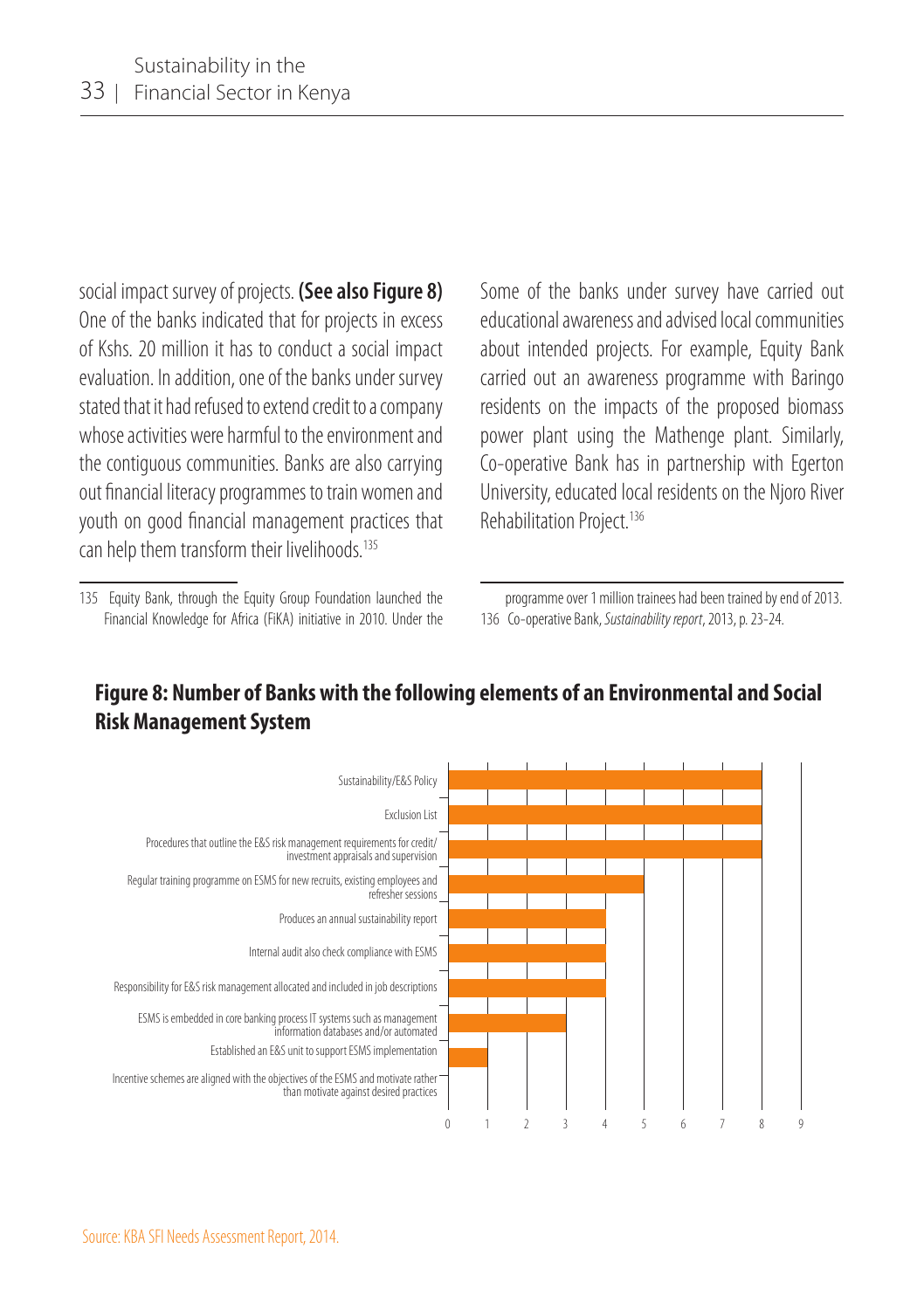social impact survey of projects. **(See also Figure 8)** One of the banks indicated that for projects in excess of Kshs. 20 million it has to conduct a social impact evaluation. In addition, one of the banks under survey stated that it had refused to extend credit to a company whose activities were harmful to the environment and the contiguous communities. Banks are also carrying out financial literacy programmes to train women and youth on good financial management practices that can help them transform their livelihoods.<sup>135</sup>

Some of the banks under survey have carried out educational awareness and advised local communities about intended projects. For example, Equity Bank carried out an awareness programme with Baringo residents on the impacts of the proposed biomass power plant using the Mathenge plant. Similarly, Co-operative Bank has in partnership with Egerton University, educated local residents on the Njoro River Rehabilitation Project.<sup>136</sup>

programme over 1 million trainees had been trained by end of 2013. 136 Co-operative Bank, *Sustainability report*, 2013, p. 23-24.



#### **Figure 8: Number of Banks with the following elements of an Environmental and Social Risk Management System**

<sup>135</sup> Equity Bank, through the Equity Group Foundation launched the Financial Knowledge for Africa (FiKA) initiative in 2010. Under the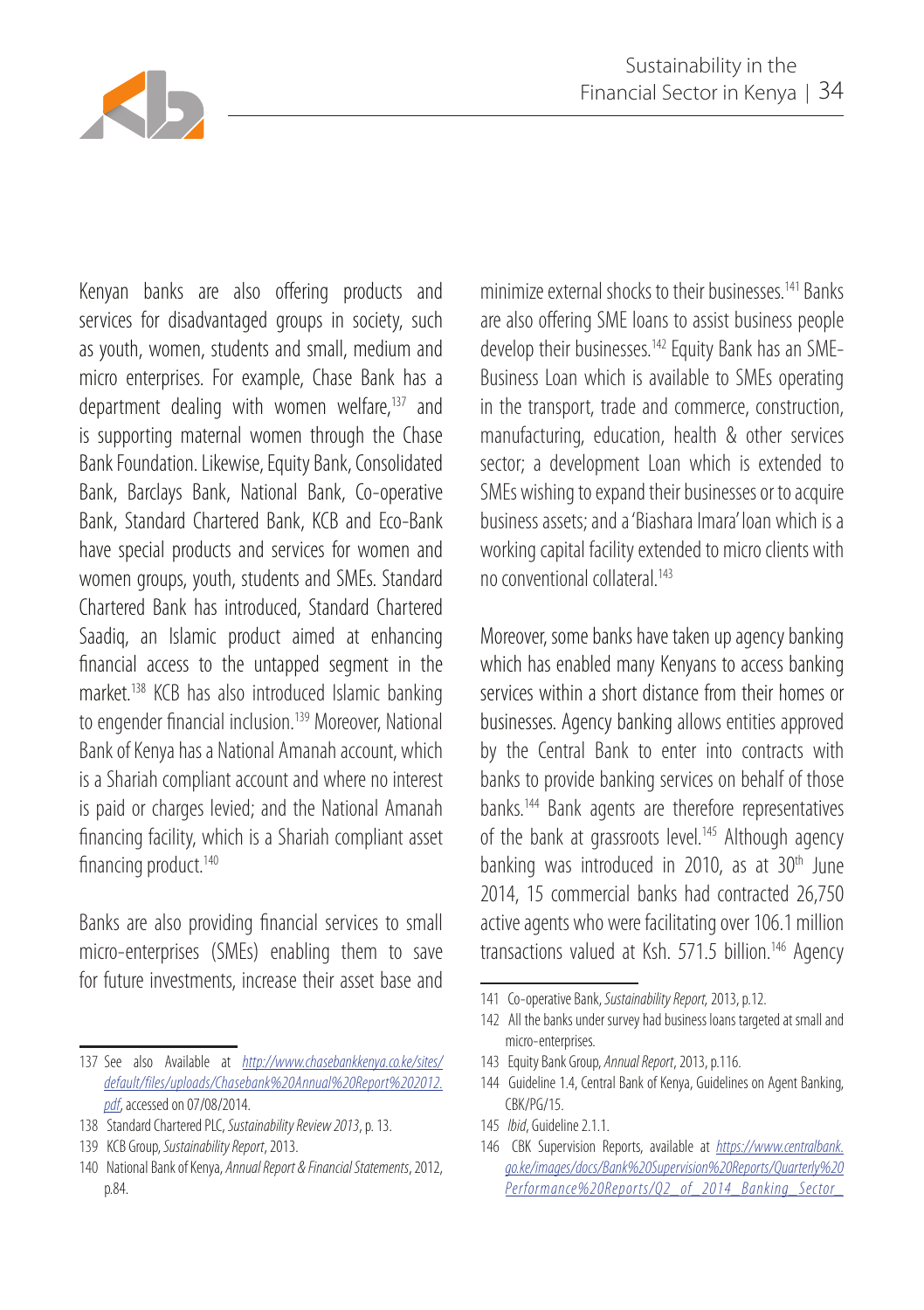

Kenyan banks are also offering products and services for disadvantaged groups in society, such as youth, women, students and small, medium and micro enterprises. For example, Chase Bank has a department dealing with women welfare,<sup>137</sup> and is supporting maternal women through the Chase Bank Foundation. Likewise, Equity Bank, Consolidated Bank, Barclays Bank, National Bank, Co-operative Bank, Standard Chartered Bank, KCB and Eco-Bank have special products and services for women and women groups, youth, students and SMEs. Standard Chartered Bank has introduced, Standard Chartered Saadiq, an Islamic product aimed at enhancing financial access to the untapped segment in the market.138 KCB has also introduced Islamic banking to engender financial inclusion.<sup>139</sup> Moreover, National Bank of Kenya has a National Amanah account, which is a Shariah compliant account and where no interest is paid or charges levied; and the National Amanah financing facility, which is a Shariah compliant asset financing product.<sup>140</sup>

Banks are also providing financial services to small micro-enterprises (SMEs) enabling them to save for future investments, increase their asset base and

- 138 Standard Chartered PLC, *Sustainability Review 2013*, p. 13.
- 139 KCB Group, *Sustainability Report*, 2013.
- 140 National Bank of Kenya, *Annual Report & Financial Statements*, 2012, p.84.

minimize external shocks to their businesses.<sup>141</sup> Banks. are also offering SME loans to assist business people develop their businesses.142 Equity Bank has an SME-Business Loan which is available to SMEs operating in the transport, trade and commerce, construction, manufacturing, education, health & other services sector; a development Loan which is extended to SMEs wishing to expand their businesses or to acquire business assets; and a 'Biashara Imara' loan which is a working capital facility extended to micro clients with no conventional collateral.143

Moreover, some banks have taken up agency banking which has enabled many Kenyans to access banking services within a short distance from their homes or businesses. Agency banking allows entities approved by the Central Bank to enter into contracts with banks to provide banking services on behalf of those banks.144 Bank agents are therefore representatives of the bank at grassroots level.<sup>145</sup> Although agency banking was introduced in 2010, as at  $30<sup>th</sup>$  June 2014, 15 commercial banks had contracted 26,750 active agents who were facilitating over 106.1 million transactions valued at Ksh. 571.5 billion.146 Agency

- 143 Equity Bank Group, *Annual Report*, 2013, p.116.
- 144 Guideline 1.4, Central Bank of Kenya, Guidelines on Agent Banking, CBK/PG/15.
- 145 *Ibid*, Guideline 2.1.1.
- 146 CBK Supervision Reports, available at *https://www.centralbank. go.ke/images/docs/Bank%20Supervision%20Reports/Quarterly%20 Performance%20Reports/Q2\_of\_2014\_Banking\_Sector\_*

<sup>137</sup> See also Available at *http://www.chasebankkenya.co.ke/sites/ default/files/uploads/Chasebank%20Annual%20Report%202012. pdf*, accessed on 07/08/2014.

<sup>141</sup> Co-operative Bank, *Sustainability Report,* 2013, p.12.

<sup>142</sup> All the banks under survey had business loans targeted at small and micro-enterprises.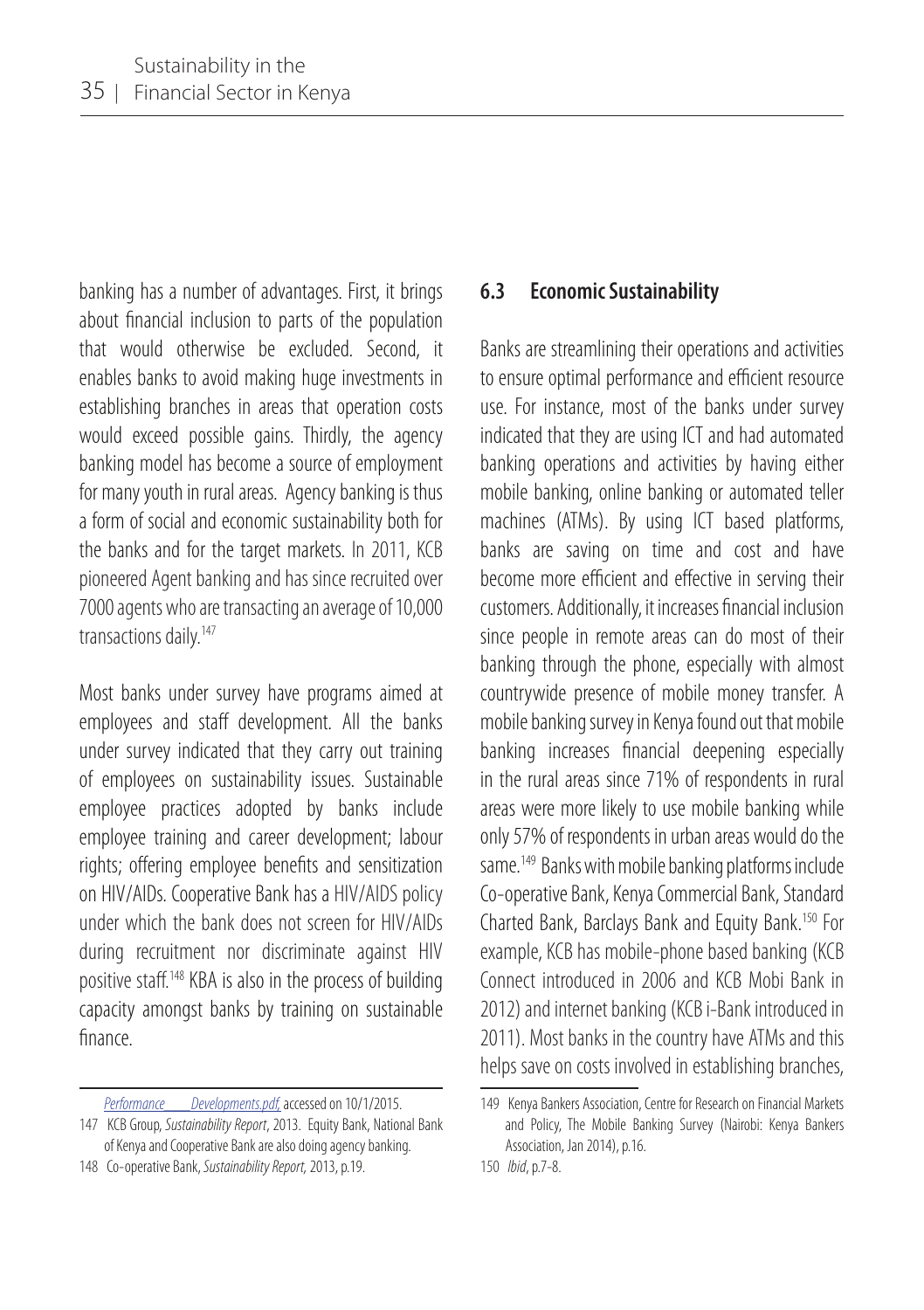banking has a number of advantages. First, it brings about financial inclusion to parts of the population that would otherwise be excluded. Second, it enables banks to avoid making huge investments in establishing branches in areas that operation costs would exceed possible gains. Thirdly, the agency banking model has become a source of employment for many youth in rural areas. Agency banking is thus a form of social and economic sustainability both for the banks and for the target markets. In 2011, KCB pioneered Agent banking and has since recruited over 7000 agents who are transacting an average of 10,000 transactions daily.<sup>147</sup>

Most banks under survey have programs aimed at employees and staff development. All the banks under survey indicated that they carry out training of employees on sustainability issues. Sustainable employee practices adopted by banks include employee training and career development; labour rights; offering employee benefits and sensitization on HIV/AIDs. Cooperative Bank has a HIV/AIDS policy under which the bank does not screen for HIV/AIDs during recruitment nor discriminate against HIV positive staff.148 KBA is also in the process of building capacity amongst banks by training on sustainable finance.

148 Co-operative Bank, *Sustainability Report,* 2013, p.19.

#### **6.3 Economic Sustainability**

Banks are streamlining their operations and activities to ensure optimal performance and efficient resource use. For instance, most of the banks under survey indicated that they are using ICT and had automated banking operations and activities by having either mobile banking, online banking or automated teller machines (ATMs). By using ICT based platforms, banks are saving on time and cost and have become more efficient and effective in serving their customers. Additionally, it increases financial inclusion since people in remote areas can do most of their banking through the phone, especially with almost countrywide presence of mobile money transfer. A mobile banking survey in Kenya found out that mobile banking increases financial deepening especially in the rural areas since 71% of respondents in rural areas were more likely to use mobile banking while only 57% of respondents in urban areas would do the same.<sup>149</sup> Banks with mobile banking platforms include Co-operative Bank, Kenya Commercial Bank, Standard Charted Bank, Barclays Bank and Equity Bank.150 For example, KCB has mobile-phone based banking (KCB Connect introduced in 2006 and KCB Mobi Bank in 2012) and internet banking (KCB i-Bank introduced in 2011). Most banks in the country have ATMs and this helps save on costs involved in establishing branches,

*Performance\_\_\_Developments.pdf,* accessed on 10/1/2015.

<sup>147</sup> KCB Group, *Sustainability Report*, 2013. Equity Bank, National Bank of Kenya and Cooperative Bank are also doing agency banking.

<sup>149</sup> Kenya Bankers Association, Centre for Research on Financial Markets and Policy, The Mobile Banking Survey (Nairobi: Kenya Bankers Association, Jan 2014), p.16.

<sup>150</sup> *Ibid*, p.7-8.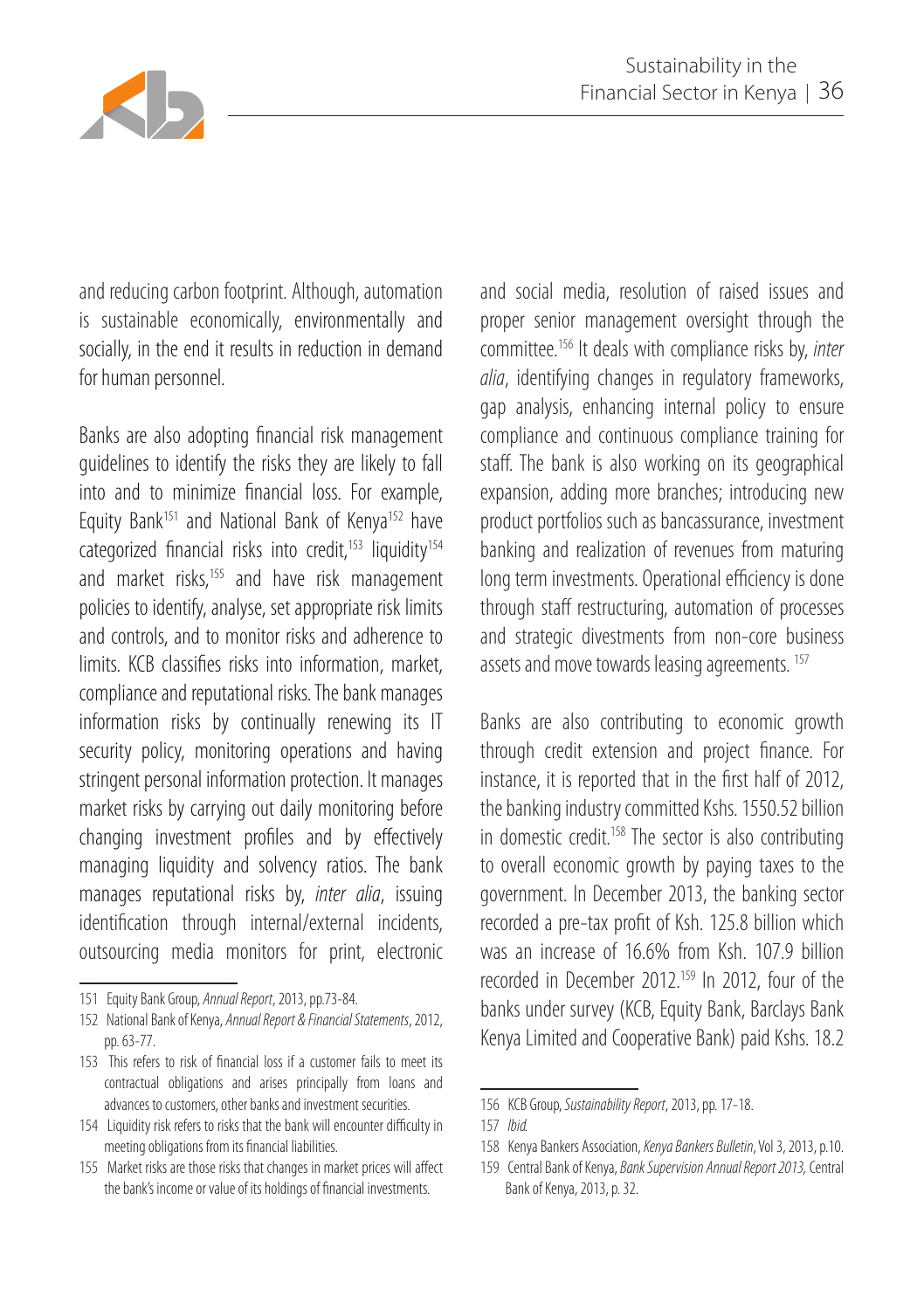

and reducing carbon footprint. Although, automation is sustainable economically, environmentally and socially, in the end it results in reduction in demand for human personnel.

Banks are also adopting financial risk management guidelines to identify the risks they are likely to fall into and to minimize financial loss. For example, Equity Bank<sup>151</sup> and National Bank of Kenya<sup>152</sup> have categorized financial risks into credit,<sup>153</sup> liquidity<sup>154</sup> and market risks.<sup>155</sup> and have risk management policies to identify, analyse, set appropriate risk limits and controls, and to monitor risks and adherence to limits. KCB classifies risks into information, market, compliance and reputational risks. The bank manages information risks by continually renewing its IT security policy, monitoring operations and having stringent personal information protection. It manages market risks by carrying out daily monitoring before changing investment profiles and by effectively managing liquidity and solvency ratios. The bank manages reputational risks by, *inter alia*, issuing identification through internal/external incidents, outsourcing media monitors for print, electronic

and social media, resolution of raised issues and proper senior management oversight through the committee.156 It deals with compliance risks by, *inter alia*, identifying changes in regulatory frameworks, gap analysis, enhancing internal policy to ensure compliance and continuous compliance training for staff. The bank is also working on its geographical expansion, adding more branches; introducing new product portfolios such as bancassurance, investment banking and realization of revenues from maturing long term investments. Operational efficiency is done through staff restructuring, automation of processes and strategic divestments from non-core business assets and move towards leasing agreements.<sup>157</sup>

Banks are also contributing to economic growth through credit extension and project finance. For instance, it is reported that in the first half of 2012, the banking industry committed Kshs. 1550.52 billion in domestic credit.<sup>158</sup> The sector is also contributing to overall economic growth by paying taxes to the government. In December 2013, the banking sector recorded a pre-tax profit of Ksh. 125.8 billion which was an increase of 16.6% from Ksh. 107.9 billion recorded in December 2012.<sup>159</sup> In 2012, four of the banks under survey (KCB, Equity Bank, Barclays Bank Kenya Limited and Cooperative Bank) paid Kshs. 18.2

<sup>151</sup> Equity Bank Group, *Annual Report*, 2013, pp.73-84.

<sup>152</sup> National Bank of Kenya, *Annual Report & Financial Statements*, 2012, pp. 63-77.

<sup>153</sup> This refers to risk of financial loss if a customer fails to meet its contractual obligations and arises principally from loans and advances to customers, other banks and investment securities.

<sup>154</sup> Liquidity risk refers to risks that the bank will encounter difficulty in meeting obligations from its financial liabilities.

<sup>155</sup> Market risks are those risks that changes in market prices will affect the bank's income or value of its holdings of financial investments.

<sup>156</sup> KCB Group, *Sustainability Report*, 2013, pp. 17-18.

<sup>157</sup> *Ibid.*

<sup>158</sup> Kenya Bankers Association, *Kenya Bankers Bulletin*, Vol 3, 2013, p.10.

<sup>159</sup> Central Bank of Kenya, *Bank Supervision Annual Report 2013,* Central Bank of Kenya, 2013, p. 32.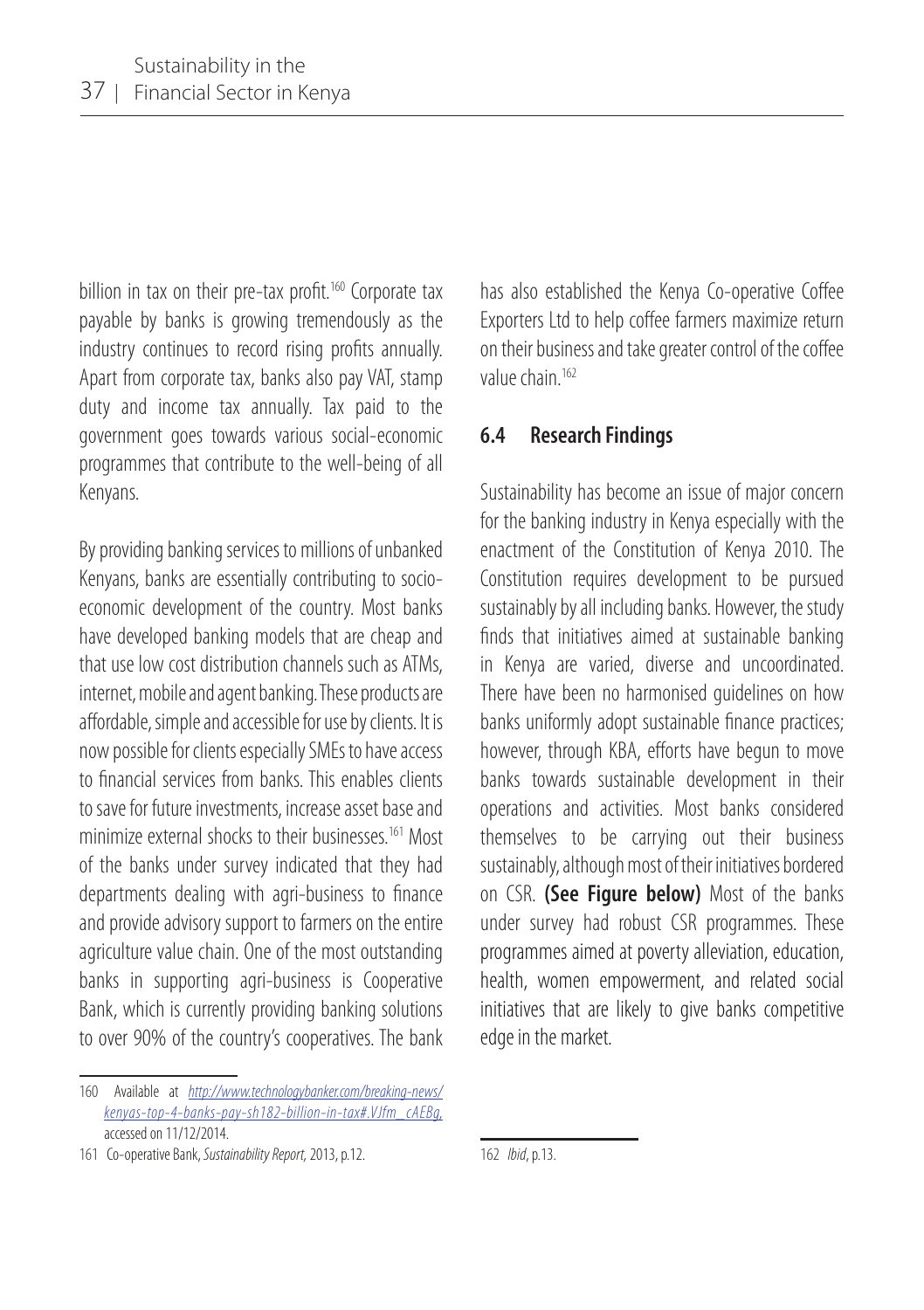billion in tax on their pre-tax profit.<sup>160</sup> Corporate tax payable by banks is growing tremendously as the industry continues to record rising profits annually. Apart from corporate tax, banks also pay VAT, stamp duty and income tax annually. Tax paid to the government goes towards various social-economic programmes that contribute to the well-being of all Kenyans.

By providing banking services to millions of unbanked Kenyans, banks are essentially contributing to socioeconomic development of the country. Most banks have developed banking models that are cheap and that use low cost distribution channels such as ATMs, internet, mobile and agent banking. These products are affordable, simple and accessible for use by clients. It is now possible for clients especially SMEs to have access to financial services from banks. This enables clients to save for future investments, increase asset base and minimize external shocks to their businesses.<sup>161</sup> Most of the banks under survey indicated that they had departments dealing with agri-business to finance and provide advisory support to farmers on the entire agriculture value chain. One of the most outstanding banks in supporting agri-business is Cooperative Bank, which is currently providing banking solutions to over 90% of the country's cooperatives. The bank

has also established the Kenya Co-operative Coffee Exporters Ltd to help coffee farmers maximize return on their business and take greater control of the coffee value chain.162

#### **6.4 Research Findings**

Sustainability has become an issue of major concern for the banking industry in Kenya especially with the enactment of the Constitution of Kenya 2010. The Constitution requires development to be pursued sustainably by all including banks. However, the study finds that initiatives aimed at sustainable banking in Kenya are varied, diverse and uncoordinated. There have been no harmonised guidelines on how banks uniformly adopt sustainable finance practices; however, through KBA, efforts have begun to move banks towards sustainable development in their operations and activities. Most banks considered themselves to be carrying out their business sustainably, although most of their initiatives bordered on CSR. **(See Figure below)** Most of the banks under survey had robust CSR programmes. These programmes aimed at poverty alleviation, education, health, women empowerment, and related social initiatives that are likely to give banks competitive edge in the market.

<sup>160</sup> Available at *http://www.technologybanker.com/breaking-news/ kenyas-top-4-banks-pay-sh182-billion-in-tax#.VJfm\_cAEBg,*  accessed on 11/12/2014.

<sup>161</sup> Co-operative Bank, *Sustainability Report,* 2013, p.12.

<sup>162</sup> *Ibid*, p.13.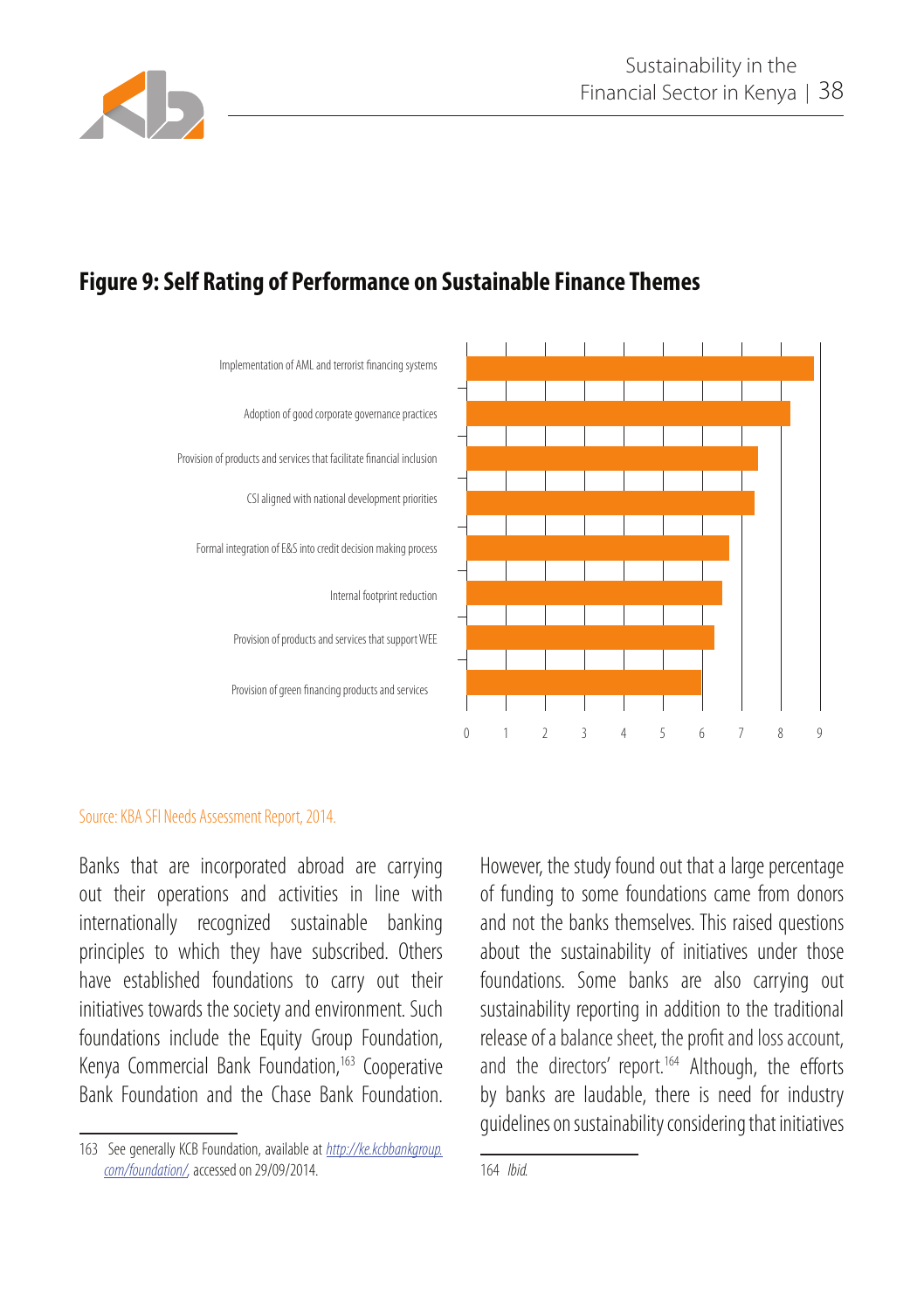

## **Figure 9: Self Rating of Performance on Sustainable Finance Themes**



#### Source: KBA SFI Needs Assessment Report, 2014.

Banks that are incorporated abroad are carrying out their operations and activities in line with internationally recognized sustainable banking principles to which they have subscribed. Others have established foundations to carry out their initiatives towards the society and environment. Such foundations include the Equity Group Foundation, Kenya Commercial Bank Foundation,<sup>163</sup> Cooperative Bank Foundation and the Chase Bank Foundation.

However, the study found out that a large percentage of funding to some foundations came from donors and not the banks themselves. This raised questions about the sustainability of initiatives under those foundations. Some banks are also carrying out sustainability reporting in addition to the traditional release of a balance sheet, the profit and loss account, and the directors' report.<sup>164</sup> Although, the efforts by banks are laudable, there is need for industry guidelines on sustainability considering that initiatives

<sup>163</sup> See generally KCB Foundation, available at *http://ke.kcbbankgroup. com/foundation/,* accessed on 29/09/2014.

<sup>164</sup> *Ibid.*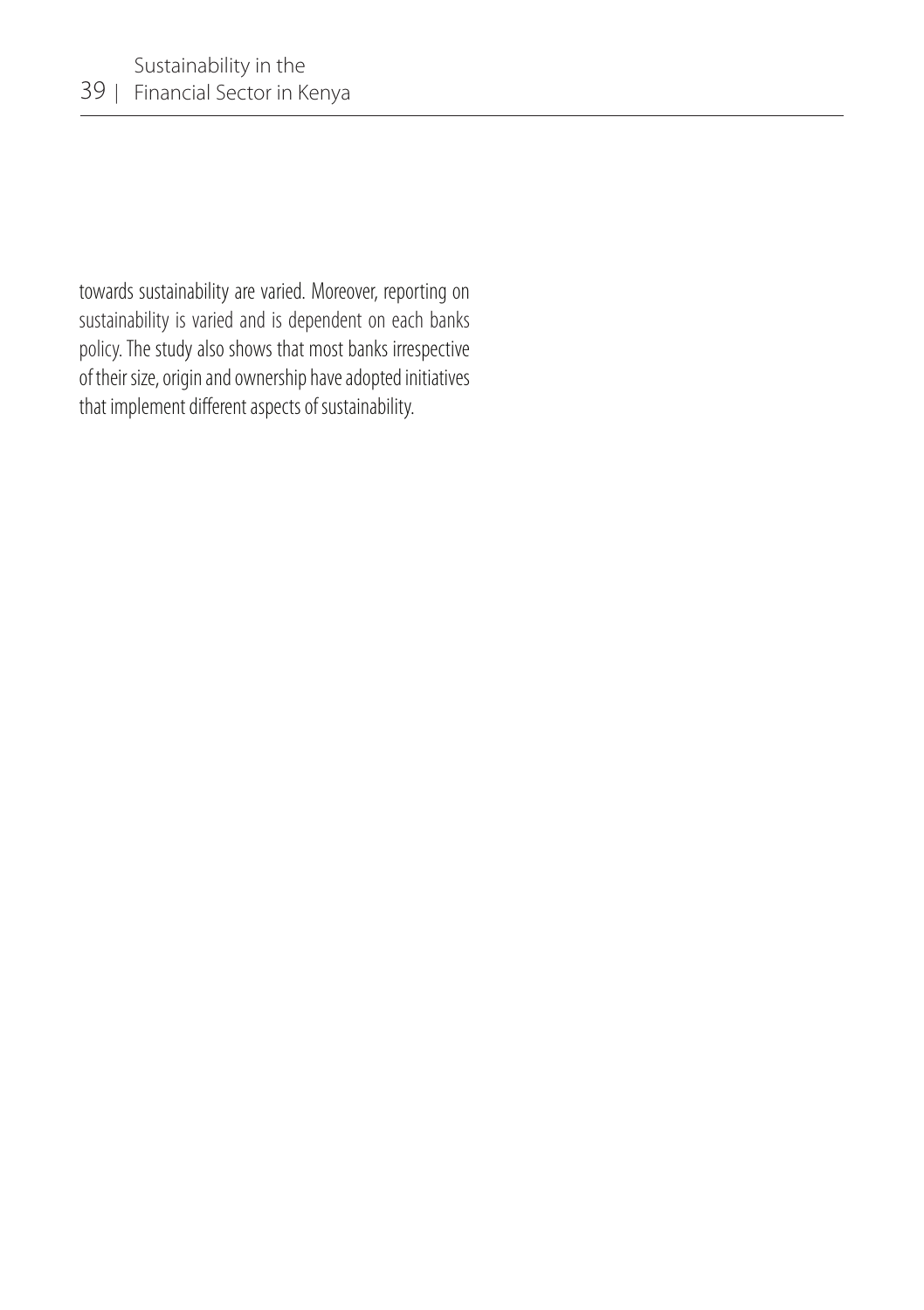towards sustainability are varied. Moreover, reporting on sustainability is varied and is dependent on each banks policy. The study also shows that most banks irrespective of their size, origin and ownership have adopted initiatives that implement different aspects of sustainability.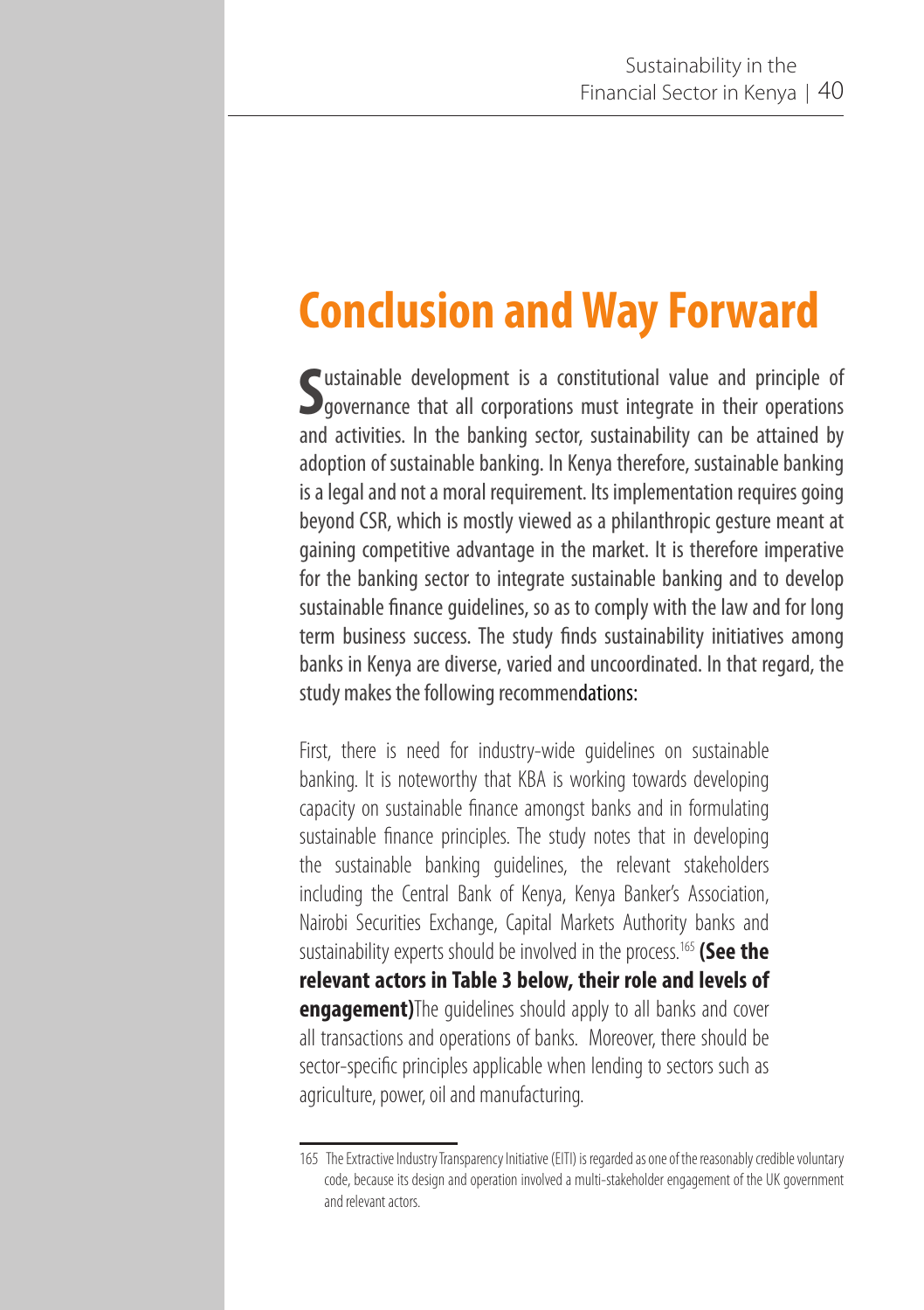# **Conclusion and Way Forward**

Sustainable development is a constitutional value and principle of governance that all corporations must integrate in their operations ustainable development is a constitutional value and principle of and activities. In the banking sector, sustainability can be attained by adoption of sustainable banking. In Kenya therefore, sustainable banking is a legal and not a moral requirement. Its implementation requires going beyond CSR, which is mostly viewed as a philanthropic gesture meant at gaining competitive advantage in the market. It is therefore imperative for the banking sector to integrate sustainable banking and to develop sustainable finance guidelines, so as to comply with the law and for long term business success. The study finds sustainability initiatives among banks in Kenya are diverse, varied and uncoordinated. In that regard, the study makes the following recommendations:

First, there is need for industry-wide guidelines on sustainable banking. It is noteworthy that KBA is working towards developing capacity on sustainable finance amongst banks and in formulating sustainable finance principles. The study notes that in developing the sustainable banking guidelines, the relevant stakeholders including the Central Bank of Kenya, Kenya Banker's Association, Nairobi Securities Exchange, Capital Markets Authority banks and sustainability experts should be involved in the process.165 **(See the relevant actors in Table 3 below, their role and levels of engagement)**The guidelines should apply to all banks and cover all transactions and operations of banks. Moreover, there should be sector-specific principles applicable when lending to sectors such as agriculture, power, oil and manufacturing.

<sup>165</sup> The Extractive Industry Transparency Initiative (EITI) is regarded as one of the reasonably credible voluntary code, because its design and operation involved a multi-stakeholder engagement of the UK government and relevant actors.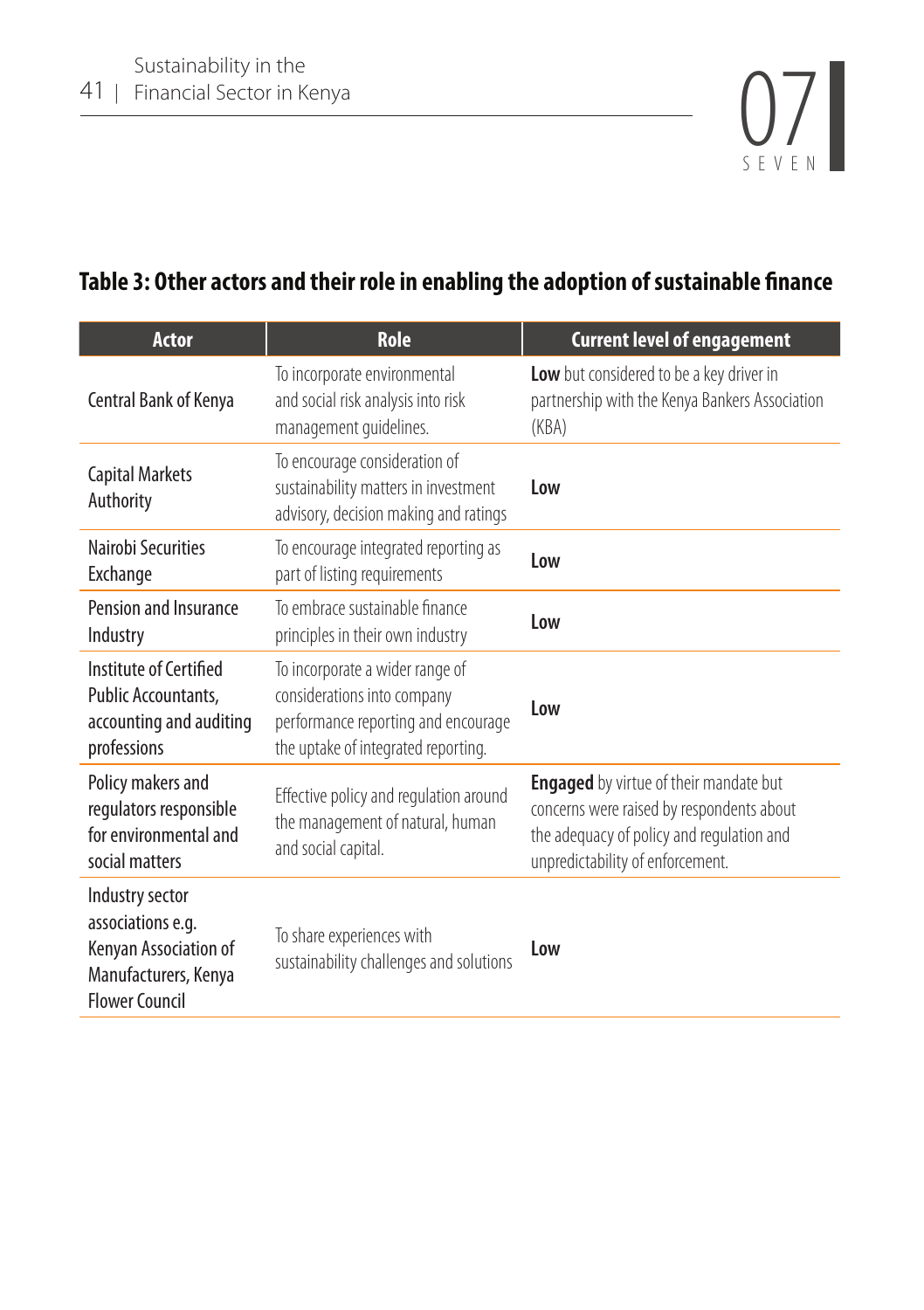

## **Table 3: Other actors and their role in enabling the adoption of sustainable finance**

| <b>Actor</b>                                                                                                   | <b>Role</b>                                                                                                                                  | <b>Current level of engagement</b>                                                                                                                                          |
|----------------------------------------------------------------------------------------------------------------|----------------------------------------------------------------------------------------------------------------------------------------------|-----------------------------------------------------------------------------------------------------------------------------------------------------------------------------|
| Central Bank of Kenya                                                                                          | To incorporate environmental<br>and social risk analysis into risk<br>management guidelines.                                                 | Low but considered to be a key driver in<br>partnership with the Kenya Bankers Association<br>(KBA)                                                                         |
| <b>Capital Markets</b><br>Authority                                                                            | To encourage consideration of<br>sustainability matters in investment<br>advisory, decision making and ratings                               | Low                                                                                                                                                                         |
| Nairobi Securities<br>Exchange                                                                                 | To encourage integrated reporting as<br>part of listing requirements                                                                         | Low                                                                                                                                                                         |
| Pension and Insurance<br>Industry                                                                              | To embrace sustainable finance<br>principles in their own industry                                                                           | Low                                                                                                                                                                         |
| Institute of Certified<br>Public Accountants,<br>accounting and auditing<br>professions                        | To incorporate a wider range of<br>considerations into company<br>performance reporting and encourage<br>the uptake of integrated reporting. | Low                                                                                                                                                                         |
| Policy makers and<br>regulators responsible<br>for environmental and<br>social matters                         | Effective policy and regulation around<br>the management of natural, human<br>and social capital.                                            | <b>Engaged</b> by virtue of their mandate but<br>concerns were raised by respondents about<br>the adequacy of policy and regulation and<br>unpredictability of enforcement. |
| Industry sector<br>associations e.g.<br>Kenyan Association of<br>Manufacturers, Kenya<br><b>Flower Council</b> | To share experiences with<br>sustainability challenges and solutions                                                                         | l ow                                                                                                                                                                        |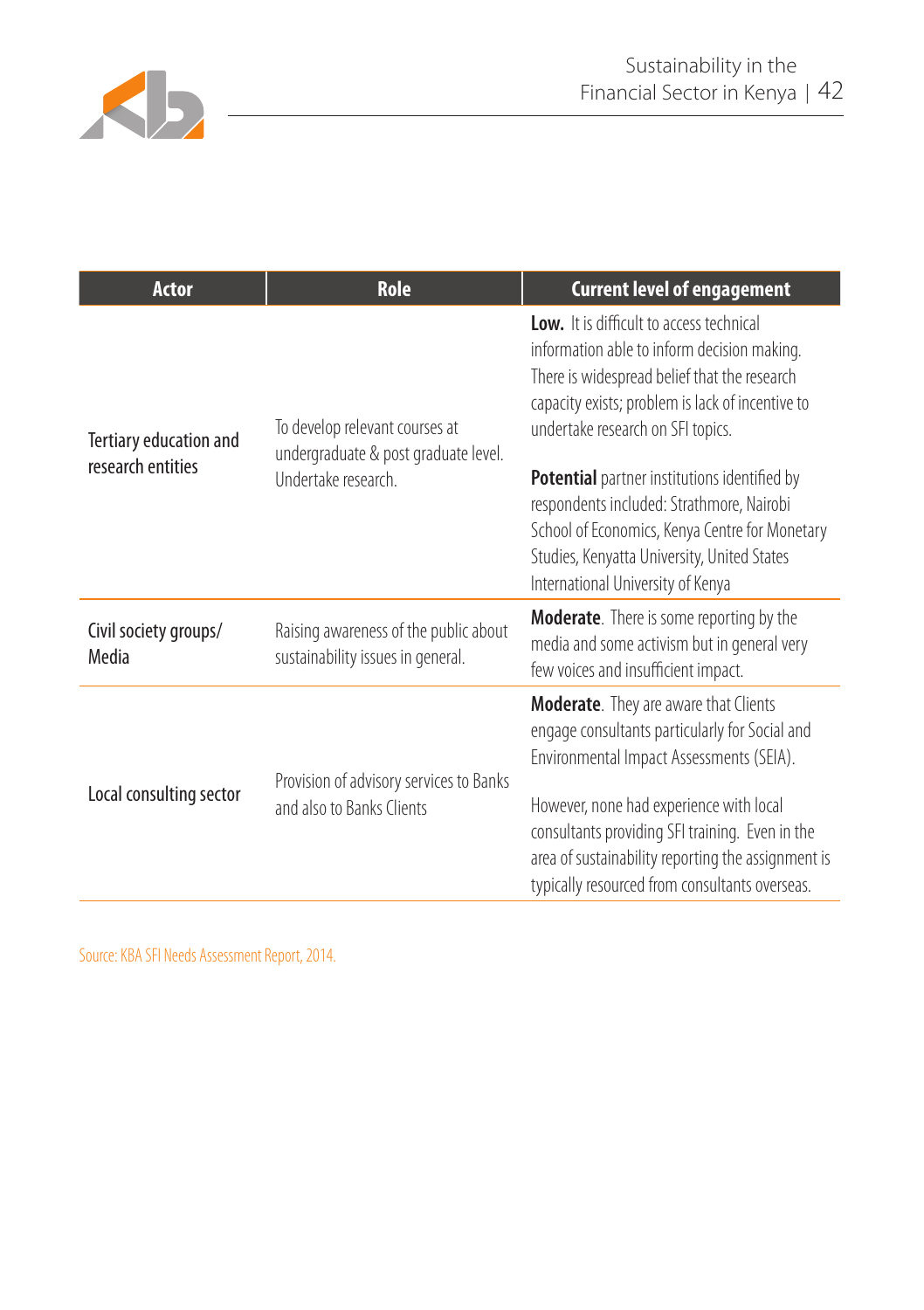

| <b>Actor</b>                   | <b>Role</b>                                                                | <b>Current level of engagement</b>                                                                                                                                                                                                     |
|--------------------------------|----------------------------------------------------------------------------|----------------------------------------------------------------------------------------------------------------------------------------------------------------------------------------------------------------------------------------|
| Tertiary education and         | To develop relevant courses at<br>undergraduate & post graduate level.     | Low. It is difficult to access technical<br>information able to inform decision making.<br>There is widespread belief that the research<br>capacity exists; problem is lack of incentive to<br>undertake research on SFI topics.       |
| research entities              | Undertake research.                                                        | <b>Potential</b> partner institutions identified by<br>respondents included: Strathmore, Nairobi<br>School of Economics, Kenya Centre for Monetary<br>Studies, Kenyatta University, United States<br>International University of Kenya |
| Civil society groups/<br>Media | Raising awareness of the public about<br>sustainability issues in general. | <b>Moderate.</b> There is some reporting by the<br>media and some activism but in general very<br>few voices and insufficient impact.                                                                                                  |
|                                |                                                                            | <b>Moderate.</b> They are aware that Clients<br>engage consultants particularly for Social and<br>Environmental Impact Assessments (SEIA).                                                                                             |
| Local consulting sector        | Provision of advisory services to Banks<br>and also to Banks Clients       | However, none had experience with local<br>consultants providing SFI training. Even in the<br>area of sustainability reporting the assignment is<br>typically resourced from consultants overseas.                                     |

Source: KBA SFI Needs Assessment Report, 2014.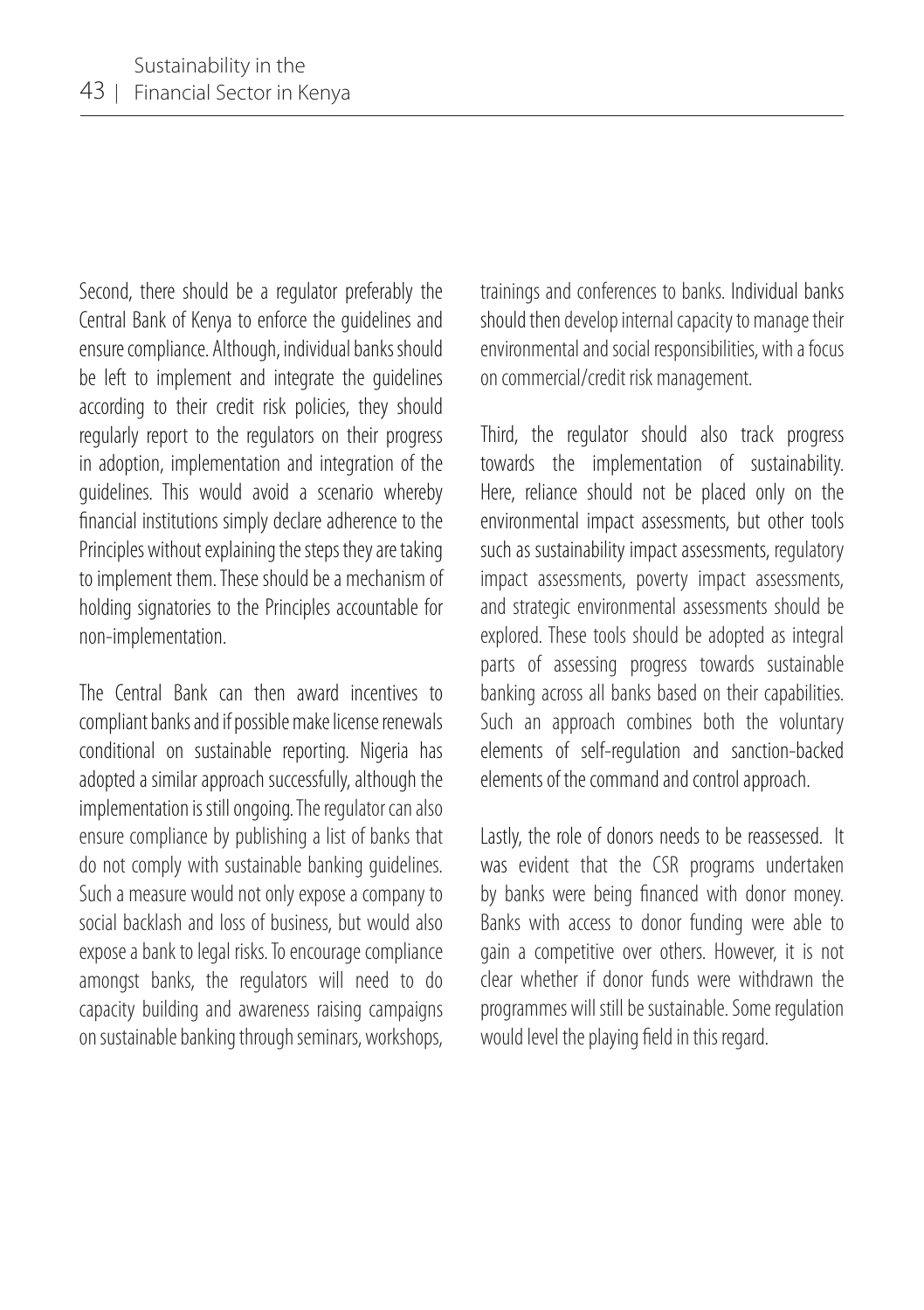Second, there should be a regulator preferably the Central Bank of Kenya to enforce the guidelines and ensure compliance. Although, individual banks should be left to implement and integrate the guidelines according to their credit risk policies, they should regularly report to the regulators on their progress in adoption, implementation and integration of the guidelines. This would avoid a scenario whereby financial institutions simply declare adherence to the Principles without explaining the steps they are taking to implement them. These should be a mechanism of holding signatories to the Principles accountable for non-implementation.

The Central Bank can then award incentives to compliant banks and if possible make license renewals conditional on sustainable reporting. Nigeria has adopted a similar approach successfully, although the implementation is still ongoing. The regulator can also ensure compliance by publishing a list of banks that do not comply with sustainable banking guidelines. Such a measure would not only expose a company to social backlash and loss of business, but would also expose a bank to legal risks. To encourage compliance amongst banks, the regulators will need to do capacity building and awareness raising campaigns on sustainable banking through seminars, workshops,

trainings and conferences to banks. Individual banks should then develop internal capacity to manage their environmental and social responsibilities, with a focus on commercial/credit risk management.

Third, the regulator should also track progress towards the implementation of sustainability. Here, reliance should not be placed only on the environmental impact assessments, but other tools such as sustainability impact assessments, regulatory impact assessments, poverty impact assessments, and strategic environmental assessments should be explored. These tools should be adopted as integral parts of assessing progress towards sustainable banking across all banks based on their capabilities. Such an approach combines both the voluntary elements of self-regulation and sanction-backed elements of the command and control approach.

Lastly, the role of donors needs to be reassessed. It was evident that the CSR programs undertaken by banks were being financed with donor money. Banks with access to donor funding were able to gain a competitive over others. However, it is not clear whether if donor funds were withdrawn the programmes will still be sustainable. Some regulation would level the playing field in this regard.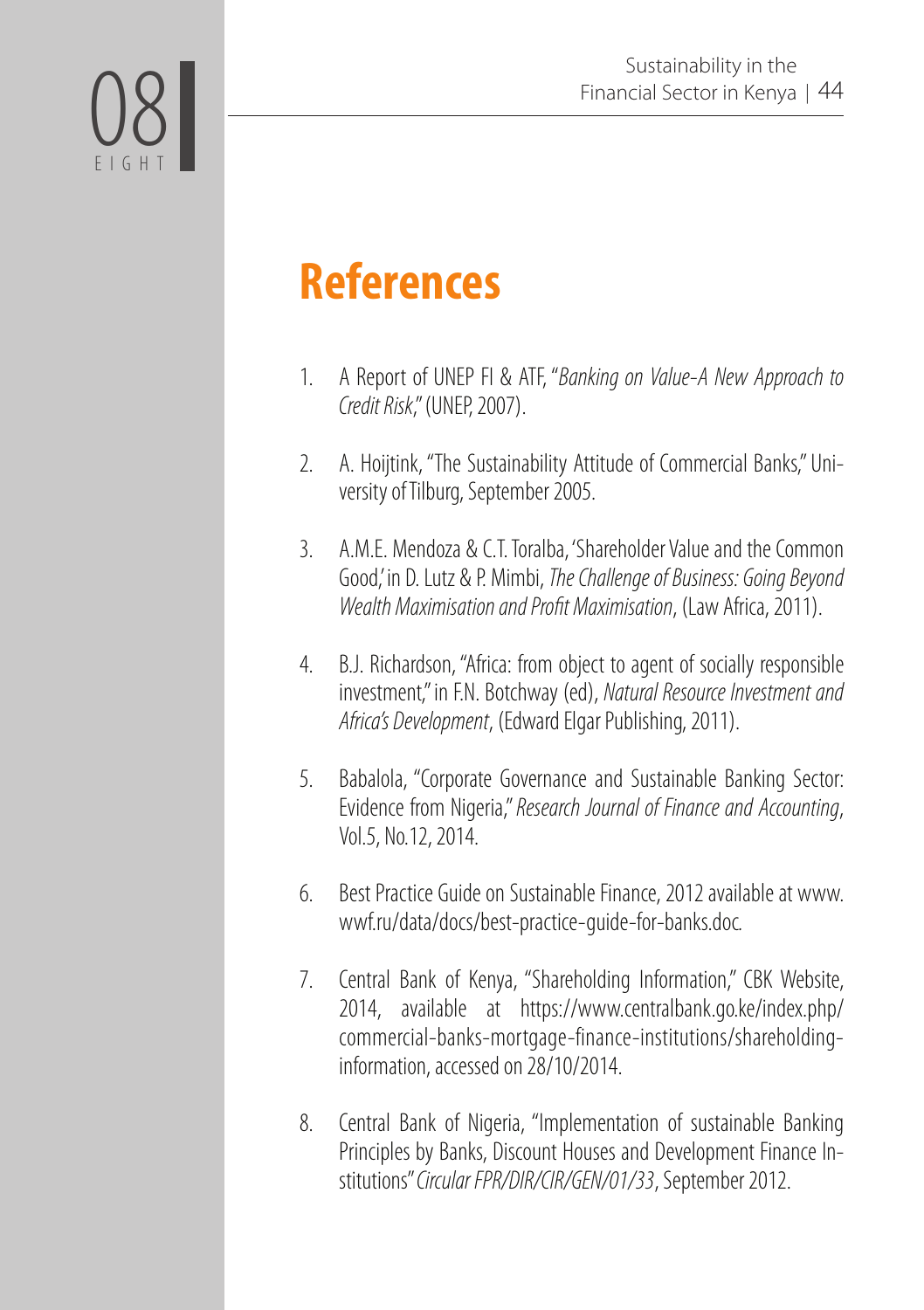

# **References**

- 1. A Report of UNEP FI & ATF, "*Banking on Value-A New Approach to Credit Risk*," (UNEP, 2007).
- 2. A. Hoijtink, "The Sustainability Attitude of Commercial Banks," University of Tilburg, September 2005.
- 3. A.M.E. Mendoza & C.T. Toralba, 'Shareholder Value and the Common Good,' in D. Lutz & P. Mimbi, *The Challenge of Business: Going Beyond Wealth Maximisation and Profit Maximisation*, (Law Africa, 2011).
- 4. B.J. Richardson, "Africa: from object to agent of socially responsible investment," in F.N. Botchway (ed), *Natural Resource Investment and Africa's Development*, (Edward Elgar Publishing, 2011).
- 5. Babalola, "Corporate Governance and Sustainable Banking Sector: Evidence from Nigeria," *Research Journal of Finance and Accounting*, Vol.5, No.12, 2014.
- 6. Best Practice Guide on Sustainable Finance, 2012 available at www. wwf.ru/data/docs/best-practice-guide-for-banks.doc*.*
- 7. Central Bank of Kenya, "Shareholding Information," CBK Website, 2014, available at https://www.centralbank.go.ke/index.php/ commercial-banks-mortgage-finance-institutions/shareholdinginformation, accessed on 28/10/2014.
- 8. Central Bank of Nigeria, "Implementation of sustainable Banking Principles by Banks, Discount Houses and Development Finance Institutions" *Circular FPR/DIR/CIR/GEN/01/33*, September 2012.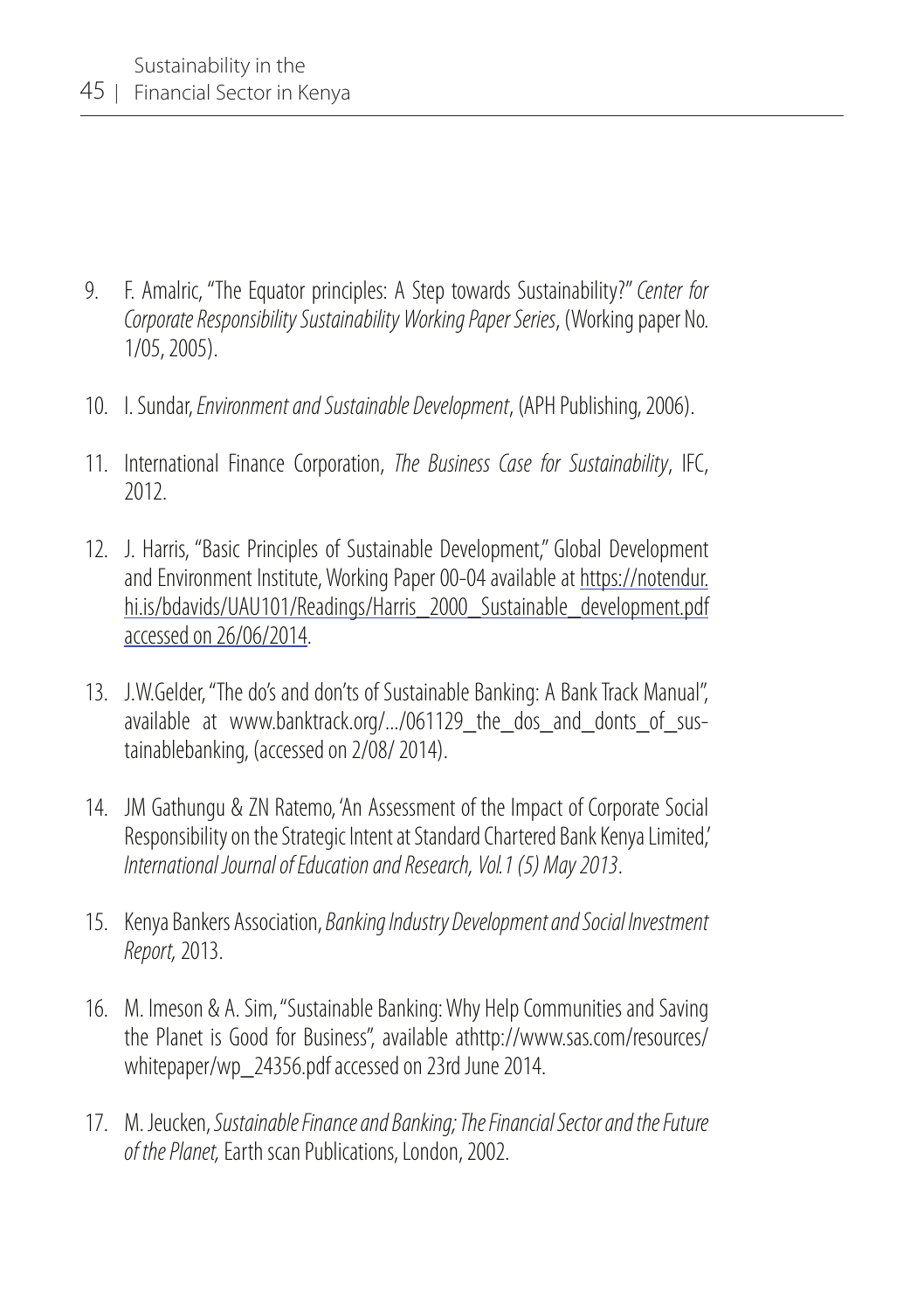- 9. F. Amalric, "The Equator principles: A Step towards Sustainability?" *Center for Corporate Responsibility Sustainability Working Paper Series*, (Working paper No. 1/05, 2005).
- 10. I. Sundar, *Environment and Sustainable Development*, (APH Publishing, 2006).
- 11. International Finance Corporation, *The Business Case for Sustainability*, IFC, 2012.
- 12. J. Harris, "Basic Principles of Sustainable Development," Global Development and Environment Institute, Working Paper 00-04 available at https://notendur. hi.is/bdavids/UAU101/Readings/Harris\_2000\_Sustainable\_development.pdf accessed on 26/06/2014.
- 13. J.W.Gelder, "The do's and don'ts of Sustainable Banking: A Bank Track Manual", available at www.banktrack.org/.../061129 the dos and donts of sustainablebanking, (accessed on 2/08/ 2014).
- 14. JM Gathungu & ZN Ratemo, 'An Assessment of the Impact of Corporate Social Responsibility on the Strategic Intent at Standard Chartered Bank Kenya Limited,' *International Journal of Education and Research, Vol.1 (5) May 2013*.
- 15. Kenya Bankers Association, *Banking Industry Development and Social Investment Report,* 2013.
- 16. M. Imeson & A. Sim, "Sustainable Banking: Why Help Communities and Saving the Planet is Good for Business", available athttp://www.sas.com/resources/ whitepaper/wp\_24356.pdf accessed on 23rd June 2014.
- 17. M. Jeucken, *Sustainable Finance and Banking; The Financial Sector and the Future of the Planet,* Earth scan Publications, London, 2002.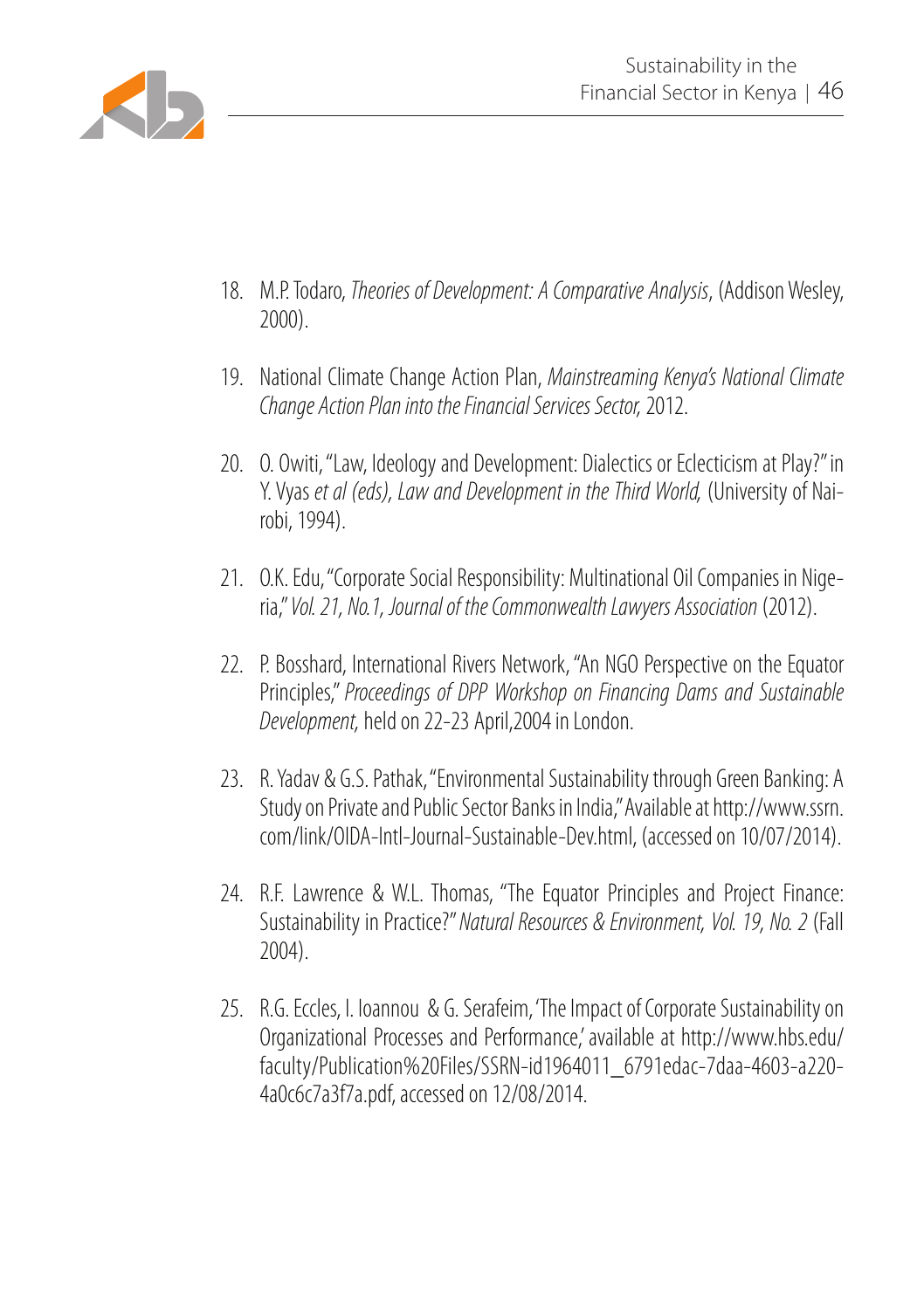

- 18. M.P. Todaro, *Theories of Development: A Comparative Analysis*, (Addison Wesley, 2000).
- 19. National Climate Change Action Plan, *Mainstreaming Kenya's National Climate Change Action Plan into the Financial Services Sector,* 2012.
- 20. O. Owiti, "Law, Ideology and Development: Dialectics or Eclecticism at Play?" in Y. Vyas *et al (eds), Law and Development in the Third World,* (University of Nairobi, 1994).
- 21. O.K. Edu, "Corporate Social Responsibility: Multinational Oil Companies in Nigeria," *Vol. 21, No.1, Journal of the Commonwealth Lawyers Association* (2012).
- 22. P. Bosshard, International Rivers Network, "An NGO Perspective on the Equator Principles," *Proceedings of DPP Workshop on Financing Dams and Sustainable Development,* held on 22-23 April,2004 in London.
- 23. R. Yadav & G.S. Pathak, "Environmental Sustainability through Green Banking: A Study on Private and Public Sector Banks in India," Available at http://www.ssrn. com/link/OIDA-Intl-Journal-Sustainable-Dev.html, (accessed on 10/07/2014).
- 24. R.F. Lawrence & W.L. Thomas, "The Equator Principles and Project Finance: Sustainability in Practice?" *Natural Resources & Environment, Vol. 19, No. 2* (Fall 2004).
- 25. R.G. Eccles, I. Ioannou & G. Serafeim, 'The Impact of Corporate Sustainability on Organizational Processes and Performance,' available at http://www.hbs.edu/ faculty/Publication%20Files/SSRN-id1964011\_6791edac-7daa-4603-a220- 4a0c6c7a3f7a.pdf, accessed on 12/08/2014.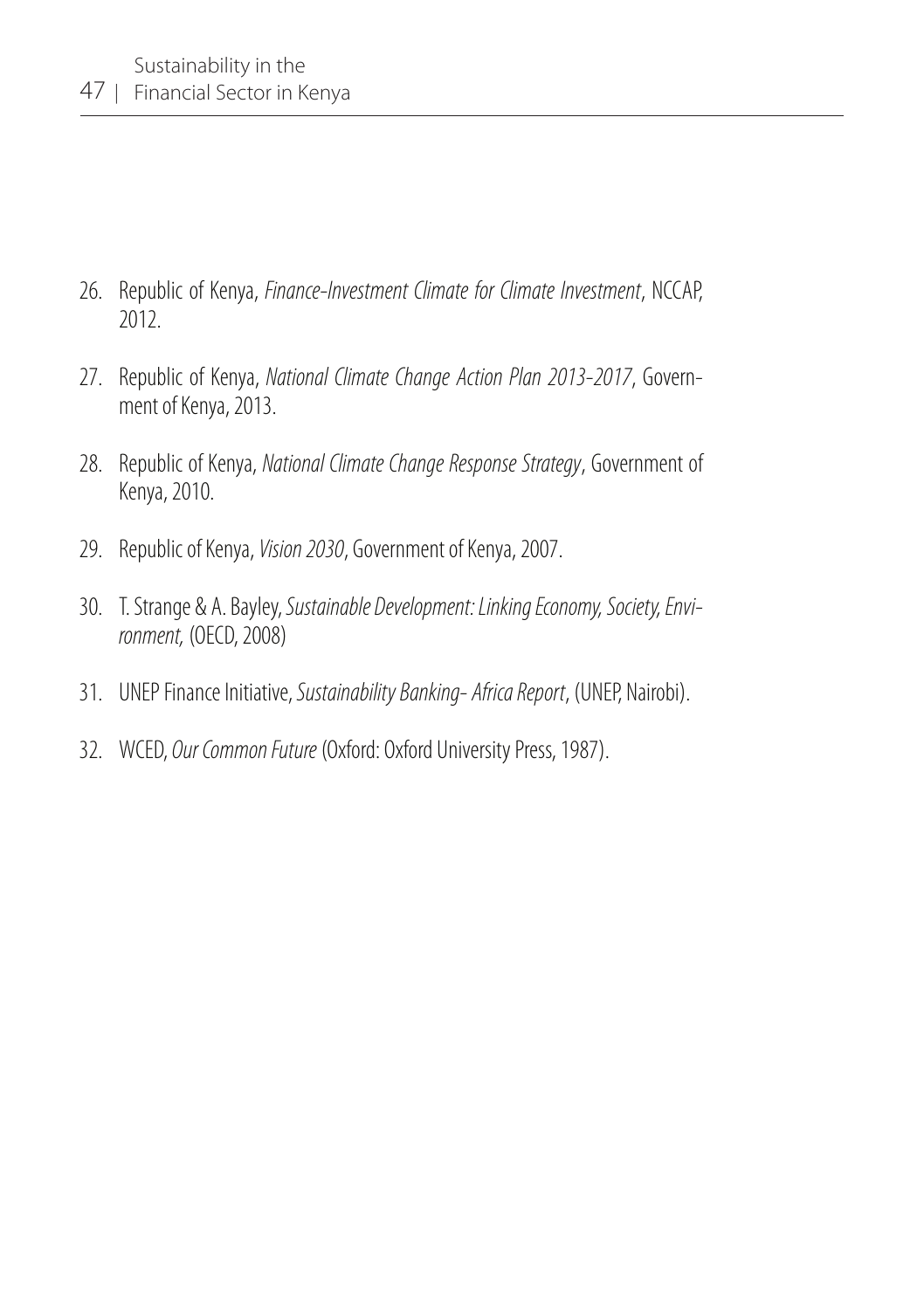- 26. Republic of Kenya, *Finance-Investment Climate for Climate Investment*, NCCAP, 2012.
- 27. Republic of Kenya, *National Climate Change Action Plan 2013-2017*, Government of Kenya, 2013.
- 28. Republic of Kenya, *National Climate Change Response Strategy*, Government of Kenya, 2010.
- 29. Republic of Kenya, *Vision 2030*, Government of Kenya, 2007.
- 30. T. Strange & A. Bayley, *Sustainable Development: Linking Economy, Society, Environment,* (OECD, 2008)
- 31. UNEP Finance Initiative, *Sustainability Banking- Africa Report*, (UNEP, Nairobi).
- 32. WCED, *Our Common Future* (Oxford: Oxford University Press, 1987).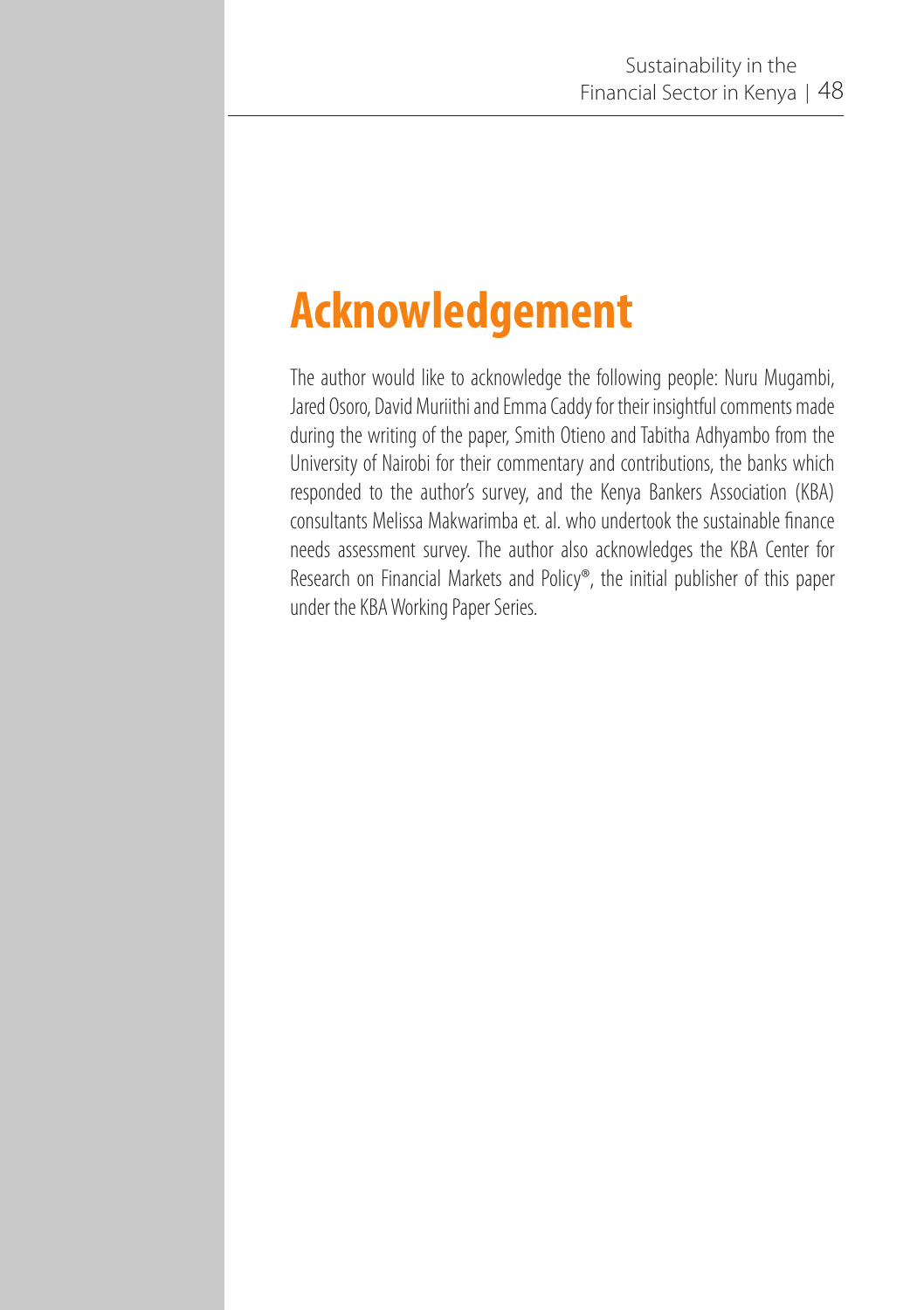## **Acknowledgement**

The author would like to acknowledge the following people: Nuru Mugambi, Jared Osoro, David Muriithi and Emma Caddy for their insightful comments made during the writing of the paper, Smith Otieno and Tabitha Adhyambo from the University of Nairobi for their commentary and contributions, the banks which responded to the author's survey, and the Kenya Bankers Association (KBA) consultants Melissa Makwarimba et. al. who undertook the sustainable finance needs assessment survey. The author also acknowledges the KBA Center for Research on Financial Markets and Policy®, the initial publisher of this paper under the KBA Working Paper Series.